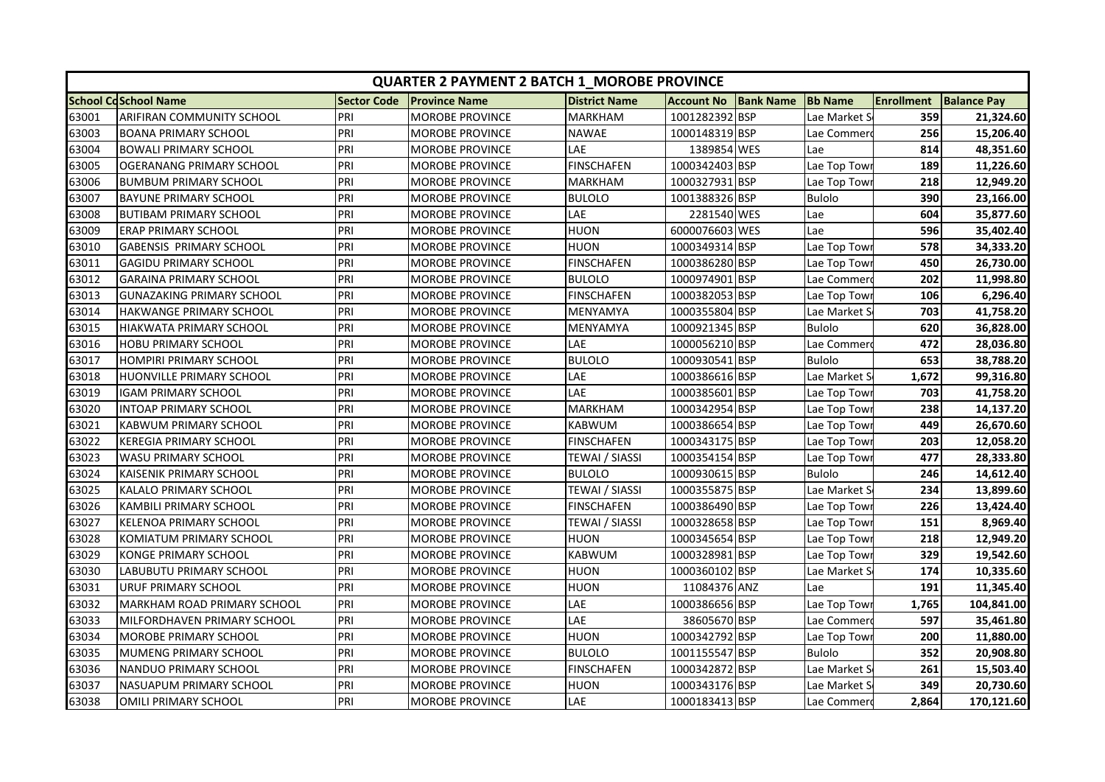|       | <b>QUARTER 2 PAYMENT 2 BATCH 1 MOROBE PROVINCE</b> |                    |                        |                      |                   |                  |                |                   |                    |  |  |
|-------|----------------------------------------------------|--------------------|------------------------|----------------------|-------------------|------------------|----------------|-------------------|--------------------|--|--|
|       | <b>School CdSchool Name</b>                        | <b>Sector Code</b> | <b>Province Name</b>   | <b>District Name</b> | <b>Account No</b> | <b>Bank Name</b> | <b>Bb Name</b> | <b>Enrollment</b> | <b>Balance Pay</b> |  |  |
| 63001 | <b>ARIFIRAN COMMUNITY SCHOOL</b>                   | PRI                | <b>MOROBE PROVINCE</b> | <b>MARKHAM</b>       | 1001282392 BSP    |                  | Lae Market S   | 359               | 21,324.60          |  |  |
| 63003 | <b>BOANA PRIMARY SCHOOL</b>                        | PRI                | <b>MOROBE PROVINCE</b> | <b>NAWAE</b>         | 1000148319 BSP    |                  | Lae Commer     | 256               | 15,206.40          |  |  |
| 63004 | <b>BOWALI PRIMARY SCHOOL</b>                       | PRI                | <b>MOROBE PROVINCE</b> | LAE                  | 1389854 WES       |                  | Lae            | 814               | 48,351.60          |  |  |
| 63005 | OGERANANG PRIMARY SCHOOL                           | PRI                | <b>MOROBE PROVINCE</b> | <b>FINSCHAFEN</b>    | 1000342403 BSP    |                  | Lae Top Tow    | 189               | 11,226.60          |  |  |
| 63006 | <b>BUMBUM PRIMARY SCHOOL</b>                       | PRI                | <b>MOROBE PROVINCE</b> | <b>MARKHAM</b>       | 1000327931 BSP    |                  | Lae Top Tow    | 218               | 12,949.20          |  |  |
| 63007 | <b>BAYUNE PRIMARY SCHOOL</b>                       | PRI                | MOROBE PROVINCE        | <b>BULOLO</b>        | 1001388326 BSP    |                  | <b>Bulolo</b>  | 390               | 23,166.00          |  |  |
| 63008 | <b>BUTIBAM PRIMARY SCHOOL</b>                      | PRI                | MOROBE PROVINCE        | LAE                  | 2281540 WES       |                  | Lae            | 604               | 35,877.60          |  |  |
| 63009 | <b>ERAP PRIMARY SCHOOL</b>                         | PRI                | <b>MOROBE PROVINCE</b> | <b>HUON</b>          | 6000076603 WES    |                  | Lae            | 596               | 35,402.40          |  |  |
| 63010 | <b>GABENSIS PRIMARY SCHOOL</b>                     | PRI                | MOROBE PROVINCE        | <b>HUON</b>          | 1000349314 BSP    |                  | Lae Top Tow    | 578               | 34,333.20          |  |  |
| 63011 | <b>GAGIDU PRIMARY SCHOOL</b>                       | PRI                | <b>MOROBE PROVINCE</b> | <b>FINSCHAFEN</b>    | 1000386280 BSP    |                  | Lae Top Tow    | 450               | 26,730.00          |  |  |
| 63012 | <b>GARAINA PRIMARY SCHOOL</b>                      | PRI                | <b>MOROBE PROVINCE</b> | <b>BULOLO</b>        | 1000974901 BSP    |                  | Lae Commer     | 202               | 11,998.80          |  |  |
| 63013 | <b>GUNAZAKING PRIMARY SCHOOL</b>                   | PRI                | <b>MOROBE PROVINCE</b> | <b>FINSCHAFEN</b>    | 1000382053 BSP    |                  | Lae Top Towi   | 106               | 6,296.40           |  |  |
| 63014 | <b>HAKWANGE PRIMARY SCHOOL</b>                     | PRI                | <b>MOROBE PROVINCE</b> | MENYAMYA             | 1000355804 BSP    |                  | Lae Market S   | 703               | 41,758.20          |  |  |
| 63015 | <b>HIAKWATA PRIMARY SCHOOL</b>                     | PRI                | MOROBE PROVINCE        | <b>MENYAMYA</b>      | 1000921345 BSP    |                  | <b>Bulolo</b>  | 620               | 36,828.00          |  |  |
| 63016 | HOBU PRIMARY SCHOOL                                | PRI                | <b>MOROBE PROVINCE</b> | LAE                  | 1000056210 BSP    |                  | Lae Commer     | 472               | 28,036.80          |  |  |
| 63017 | <b>HOMPIRI PRIMARY SCHOOL</b>                      | PRI                | <b>MOROBE PROVINCE</b> | <b>BULOLO</b>        | 1000930541 BSP    |                  | <b>Bulolo</b>  | 653               | 38,788.20          |  |  |
| 63018 | HUONVILLE PRIMARY SCHOOL                           | PRI                | MOROBE PROVINCE        | LAE                  | 1000386616 BSP    |                  | Lae Market S   | 1,672             | 99,316.80          |  |  |
| 63019 | <b>IGAM PRIMARY SCHOOL</b>                         | PRI                | MOROBE PROVINCE        | LAE                  | 1000385601 BSP    |                  | Lae Top Tow    | 703               | 41,758.20          |  |  |
| 63020 | <b>INTOAP PRIMARY SCHOOL</b>                       | PRI                | <b>MOROBE PROVINCE</b> | <b>MARKHAM</b>       | 1000342954 BSP    |                  | Lae Top Tow    | 238               | 14,137.20          |  |  |
| 63021 | <b>KABWUM PRIMARY SCHOOL</b>                       | PRI                | MOROBE PROVINCE        | <b>KABWUM</b>        | 1000386654 BSP    |                  | Lae Top Tow    | 449               | 26,670.60          |  |  |
| 63022 | <b>KEREGIA PRIMARY SCHOOL</b>                      | PRI                | MOROBE PROVINCE        | <b>FINSCHAFEN</b>    | 1000343175 BSP    |                  | Lae Top Tow    | 203               | 12,058.20          |  |  |
| 63023 | <b>WASU PRIMARY SCHOOL</b>                         | PRI                | <b>MOROBE PROVINCE</b> | TEWAI / SIASSI       | 1000354154 BSP    |                  | Lae Top Tow    | 477               | 28,333.80          |  |  |
| 63024 | <b>KAISENIK PRIMARY SCHOOL</b>                     | PRI                | <b>MOROBE PROVINCE</b> | <b>BULOLO</b>        | 1000930615 BSP    |                  | <b>Bulolo</b>  | 246               | 14,612.40          |  |  |
| 63025 | KALALO PRIMARY SCHOOL                              | PRI                | MOROBE PROVINCE        | TEWAI / SIASSI       | 1000355875 BSP    |                  | Lae Market S   | 234               | 13,899.60          |  |  |
| 63026 | KAMBILI PRIMARY SCHOOL                             | PRI                | MOROBE PROVINCE        | FINSCHAFEN           | 1000386490 BSP    |                  | Lae Top Towi   | 226               | 13,424.40          |  |  |
| 63027 | <b>KELENOA PRIMARY SCHOOL</b>                      | PRI                | <b>MOROBE PROVINCE</b> | TEWAI / SIASSI       | 1000328658 BSP    |                  | Lae Top Tow    | 151               | 8,969.40           |  |  |
| 63028 | <b>KOMIATUM PRIMARY SCHOOL</b>                     | PRI                | <b>MOROBE PROVINCE</b> | <b>HUON</b>          | 1000345654 BSP    |                  | Lae Top Tow    | 218               | 12,949.20          |  |  |
| 63029 | <b>KONGE PRIMARY SCHOOL</b>                        | PRI                | <b>MOROBE PROVINCE</b> | <b>KABWUM</b>        | 1000328981 BSP    |                  | Lae Top Tow    | 329               | 19,542.60          |  |  |
| 63030 | LABUBUTU PRIMARY SCHOOL                            | PRI                | MOROBE PROVINCE        | <b>HUON</b>          | 1000360102 BSP    |                  | Lae Market S   | 174               | 10,335.60          |  |  |
| 63031 | <b>URUF PRIMARY SCHOOL</b>                         | PRI                | <b>MOROBE PROVINCE</b> | <b>HUON</b>          | 11084376 ANZ      |                  | Lae            | 191               | 11,345.40          |  |  |
| 63032 | MARKHAM ROAD PRIMARY SCHOOL                        | PRI                | <b>MOROBE PROVINCE</b> | LAE                  | 1000386656 BSP    |                  | Lae Top Tow    | 1,765             | 104,841.00         |  |  |
| 63033 | MILFORDHAVEN PRIMARY SCHOOL                        | PRI                | <b>MOROBE PROVINCE</b> | LAE                  | 38605670 BSP      |                  | Lae Commer     | 597               | 35,461.80          |  |  |
| 63034 | <b>MOROBE PRIMARY SCHOOL</b>                       | PRI                | MOROBE PROVINCE        | <b>HUON</b>          | 1000342792 BSP    |                  | Lae Top Tow    | 200               | 11,880.00          |  |  |
| 63035 | <b>MUMENG PRIMARY SCHOOL</b>                       | PRI                | <b>MOROBE PROVINCE</b> | <b>BULOLO</b>        | 1001155547 BSP    |                  | <b>Bulolo</b>  | 352               | 20,908.80          |  |  |
| 63036 | NANDUO PRIMARY SCHOOL                              | PRI                | <b>MOROBE PROVINCE</b> | <b>FINSCHAFEN</b>    | 1000342872 BSP    |                  | Lae Market S   | 261               | 15,503.40          |  |  |
| 63037 | <b>NASUAPUM PRIMARY SCHOOL</b>                     | PRI                | <b>MOROBE PROVINCE</b> | <b>HUON</b>          | 1000343176 BSP    |                  | Lae Market S   | 349               | 20,730.60          |  |  |
| 63038 | OMILI PRIMARY SCHOOL                               | PRI                | <b>MOROBE PROVINCE</b> | LAE                  | 1000183413 BSP    |                  | Lae Commer     | 2,864             | 170,121.60         |  |  |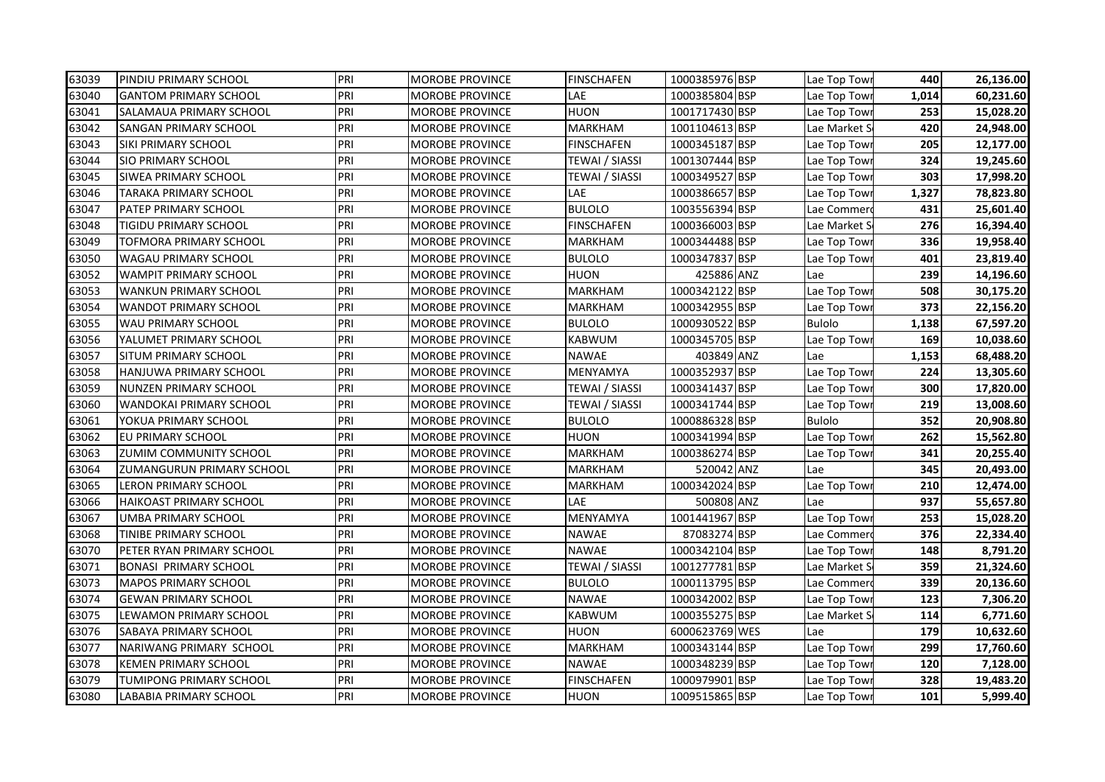| PRI<br>63039<br><b>FINSCHAFEN</b><br>1000385976 BSP<br><b>PINDIU PRIMARY SCHOOL</b><br><b>MOROBE PROVINCE</b><br>PRI<br>LAE<br>1000385804 BSP<br>63040<br><b>GANTOM PRIMARY SCHOOL</b><br><b>MOROBE PROVINCE</b><br>63041<br>PRI<br><b>HUON</b><br>1001717430 BSP<br><b>SALAMAUA PRIMARY SCHOOL</b><br><b>MOROBE PROVINCE</b><br>63042<br>PRI<br><b>MARKHAM</b><br>1001104613 BSP<br><b>SANGAN PRIMARY SCHOOL</b><br><b>MOROBE PROVINCE</b><br>PRI<br>63043<br><b>FINSCHAFEN</b><br>1000345187 BSP<br><b>SIKI PRIMARY SCHOOL</b><br><b>MOROBE PROVINCE</b><br>63044<br>PRI<br>1001307444 BSP<br><b>SIO PRIMARY SCHOOL</b><br><b>MOROBE PROVINCE</b><br>TEWAI / SIASSI<br>63045<br><b>SIWEA PRIMARY SCHOOL</b><br>PRI<br>1000349527 BSP<br>MOROBE PROVINCE<br>TEWAI / SIASSI<br>PRI<br>LAE<br>1000386657 BSP<br>63046<br><b>TARAKA PRIMARY SCHOOL</b><br><b>MOROBE PROVINCE</b><br>63047<br>PRI<br>1003556394 BSP<br><b>PATEP PRIMARY SCHOOL</b><br><b>MOROBE PROVINCE</b><br><b>BULOLO</b><br>PRI<br>1000366003 BSP<br>63048<br>TIGIDU PRIMARY SCHOOL<br><b>MOROBE PROVINCE</b><br><b>FINSCHAFEN</b><br>PRI<br>1000344488 BSP<br>63049<br>TOFMORA PRIMARY SCHOOL<br><b>MOROBE PROVINCE</b><br><b>MARKHAM</b><br>PRI<br>1000347837 BSP<br>63050<br><b>WAGAU PRIMARY SCHOOL</b><br>MOROBE PROVINCE<br><b>BULOLO</b><br>PRI<br>63052<br><b>HUON</b><br><b>WAMPIT PRIMARY SCHOOL</b><br><b>MOROBE PROVINCE</b> | 425886 ANZ | Lae Top Towi<br>Lae Top Towi<br>Lae Top Tow<br>Lae Market S<br>Lae Top Towi<br>Lae Top Towi<br>Lae Top Tow<br>Lae Top Towi<br>Lae Commer<br>Lae Market S<br>Lae Top Towi<br>Lae Top Tow<br>Lae<br>Lae Top Tow<br>Lae Top Tow | 440<br>1,014<br>253<br>420<br>205<br>324<br>303<br>1,327<br>431<br>276<br>336<br>401<br>239<br>508<br>373 | 26,136.00<br>60,231.60<br>15,028.20<br>24,948.00<br>12,177.00<br>19,245.60<br>17,998.20<br>78,823.80<br>25,601.40<br>16,394.40<br>19,958.40<br>23,819.40<br>14,196.60<br>30,175.20 |
|------------------------------------------------------------------------------------------------------------------------------------------------------------------------------------------------------------------------------------------------------------------------------------------------------------------------------------------------------------------------------------------------------------------------------------------------------------------------------------------------------------------------------------------------------------------------------------------------------------------------------------------------------------------------------------------------------------------------------------------------------------------------------------------------------------------------------------------------------------------------------------------------------------------------------------------------------------------------------------------------------------------------------------------------------------------------------------------------------------------------------------------------------------------------------------------------------------------------------------------------------------------------------------------------------------------------------------------------------------------------------------------------------------|------------|------------------------------------------------------------------------------------------------------------------------------------------------------------------------------------------------------------------------------|-----------------------------------------------------------------------------------------------------------|------------------------------------------------------------------------------------------------------------------------------------------------------------------------------------|
|                                                                                                                                                                                                                                                                                                                                                                                                                                                                                                                                                                                                                                                                                                                                                                                                                                                                                                                                                                                                                                                                                                                                                                                                                                                                                                                                                                                                            |            |                                                                                                                                                                                                                              |                                                                                                           |                                                                                                                                                                                    |
|                                                                                                                                                                                                                                                                                                                                                                                                                                                                                                                                                                                                                                                                                                                                                                                                                                                                                                                                                                                                                                                                                                                                                                                                                                                                                                                                                                                                            |            |                                                                                                                                                                                                                              |                                                                                                           |                                                                                                                                                                                    |
|                                                                                                                                                                                                                                                                                                                                                                                                                                                                                                                                                                                                                                                                                                                                                                                                                                                                                                                                                                                                                                                                                                                                                                                                                                                                                                                                                                                                            |            |                                                                                                                                                                                                                              |                                                                                                           |                                                                                                                                                                                    |
|                                                                                                                                                                                                                                                                                                                                                                                                                                                                                                                                                                                                                                                                                                                                                                                                                                                                                                                                                                                                                                                                                                                                                                                                                                                                                                                                                                                                            |            |                                                                                                                                                                                                                              |                                                                                                           |                                                                                                                                                                                    |
|                                                                                                                                                                                                                                                                                                                                                                                                                                                                                                                                                                                                                                                                                                                                                                                                                                                                                                                                                                                                                                                                                                                                                                                                                                                                                                                                                                                                            |            |                                                                                                                                                                                                                              |                                                                                                           |                                                                                                                                                                                    |
|                                                                                                                                                                                                                                                                                                                                                                                                                                                                                                                                                                                                                                                                                                                                                                                                                                                                                                                                                                                                                                                                                                                                                                                                                                                                                                                                                                                                            |            |                                                                                                                                                                                                                              |                                                                                                           |                                                                                                                                                                                    |
|                                                                                                                                                                                                                                                                                                                                                                                                                                                                                                                                                                                                                                                                                                                                                                                                                                                                                                                                                                                                                                                                                                                                                                                                                                                                                                                                                                                                            |            |                                                                                                                                                                                                                              |                                                                                                           |                                                                                                                                                                                    |
|                                                                                                                                                                                                                                                                                                                                                                                                                                                                                                                                                                                                                                                                                                                                                                                                                                                                                                                                                                                                                                                                                                                                                                                                                                                                                                                                                                                                            |            |                                                                                                                                                                                                                              |                                                                                                           |                                                                                                                                                                                    |
|                                                                                                                                                                                                                                                                                                                                                                                                                                                                                                                                                                                                                                                                                                                                                                                                                                                                                                                                                                                                                                                                                                                                                                                                                                                                                                                                                                                                            |            |                                                                                                                                                                                                                              |                                                                                                           |                                                                                                                                                                                    |
|                                                                                                                                                                                                                                                                                                                                                                                                                                                                                                                                                                                                                                                                                                                                                                                                                                                                                                                                                                                                                                                                                                                                                                                                                                                                                                                                                                                                            |            |                                                                                                                                                                                                                              |                                                                                                           |                                                                                                                                                                                    |
|                                                                                                                                                                                                                                                                                                                                                                                                                                                                                                                                                                                                                                                                                                                                                                                                                                                                                                                                                                                                                                                                                                                                                                                                                                                                                                                                                                                                            |            |                                                                                                                                                                                                                              |                                                                                                           |                                                                                                                                                                                    |
|                                                                                                                                                                                                                                                                                                                                                                                                                                                                                                                                                                                                                                                                                                                                                                                                                                                                                                                                                                                                                                                                                                                                                                                                                                                                                                                                                                                                            |            |                                                                                                                                                                                                                              |                                                                                                           |                                                                                                                                                                                    |
|                                                                                                                                                                                                                                                                                                                                                                                                                                                                                                                                                                                                                                                                                                                                                                                                                                                                                                                                                                                                                                                                                                                                                                                                                                                                                                                                                                                                            |            |                                                                                                                                                                                                                              |                                                                                                           |                                                                                                                                                                                    |
| PRI<br>1000342122 BSP<br>63053<br><b>WANKUN PRIMARY SCHOOL</b><br><b>MARKHAM</b><br><b>MOROBE PROVINCE</b>                                                                                                                                                                                                                                                                                                                                                                                                                                                                                                                                                                                                                                                                                                                                                                                                                                                                                                                                                                                                                                                                                                                                                                                                                                                                                                 |            |                                                                                                                                                                                                                              |                                                                                                           |                                                                                                                                                                                    |
| 63054<br>PRI<br>1000342955 BSP<br><b>MARKHAM</b><br><b>WANDOT PRIMARY SCHOOL</b><br>MOROBE PROVINCE                                                                                                                                                                                                                                                                                                                                                                                                                                                                                                                                                                                                                                                                                                                                                                                                                                                                                                                                                                                                                                                                                                                                                                                                                                                                                                        |            |                                                                                                                                                                                                                              |                                                                                                           | 22,156.20                                                                                                                                                                          |
| 63055<br>PRI<br><b>BULOLO</b><br>1000930522 BSP<br><b>WAU PRIMARY SCHOOL</b><br><b>MOROBE PROVINCE</b>                                                                                                                                                                                                                                                                                                                                                                                                                                                                                                                                                                                                                                                                                                                                                                                                                                                                                                                                                                                                                                                                                                                                                                                                                                                                                                     |            | <b>Bulolo</b>                                                                                                                                                                                                                | 1,138                                                                                                     | 67,597.20                                                                                                                                                                          |
| PRI<br>1000345705 BSP<br>63056<br>YALUMET PRIMARY SCHOOL<br><b>KABWUM</b><br><b>MOROBE PROVINCE</b>                                                                                                                                                                                                                                                                                                                                                                                                                                                                                                                                                                                                                                                                                                                                                                                                                                                                                                                                                                                                                                                                                                                                                                                                                                                                                                        |            | Lae Top Tow                                                                                                                                                                                                                  | 169                                                                                                       | 10,038.60                                                                                                                                                                          |
| 63057<br>PRI<br><b>SITUM PRIMARY SCHOOL</b><br>MOROBE PROVINCE<br><b>NAWAE</b>                                                                                                                                                                                                                                                                                                                                                                                                                                                                                                                                                                                                                                                                                                                                                                                                                                                                                                                                                                                                                                                                                                                                                                                                                                                                                                                             | 403849 ANZ | Lae                                                                                                                                                                                                                          | 1,153                                                                                                     | 68,488.20                                                                                                                                                                          |
| PRI<br>1000352937 BSP<br>63058<br><b>HANJUWA PRIMARY SCHOOL</b><br>MOROBE PROVINCE<br>MENYAMYA                                                                                                                                                                                                                                                                                                                                                                                                                                                                                                                                                                                                                                                                                                                                                                                                                                                                                                                                                                                                                                                                                                                                                                                                                                                                                                             |            | Lae Top Tow                                                                                                                                                                                                                  | 224                                                                                                       | 13,305.60                                                                                                                                                                          |
| 63059<br>PRI<br>TEWAI / SIASSI<br>1000341437 BSP<br><b>NUNZEN PRIMARY SCHOOL</b><br><b>MOROBE PROVINCE</b>                                                                                                                                                                                                                                                                                                                                                                                                                                                                                                                                                                                                                                                                                                                                                                                                                                                                                                                                                                                                                                                                                                                                                                                                                                                                                                 |            | Lae Top Tow                                                                                                                                                                                                                  | 300                                                                                                       | 17,820.00                                                                                                                                                                          |
| 63060<br>PRI<br>1000341744 BSP<br>WANDOKAI PRIMARY SCHOOL<br>MOROBE PROVINCE<br>TEWAI / SIASSI                                                                                                                                                                                                                                                                                                                                                                                                                                                                                                                                                                                                                                                                                                                                                                                                                                                                                                                                                                                                                                                                                                                                                                                                                                                                                                             |            | Lae Top Tow                                                                                                                                                                                                                  | 219                                                                                                       | 13,008.60                                                                                                                                                                          |
| 63061<br>PRI<br>1000886328 BSP<br>YOKUA PRIMARY SCHOOL<br><b>MOROBE PROVINCE</b><br><b>BULOLO</b>                                                                                                                                                                                                                                                                                                                                                                                                                                                                                                                                                                                                                                                                                                                                                                                                                                                                                                                                                                                                                                                                                                                                                                                                                                                                                                          |            | <b>Bulolo</b>                                                                                                                                                                                                                | 352                                                                                                       | 20,908.80                                                                                                                                                                          |
| PRI<br>1000341994 BSP<br>63062<br><b>HUON</b><br>EU PRIMARY SCHOOL<br><b>MOROBE PROVINCE</b>                                                                                                                                                                                                                                                                                                                                                                                                                                                                                                                                                                                                                                                                                                                                                                                                                                                                                                                                                                                                                                                                                                                                                                                                                                                                                                               |            | Lae Top Tow                                                                                                                                                                                                                  | 262                                                                                                       | 15,562.80                                                                                                                                                                          |
| PRI<br>63063<br>1000386274 BSP<br>ZUMIM COMMUNITY SCHOOL<br><b>MARKHAM</b><br>MOROBE PROVINCE                                                                                                                                                                                                                                                                                                                                                                                                                                                                                                                                                                                                                                                                                                                                                                                                                                                                                                                                                                                                                                                                                                                                                                                                                                                                                                              |            | Lae Top Towi                                                                                                                                                                                                                 | 341                                                                                                       | 20,255.40                                                                                                                                                                          |
| PRI<br>63064<br><b>MARKHAM</b><br>ZUMANGURUN PRIMARY SCHOOL<br><b>MOROBE PROVINCE</b>                                                                                                                                                                                                                                                                                                                                                                                                                                                                                                                                                                                                                                                                                                                                                                                                                                                                                                                                                                                                                                                                                                                                                                                                                                                                                                                      | 520042 ANZ | Lae                                                                                                                                                                                                                          | 345                                                                                                       | 20,493.00                                                                                                                                                                          |
| 1000342024 BSP<br>PRI<br>63065<br><b>MARKHAM</b><br><b>LERON PRIMARY SCHOOL</b><br><b>MOROBE PROVINCE</b>                                                                                                                                                                                                                                                                                                                                                                                                                                                                                                                                                                                                                                                                                                                                                                                                                                                                                                                                                                                                                                                                                                                                                                                                                                                                                                  |            | Lae Top Tow                                                                                                                                                                                                                  | 210                                                                                                       | 12,474.00                                                                                                                                                                          |
| PRI<br>LAE<br>63066<br><b>HAIKOAST PRIMARY SCHOOL</b><br>MOROBE PROVINCE                                                                                                                                                                                                                                                                                                                                                                                                                                                                                                                                                                                                                                                                                                                                                                                                                                                                                                                                                                                                                                                                                                                                                                                                                                                                                                                                   | 500808 ANZ | Lae                                                                                                                                                                                                                          | 937                                                                                                       | 55,657.80                                                                                                                                                                          |
| PRI<br>63067<br>MENYAMYA<br>1001441967 BSP<br>UMBA PRIMARY SCHOOL<br><b>MOROBE PROVINCE</b>                                                                                                                                                                                                                                                                                                                                                                                                                                                                                                                                                                                                                                                                                                                                                                                                                                                                                                                                                                                                                                                                                                                                                                                                                                                                                                                |            | Lae Top Tow                                                                                                                                                                                                                  | 253                                                                                                       | 15,028.20                                                                                                                                                                          |
| PRI<br>87083274 BSP<br>63068<br><b>MOROBE PROVINCE</b><br><b>NAWAE</b><br>TINIBE PRIMARY SCHOOL                                                                                                                                                                                                                                                                                                                                                                                                                                                                                                                                                                                                                                                                                                                                                                                                                                                                                                                                                                                                                                                                                                                                                                                                                                                                                                            |            | Lae Commer                                                                                                                                                                                                                   | 376                                                                                                       | 22,334.40                                                                                                                                                                          |
| PRI<br>63070<br>PETER RYAN PRIMARY SCHOOL<br><b>NAWAE</b><br>1000342104 BSP<br>MOROBE PROVINCE                                                                                                                                                                                                                                                                                                                                                                                                                                                                                                                                                                                                                                                                                                                                                                                                                                                                                                                                                                                                                                                                                                                                                                                                                                                                                                             |            | Lae Top Towi                                                                                                                                                                                                                 | 148                                                                                                       | 8,791.20                                                                                                                                                                           |
| PRI<br>1001277781 BSP<br>63071<br><b>BONASI PRIMARY SCHOOL</b><br><b>MOROBE PROVINCE</b><br>TEWAI / SIASSI                                                                                                                                                                                                                                                                                                                                                                                                                                                                                                                                                                                                                                                                                                                                                                                                                                                                                                                                                                                                                                                                                                                                                                                                                                                                                                 |            | Lae Market S                                                                                                                                                                                                                 | 359                                                                                                       | 21,324.60                                                                                                                                                                          |
| 63073<br>PRI<br>1000113795 BSP<br><b>MAPOS PRIMARY SCHOOL</b><br><b>MOROBE PROVINCE</b><br><b>BULOLO</b>                                                                                                                                                                                                                                                                                                                                                                                                                                                                                                                                                                                                                                                                                                                                                                                                                                                                                                                                                                                                                                                                                                                                                                                                                                                                                                   |            | Lae Commer                                                                                                                                                                                                                   | 339                                                                                                       | 20,136.60                                                                                                                                                                          |
| 63074<br>PRI<br><b>NAWAE</b><br>1000342002 BSP<br><b>GEWAN PRIMARY SCHOOL</b><br><b>MOROBE PROVINCE</b>                                                                                                                                                                                                                                                                                                                                                                                                                                                                                                                                                                                                                                                                                                                                                                                                                                                                                                                                                                                                                                                                                                                                                                                                                                                                                                    |            | Lae Top Tow                                                                                                                                                                                                                  | 123                                                                                                       | 7,306.20                                                                                                                                                                           |
| 63075<br>PRI<br>1000355275 BSP<br>LEWAMON PRIMARY SCHOOL<br><b>MOROBE PROVINCE</b><br>KABWUM                                                                                                                                                                                                                                                                                                                                                                                                                                                                                                                                                                                                                                                                                                                                                                                                                                                                                                                                                                                                                                                                                                                                                                                                                                                                                                               |            | Lae Market S                                                                                                                                                                                                                 | 114                                                                                                       | 6,771.60                                                                                                                                                                           |
| PRI<br>6000623769 WES<br>63076<br>SABAYA PRIMARY SCHOOL<br>MOROBE PROVINCE<br><b>HUON</b>                                                                                                                                                                                                                                                                                                                                                                                                                                                                                                                                                                                                                                                                                                                                                                                                                                                                                                                                                                                                                                                                                                                                                                                                                                                                                                                  |            | Lae                                                                                                                                                                                                                          | 179                                                                                                       | 10,632.60                                                                                                                                                                          |
| PRI<br>63077<br>1000343144 BSP<br>NARIWANG PRIMARY SCHOOL<br>MOROBE PROVINCE<br><b>MARKHAM</b>                                                                                                                                                                                                                                                                                                                                                                                                                                                                                                                                                                                                                                                                                                                                                                                                                                                                                                                                                                                                                                                                                                                                                                                                                                                                                                             |            | Lae Top Towi                                                                                                                                                                                                                 | 299                                                                                                       | 17,760.60                                                                                                                                                                          |
| PRI<br><b>NAWAE</b><br>63078<br><b>KEMEN PRIMARY SCHOOL</b><br><b>MOROBE PROVINCE</b><br>1000348239 BSP                                                                                                                                                                                                                                                                                                                                                                                                                                                                                                                                                                                                                                                                                                                                                                                                                                                                                                                                                                                                                                                                                                                                                                                                                                                                                                    |            | Lae Top Towi                                                                                                                                                                                                                 | 120                                                                                                       | 7,128.00                                                                                                                                                                           |
| 1000979901 BSP<br>PRI<br>63079<br>TUMIPONG PRIMARY SCHOOL<br>MOROBE PROVINCE<br><b>FINSCHAFEN</b>                                                                                                                                                                                                                                                                                                                                                                                                                                                                                                                                                                                                                                                                                                                                                                                                                                                                                                                                                                                                                                                                                                                                                                                                                                                                                                          |            | Lae Top Towi                                                                                                                                                                                                                 | 328                                                                                                       | 19,483.20                                                                                                                                                                          |
| PRI<br><b>HUON</b><br>1009515865 BSP<br>63080<br>LABABIA PRIMARY SCHOOL<br><b>MOROBE PROVINCE</b>                                                                                                                                                                                                                                                                                                                                                                                                                                                                                                                                                                                                                                                                                                                                                                                                                                                                                                                                                                                                                                                                                                                                                                                                                                                                                                          |            | Lae Top Towi                                                                                                                                                                                                                 | 101                                                                                                       | 5,999.40                                                                                                                                                                           |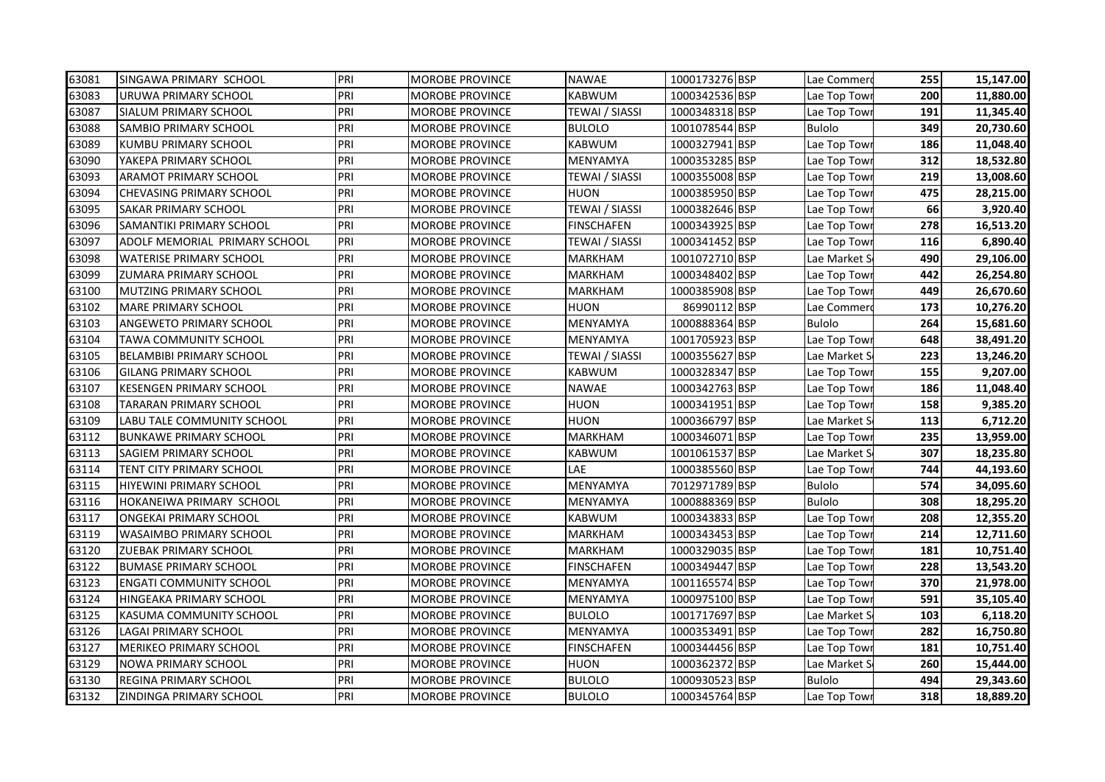| 63081 | SINGAWA PRIMARY SCHOOL            | PRI | <b>MOROBE PROVINCE</b> | <b>NAWAE</b>      | 1000173276 BSP | Lae Commerd   | 255 | 15,147.00 |
|-------|-----------------------------------|-----|------------------------|-------------------|----------------|---------------|-----|-----------|
| 63083 | URUWA PRIMARY SCHOOL              | PRI | MOROBE PROVINCE        | KABWUM            | 1000342536 BSP | Lae Top Towi  | 200 | 11,880.00 |
| 63087 | <b>SIALUM PRIMARY SCHOOL</b>      | PRI | <b>MOROBE PROVINCE</b> | TEWAI / SIASSI    | 1000348318 BSP | Lae Top Towi  | 191 | 11,345.40 |
| 63088 | <b>SAMBIO PRIMARY SCHOOL</b>      | PRI | MOROBE PROVINCE        | <b>BULOLO</b>     | 1001078544 BSP | <b>Bulolo</b> | 349 | 20,730.60 |
| 63089 | <b>KUMBU PRIMARY SCHOOL</b>       | PRI | <b>MOROBE PROVINCE</b> | KABWUM            | 1000327941 BSP | Lae Top Tow   | 186 | 11,048.40 |
| 63090 | YAKEPA PRIMARY SCHOOL             | PRI | <b>MOROBE PROVINCE</b> | MENYAMYA          | 1000353285 BSP | Lae Top Towi  | 312 | 18,532.80 |
| 63093 | <b>ARAMOT PRIMARY SCHOOL</b>      | PRI | <b>MOROBE PROVINCE</b> | TEWAI / SIASSI    | 1000355008 BSP | Lae Top Tow   | 219 | 13,008.60 |
| 63094 | <b>CHEVASING PRIMARY SCHOOL</b>   | PRI | MOROBE PROVINCE        | HUON              | 1000385950 BSP | Lae Top Towi  | 475 | 28,215.00 |
| 63095 | <b>SAKAR PRIMARY SCHOOL</b>       | PRI | MOROBE PROVINCE        | TEWAI / SIASSI    | 1000382646 BSP | Lae Top Tow   | 66  | 3,920.40  |
| 63096 | <b>SAMANTIKI PRIMARY SCHOOL</b>   | PRI | MOROBE PROVINCE        | <b>FINSCHAFEN</b> | 1000343925 BSP | Lae Top Tow   | 278 | 16,513.20 |
| 63097 | ADOLF MEMORIAL PRIMARY SCHOOL     | PRI | MOROBE PROVINCE        | TEWAI / SIASSI    | 1000341452 BSP | Lae Top Tow   | 116 | 6,890.40  |
| 63098 | <b>WATERISE PRIMARY SCHOOL</b>    | PRI | MOROBE PROVINCE        | MARKHAM           | 1001072710 BSP | Lae Market S  | 490 | 29,106.00 |
| 63099 | <b>ZUMARA PRIMARY SCHOOL</b>      | PRI | MOROBE PROVINCE        | MARKHAM           | 1000348402 BSP | Lae Top Towi  | 442 | 26,254.80 |
| 63100 | <b>MUTZING PRIMARY SCHOOL</b>     | PRI | MOROBE PROVINCE        | MARKHAM           | 1000385908 BSP | Lae Top Towi  | 449 | 26,670.60 |
| 63102 | <b>MARE PRIMARY SCHOOL</b>        | PRI | MOROBE PROVINCE        | HUON              | 86990112 BSP   | Lae Commer    | 173 | 10,276.20 |
| 63103 | <b>ANGEWETO PRIMARY SCHOOL</b>    | PRI | <b>MOROBE PROVINCE</b> | MENYAMYA          | 1000888364 BSP | <b>Bulolo</b> | 264 | 15,681.60 |
| 63104 | <b>TAWA COMMUNITY SCHOOL</b>      | PRI | <b>MOROBE PROVINCE</b> | MENYAMYA          | 1001705923 BSP | Lae Top Tow   | 648 | 38,491.20 |
| 63105 | <b>BELAMBIBI PRIMARY SCHOOL</b>   | PRI | <b>MOROBE PROVINCE</b> | TEWAI / SIASSI    | 1000355627 BSP | Lae Market S  | 223 | 13,246.20 |
| 63106 | <b>GILANG PRIMARY SCHOOL</b>      | PRI | <b>MOROBE PROVINCE</b> | <b>KABWUM</b>     | 1000328347 BSP | Lae Top Tow   | 155 | 9,207.00  |
| 63107 | <b>KESENGEN PRIMARY SCHOOL</b>    | PRI | MOROBE PROVINCE        | <b>NAWAE</b>      | 1000342763 BSP | Lae Top Tow   | 186 | 11,048.40 |
| 63108 | TARARAN PRIMARY SCHOOL            | PRI | MOROBE PROVINCE        | HUON              | 1000341951 BSP | Lae Top Tow   | 158 | 9,385.20  |
| 63109 | <b>LABU TALE COMMUNITY SCHOOL</b> | PRI | MOROBE PROVINCE        | HUON              | 1000366797 BSP | Lae Market S  | 113 | 6,712.20  |
| 63112 | <b>BUNKAWE PRIMARY SCHOOL</b>     | PRI | <b>MOROBE PROVINCE</b> | MARKHAM           | 1000346071 BSP | Lae Top Towi  | 235 | 13,959.00 |
| 63113 | SAGIEM PRIMARY SCHOOL             | PRI | MOROBE PROVINCE        | KABWUM            | 1001061537 BSP | Lae Market S  | 307 | 18,235.80 |
| 63114 | TENT CITY PRIMARY SCHOOL          | PRI | MOROBE PROVINCE        | LAE               | 1000385560 BSP | Lae Top Tow   | 744 | 44,193.60 |
| 63115 | <b>HIYEWINI PRIMARY SCHOOL</b>    | PRI | MOROBE PROVINCE        | MENYAMYA          | 7012971789 BSP | <b>Bulolo</b> | 574 | 34,095.60 |
| 63116 | HOKANEIWA PRIMARY SCHOOL          | PRI | MOROBE PROVINCE        | MENYAMYA          | 1000888369 BSP | <b>Bulolo</b> | 308 | 18,295.20 |
| 63117 | <b>ONGEKAI PRIMARY SCHOOL</b>     | PRI | <b>MOROBE PROVINCE</b> | KABWUM            | 1000343833 BSP | Lae Top Tow   | 208 | 12,355.20 |
| 63119 | <b>WASAIMBO PRIMARY SCHOOL</b>    | PRI | <b>MOROBE PROVINCE</b> | MARKHAM           | 1000343453 BSP | Lae Top Towi  | 214 | 12,711.60 |
| 63120 | <b>ZUEBAK PRIMARY SCHOOL</b>      | PRI | <b>MOROBE PROVINCE</b> | MARKHAM           | 1000329035 BSP | Lae Top Towi  | 181 | 10,751.40 |
| 63122 | <b>BUMASE PRIMARY SCHOOL</b>      | PRI | MOROBE PROVINCE        | <b>FINSCHAFEN</b> | 1000349447 BSP | Lae Top Towi  | 228 | 13,543.20 |
| 63123 | <b>ENGATI COMMUNITY SCHOOL</b>    | PRI | MOROBE PROVINCE        | MENYAMYA          | 1001165574 BSP | Lae Top Tow   | 370 | 21,978.00 |
| 63124 | HINGEAKA PRIMARY SCHOOL           | PRI | MOROBE PROVINCE        | MENYAMYA          | 1000975100 BSP | Lae Top Tow   | 591 | 35,105.40 |
| 63125 | KASUMA COMMUNITY SCHOOL           | PRI | MOROBE PROVINCE        | <b>BULOLO</b>     | 1001717697 BSP | Lae Market S  | 103 | 6,118.20  |
| 63126 | LAGAI PRIMARY SCHOOL              | PRI | MOROBE PROVINCE        | MENYAMYA          | 1000353491 BSP | Lae Top Towi  | 282 | 16,750.80 |
| 63127 | <b>MERIKEO PRIMARY SCHOOL</b>     | PRI | MOROBE PROVINCE        | <b>FINSCHAFEN</b> | 1000344456 BSP | Lae Top Towi  | 181 | 10,751.40 |
| 63129 | <b>NOWA PRIMARY SCHOOL</b>        | PRI | MOROBE PROVINCE        | HUON              | 1000362372 BSP | Lae Market S  | 260 | 15,444.00 |
| 63130 | <b>REGINA PRIMARY SCHOOL</b>      | PRI | MOROBE PROVINCE        | <b>BULOLO</b>     | 1000930523 BSP | <b>Bulolo</b> | 494 | 29,343.60 |
| 63132 | <b>ZINDINGA PRIMARY SCHOOL</b>    | PRI | <b>MOROBE PROVINCE</b> | <b>BULOLO</b>     | 1000345764 BSP | Lae Top Towr  | 318 | 18,889.20 |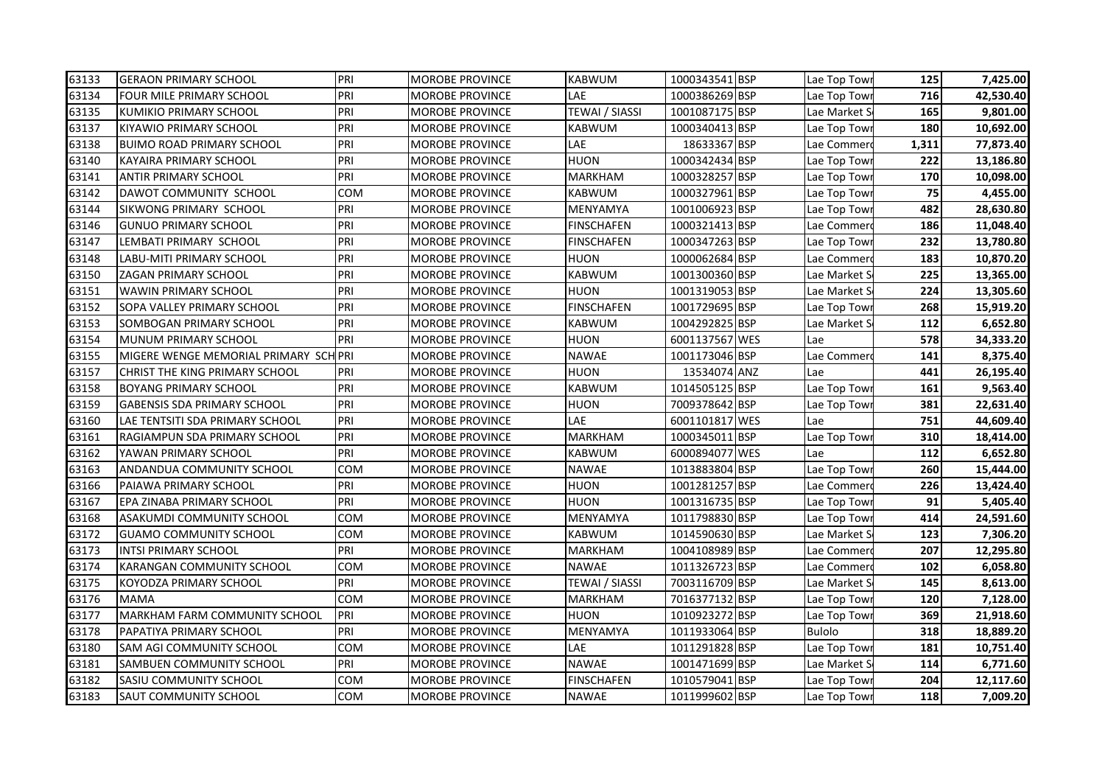| 63133 | <b>GERAON PRIMARY SCHOOL</b>         | PRI | <b>MOROBE PROVINCE</b> | <b>KABWUM</b>         | 1000343541 BSP | Lae Top Town | 125   | 7,425.00  |
|-------|--------------------------------------|-----|------------------------|-----------------------|----------------|--------------|-------|-----------|
| 63134 | FOUR MILE PRIMARY SCHOOL             | PRI | <b>MOROBE PROVINCE</b> | LAE                   | 1000386269 BSP | Lae Top Towr | 716   | 42,530.40 |
| 63135 | KUMIKIO PRIMARY SCHOOL               | PRI | <b>MOROBE PROVINCE</b> | <b>TEWAI / SIASSI</b> | 1001087175 BSP | Lae Market S | 165   | 9.801.00  |
| 63137 | <b>KIYAWIO PRIMARY SCHOOL</b>        | PRI | <b>MOROBE PROVINCE</b> | KABWUM                | 1000340413 BSP | Lae Top Tow  | 180   | 10,692.00 |
| 63138 | <b>BUIMO ROAD PRIMARY SCHOOL</b>     | PRI | <b>MOROBE PROVINCE</b> | LAE                   | 18633367 BSP   | Lae Commer   | 1,311 | 77,873.40 |
| 63140 | KAYAIRA PRIMARY SCHOOL               | PRI | <b>MOROBE PROVINCE</b> | <b>HUON</b>           | 1000342434 BSP | Lae Top Towi | 222   | 13,186.80 |
| 63141 | <b>ANTIR PRIMARY SCHOOL</b>          | PRI | <b>MOROBE PROVINCE</b> | <b>MARKHAM</b>        | 1000328257 BSP | Lae Top Towi | 170   | 10,098.00 |
| 63142 | DAWOT COMMUNITY SCHOOL               | COM | MOROBE PROVINCE        | <b>KABWUM</b>         | 1000327961 BSP | Lae Top Towi | 75    | 4,455.00  |
| 63144 | SIKWONG PRIMARY SCHOOL               | PRI | <b>MOROBE PROVINCE</b> | <b>MENYAMYA</b>       | 1001006923 BSP | Lae Top Towi | 482   | 28,630.80 |
| 63146 | <b>GUNUO PRIMARY SCHOOL</b>          | PRI | MOROBE PROVINCE        | <b>FINSCHAFEN</b>     | 1000321413 BSP | Lae Commer   | 186   | 11,048.40 |
| 63147 | LEMBATI PRIMARY SCHOOL               | PRI | MOROBE PROVINCE        | <b>FINSCHAFEN</b>     | 1000347263 BSP | Lae Top Towi | 232   | 13,780.80 |
| 63148 | LABU-MITI PRIMARY SCHOOL             | PRI | MOROBE PROVINCE        | HUON                  | 1000062684 BSP | Lae Commer   | 183   | 10,870.20 |
| 63150 | ZAGAN PRIMARY SCHOOL                 | PRI | MOROBE PROVINCE        | <b>KABWUM</b>         | 1001300360 BSP | Lae Market S | 225   | 13,365.00 |
| 63151 | WAWIN PRIMARY SCHOOL                 | PRI | <b>MOROBE PROVINCE</b> | <b>HUON</b>           | 1001319053 BSP | Lae Market S | 224   | 13,305.60 |
| 63152 | SOPA VALLEY PRIMARY SCHOOL           | PRI | <b>MOROBE PROVINCE</b> | <b>FINSCHAFEN</b>     | 1001729695 BSP | Lae Top Tow  | 268   | 15,919.20 |
| 63153 | SOMBOGAN PRIMARY SCHOOL              | PRI | <b>MOROBE PROVINCE</b> | <b>KABWUM</b>         | 1004292825 BSP | Lae Market S | 112   | 6,652.80  |
| 63154 | MUNUM PRIMARY SCHOOL                 | PRI | <b>MOROBE PROVINCE</b> | <b>HUON</b>           | 6001137567 WES | Lae          | 578   | 34,333.20 |
| 63155 | MIGERE WENGE MEMORIAL PRIMARY SCHPRI |     | MOROBE PROVINCE        | <b>NAWAE</b>          | 1001173046 BSP | Lae Commer   | 141   | 8,375.40  |
| 63157 | CHRIST THE KING PRIMARY SCHOOL       | PRI | MOROBE PROVINCE        | <b>HUON</b>           | 13534074 ANZ   | Lae          | 441   | 26,195.40 |
| 63158 | <b>BOYANG PRIMARY SCHOOL</b>         | PRI | <b>MOROBE PROVINCE</b> | <b>KABWUM</b>         | 1014505125 BSP | Lae Top Tow  | 161   | 9,563.40  |
| 63159 | <b>GABENSIS SDA PRIMARY SCHOOL</b>   | PRI | MOROBE PROVINCE        | <b>HUON</b>           | 7009378642 BSP | Lae Top Tow  | 381   | 22,631.40 |
| 63160 | LAE TENTSITI SDA PRIMARY SCHOOL      | PRI | MOROBE PROVINCE        | LAE                   | 6001101817 WES | Lae          | 751   | 44,609.40 |
| 63161 | RAGIAMPUN SDA PRIMARY SCHOOL         | PRI | MOROBE PROVINCE        | <b>MARKHAM</b>        | 1000345011 BSP | Lae Top Towi | 310   | 18,414.00 |
| 63162 | YAWAN PRIMARY SCHOOL                 | PRI | MOROBE PROVINCE        | <b>KABWUM</b>         | 6000894077 WES | Lae          | 112   | 6,652.80  |
| 63163 | ANDANDUA COMMUNITY SCHOOL            | COM | <b>MOROBE PROVINCE</b> | <b>NAWAE</b>          | 1013883804 BSP | Lae Top Towi | 260   | 15,444.00 |
| 63166 | PAIAWA PRIMARY SCHOOL                | PRI | MOROBE PROVINCE        | <b>HUON</b>           | 1001281257 BSP | Lae Commer   | 226   | 13,424.40 |
| 63167 | EPA ZINABA PRIMARY SCHOOL            | PRI | <b>MOROBE PROVINCE</b> | <b>HUON</b>           | 1001316735 BSP | Lae Top Tow  | 91    | 5,405.40  |
| 63168 | <b>ASAKUMDI COMMUNITY SCHOOL</b>     | COM | <b>MOROBE PROVINCE</b> | <b>MENYAMYA</b>       | 1011798830 BSP | Lae Top Towi | 414   | 24,591.60 |
| 63172 | <b>GUAMO COMMUNITY SCHOOL</b>        | COM | MOROBE PROVINCE        | <b>KABWUM</b>         | 1014590630 BSP | Lae Market S | 123   | 7,306.20  |
| 63173 | <b>INTSI PRIMARY SCHOOL</b>          | PRI | <b>MOROBE PROVINCE</b> | <b>MARKHAM</b>        | 1004108989 BSP | Lae Commer   | 207   | 12,295.80 |
| 63174 | KARANGAN COMMUNITY SCHOOL            | COM | MOROBE PROVINCE        | <b>NAWAE</b>          | 1011326723 BSP | Lae Commer   | 102   | 6,058.80  |
| 63175 | KOYODZA PRIMARY SCHOOL               | PRI | <b>MOROBE PROVINCE</b> | TEWAI / SIASSI        | 7003116709 BSP | Lae Market S | 145   | 8,613.00  |
| 63176 | MAMA                                 | COM | MOROBE PROVINCE        | <b>MARKHAM</b>        | 7016377132 BSP | Lae Top Towi | 120   | 7,128.00  |
| 63177 | MARKHAM FARM COMMUNITY SCHOOL        | PRI | MOROBE PROVINCE        | HUON                  | 1010923272 BSP | Lae Top Towi | 369   | 21,918.60 |
| 63178 | PAPATIYA PRIMARY SCHOOL              | PRI | MOROBE PROVINCE        | MENYAMYA              | 1011933064 BSP | Bulolo       | 318   | 18,889.20 |
| 63180 | SAM AGI COMMUNITY SCHOOL             | COM | MOROBE PROVINCE        | LAE                   | 1011291828 BSP | Lae Top Towi | 181   | 10,751.40 |
| 63181 | SAMBUEN COMMUNITY SCHOOL             | PRI | <b>MOROBE PROVINCE</b> | <b>NAWAE</b>          | 1001471699 BSP | Lae Market S | 114   | 6,771.60  |
| 63182 | <b>SASIU COMMUNITY SCHOOL</b>        | COM | <b>MOROBE PROVINCE</b> | <b>FINSCHAFEN</b>     | 1010579041 BSP | Lae Top Towi | 204   | 12,117.60 |
| 63183 | <b>SAUT COMMUNITY SCHOOL</b>         | COM | <b>MOROBE PROVINCE</b> | <b>NAWAE</b>          | 1011999602 BSP | Lae Top Towr | 118   | 7,009.20  |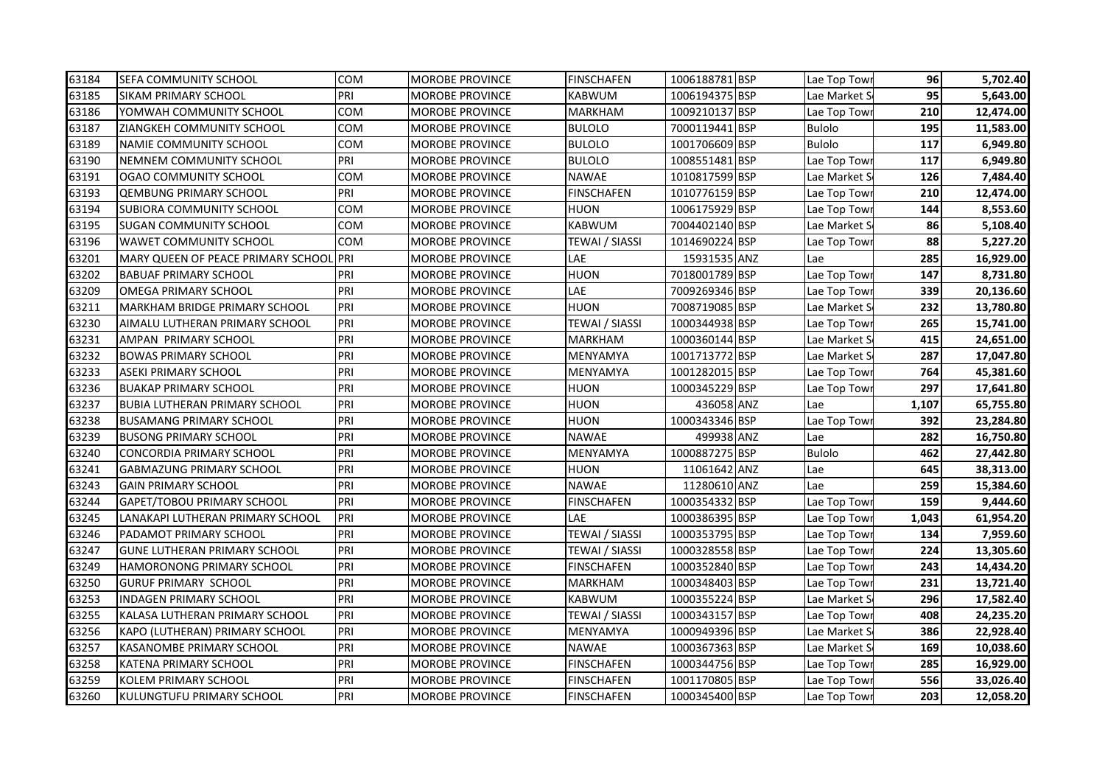| 63184 | <b>SEFA COMMUNITY SCHOOL</b>           | <b>COM</b> | <b>MOROBE PROVINCE</b> | <b>FINSCHAFEN</b> | 1006188781 BSP | Lae Top Towi  | 96    | 5,702.40  |
|-------|----------------------------------------|------------|------------------------|-------------------|----------------|---------------|-------|-----------|
| 63185 | <b>SIKAM PRIMARY SCHOOL</b>            | PRI        | MOROBE PROVINCE        | KABWUM            | 1006194375 BSP | Lae Market S  | 95    | 5,643.00  |
| 63186 | YOMWAH COMMUNITY SCHOOL                | COM        | MOROBE PROVINCE        | MARKHAM           | 1009210137 BSP | Lae Top Towi  | 210   | 12,474.00 |
| 63187 | ZIANGKEH COMMUNITY SCHOOL              | COM        | MOROBE PROVINCE        | <b>BULOLO</b>     | 7000119441 BSP | <b>Bulolo</b> | 195   | 11,583.00 |
| 63189 | <b>NAMIE COMMUNITY SCHOOL</b>          | COM        | <b>MOROBE PROVINCE</b> | <b>BULOLO</b>     | 1001706609 BSP | <b>Bulolo</b> | 117   | 6,949.80  |
| 63190 | NEMNEM COMMUNITY SCHOOL                | PRI        | <b>MOROBE PROVINCE</b> | <b>BULOLO</b>     | 1008551481 BSP | Lae Top Tow   | 117   | 6,949.80  |
| 63191 | OGAO COMMUNITY SCHOOL                  | COM        | <b>MOROBE PROVINCE</b> | <b>NAWAE</b>      | 1010817599 BSP | Lae Market S  | 126   | 7,484.40  |
| 63193 | <b>QEMBUNG PRIMARY SCHOOL</b>          | PRI        | <b>MOROBE PROVINCE</b> | <b>FINSCHAFEN</b> | 1010776159 BSP | Lae Top Tow   | 210   | 12,474.00 |
| 63194 | <b>SUBIORA COMMUNITY SCHOOL</b>        | COM        | MOROBE PROVINCE        | HUON              | 1006175929 BSP | Lae Top Tow   | 144   | 8,553.60  |
| 63195 | <b>SUGAN COMMUNITY SCHOOL</b>          | COM        | MOROBE PROVINCE        | KABWUM            | 7004402140 BSP | Lae Market S  | 86    | 5,108.40  |
| 63196 | <b>WAWET COMMUNITY SCHOOL</b>          | COM        | MOROBE PROVINCE        | TEWAI / SIASSI    | 1014690224 BSP | Lae Top Tow   | 88    | 5,227.20  |
| 63201 | MARY QUEEN OF PEACE PRIMARY SCHOOL PRI |            | MOROBE PROVINCE        | LAE               | 15931535 ANZ   | Lae           | 285   | 16,929.00 |
| 63202 | <b>BABUAF PRIMARY SCHOOL</b>           | PRI        | MOROBE PROVINCE        | HUON              | 7018001789 BSP | Lae Top Towi  | 147   | 8,731.80  |
| 63209 | <b>OMEGA PRIMARY SCHOOL</b>            | PRI        | MOROBE PROVINCE        | LAE               | 7009269346 BSP | Lae Top Towi  | 339   | 20,136.60 |
| 63211 | <b>MARKHAM BRIDGE PRIMARY SCHOOL</b>   | PRI        | MOROBE PROVINCE        | <b>HUON</b>       | 7008719085 BSP | Lae Market S  | 232   | 13,780.80 |
| 63230 | AIMALU LUTHERAN PRIMARY SCHOOL         | PRI        | MOROBE PROVINCE        | TEWAI / SIASSI    | 1000344938 BSP | Lae Top Tow   | 265   | 15,741.00 |
| 63231 | AMPAN PRIMARY SCHOOL                   | PRI        | <b>MOROBE PROVINCE</b> | MARKHAM           | 1000360144 BSP | Lae Market S  | 415   | 24,651.00 |
| 63232 | <b>BOWAS PRIMARY SCHOOL</b>            | PRI        | <b>MOROBE PROVINCE</b> | MENYAMYA          | 1001713772 BSP | Lae Market S  | 287   | 17,047.80 |
| 63233 | <b>ASEKI PRIMARY SCHOOL</b>            | PRI        | <b>MOROBE PROVINCE</b> | MENYAMYA          | 1001282015 BSP | Lae Top Towi  | 764   | 45,381.60 |
| 63236 | <b>BUAKAP PRIMARY SCHOOL</b>           | PRI        | MOROBE PROVINCE        | HUON              | 1000345229 BSP | Lae Top Tow   | 297   | 17,641.80 |
| 63237 | <b>BUBIA LUTHERAN PRIMARY SCHOOL</b>   | PRI        | MOROBE PROVINCE        | HUON              | 436058 ANZ     | Lae           | 1,107 | 65,755.80 |
| 63238 | <b>BUSAMANG PRIMARY SCHOOL</b>         | PRI        | <b>MOROBE PROVINCE</b> | HUON              | 1000343346 BSP | Lae Top Tow   | 392   | 23,284.80 |
| 63239 | <b>BUSONG PRIMARY SCHOOL</b>           | PRI        | <b>MOROBE PROVINCE</b> | NAWAE             | 499938 ANZ     | Lae           | 282   | 16,750.80 |
| 63240 | <b>CONCORDIA PRIMARY SCHOOL</b>        | PRI        | MOROBE PROVINCE        | MENYAMYA          | 1000887275 BSP | <b>Bulolo</b> | 462   | 27,442.80 |
| 63241 | <b>GABMAZUNG PRIMARY SCHOOL</b>        | PRI        | MOROBE PROVINCE        | HUON              | 11061642 ANZ   | Lae           | 645   | 38,313.00 |
| 63243 | <b>GAIN PRIMARY SCHOOL</b>             | PRI        | MOROBE PROVINCE        | <b>NAWAE</b>      | 11280610 ANZ   | Lae           | 259   | 15,384.60 |
| 63244 | <b>GAPET/TOBOU PRIMARY SCHOOL</b>      | PRI        | <b>MOROBE PROVINCE</b> | <b>FINSCHAFEN</b> | 1000354332 BSP | Lae Top Tow   | 159   | 9,444.60  |
| 63245 | LANAKAPI LUTHERAN PRIMARY SCHOOL       | PRI        | <b>MOROBE PROVINCE</b> | LAE               | 1000386395 BSP | Lae Top Tow   | 1,043 | 61,954.20 |
| 63246 | PADAMOT PRIMARY SCHOOL                 | PRI        | MOROBE PROVINCE        | TEWAI / SIASSI    | 1000353795 BSP | Lae Top Towi  | 134   | 7,959.60  |
| 63247 | <b>GUNE LUTHERAN PRIMARY SCHOOL</b>    | PRI        | <b>MOROBE PROVINCE</b> | TEWAI / SIASSI    | 1000328558 BSP | Lae Top Tow   | 224   | 13,305.60 |
| 63249 | <b>HAMORONONG PRIMARY SCHOOL</b>       | PRI        | MOROBE PROVINCE        | <b>FINSCHAFEN</b> | 1000352840 BSP | Lae Top Towi  | 243   | 14,434.20 |
| 63250 | <b>GURUF PRIMARY SCHOOL</b>            | PRI        | MOROBE PROVINCE        | MARKHAM           | 1000348403 BSP | Lae Top Tow   | 231   | 13,721.40 |
| 63253 | <b>INDAGEN PRIMARY SCHOOL</b>          | PRI        | MOROBE PROVINCE        | KABWUM            | 1000355224 BSP | Lae Market S  | 296   | 17,582.40 |
| 63255 | KALASA LUTHERAN PRIMARY SCHOOL         | PRI        | MOROBE PROVINCE        | TEWAI / SIASSI    | 1000343157 BSP | Lae Top Towi  | 408   | 24,235.20 |
| 63256 | KAPO (LUTHERAN) PRIMARY SCHOOL         | PRI        | MOROBE PROVINCE        | MENYAMYA          | 1000949396 BSP | Lae Market S  | 386   | 22,928.40 |
| 63257 | <b>KASANOMBE PRIMARY SCHOOL</b>        | PRI        | MOROBE PROVINCE        | NAWAE             | 1000367363 BSP | Lae Market S  | 169   | 10,038.60 |
| 63258 | <b>KATENA PRIMARY SCHOOL</b>           | PRI        | MOROBE PROVINCE        | <b>FINSCHAFEN</b> | 1000344756 BSP | Lae Top Towi  | 285   | 16,929.00 |
| 63259 | <b>KOLEM PRIMARY SCHOOL</b>            | PRI        | MOROBE PROVINCE        | <b>FINSCHAFEN</b> | 1001170805 BSP | Lae Top Tow   | 556   | 33,026.40 |
| 63260 | KULUNGTUFU PRIMARY SCHOOL              | PRI        | <b>MOROBE PROVINCE</b> | <b>FINSCHAFEN</b> | 1000345400 BSP | Lae Top Towr  | 203   | 12,058.20 |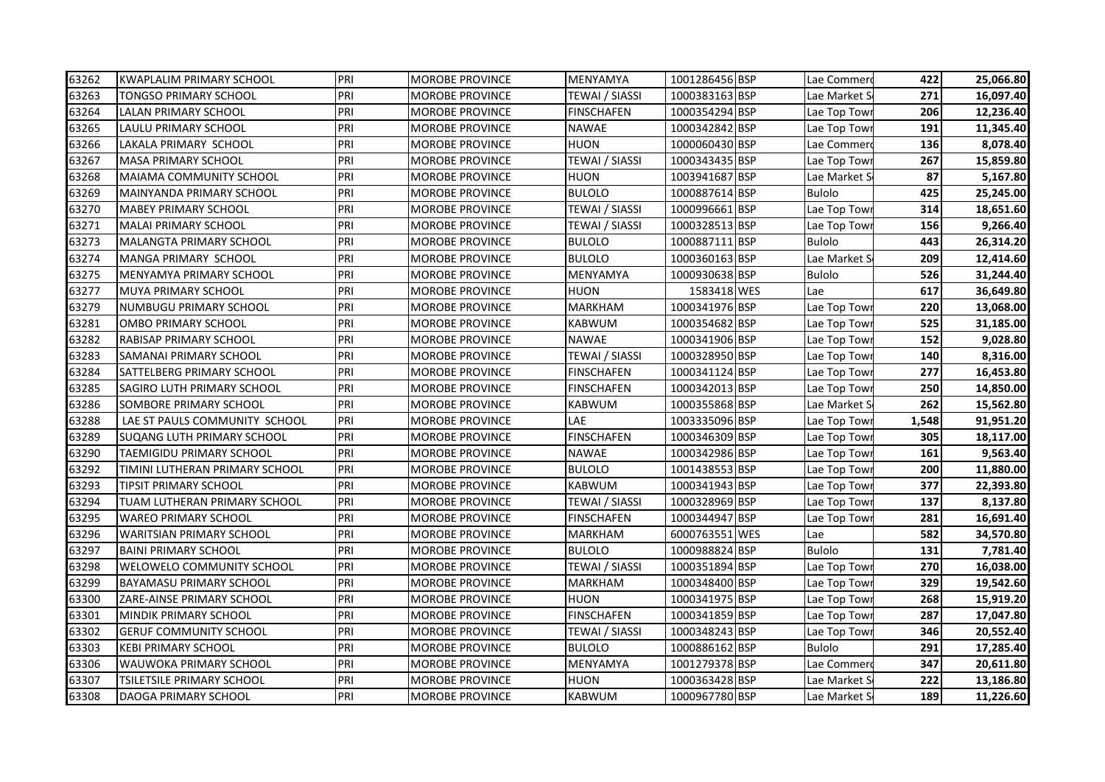| 63262 | <b>KWAPLALIM PRIMARY SCHOOL</b>  | PRI | <b>MOROBE PROVINCE</b> | MENYAMYA          | 1001286456 BSP | Lae Commero   | 422   | 25,066.80 |
|-------|----------------------------------|-----|------------------------|-------------------|----------------|---------------|-------|-----------|
| 63263 | TONGSO PRIMARY SCHOOL            | PRI | MOROBE PROVINCE        | TEWAI / SIASSI    | 1000383163 BSP | Lae Market S  | 271   | 16,097.40 |
| 63264 | <b>LALAN PRIMARY SCHOOL</b>      | PRI | <b>MOROBE PROVINCE</b> | <b>FINSCHAFEN</b> | 1000354294 BSP | Lae Top Towi  | 206   | 12,236.40 |
| 63265 | <b>LAULU PRIMARY SCHOOL</b>      | PRI | MOROBE PROVINCE        | <b>NAWAE</b>      | 1000342842 BSP | Lae Top Tow   | 191   | 11,345.40 |
| 63266 | LAKALA PRIMARY SCHOOL            | PRI | <b>MOROBE PROVINCE</b> | HUON              | 1000060430 BSP | Lae Commer    | 136   | 8,078.40  |
| 63267 | <b>MASA PRIMARY SCHOOL</b>       | PRI | <b>MOROBE PROVINCE</b> | TEWAI / SIASSI    | 1000343435 BSP | Lae Top Towi  | 267   | 15,859.80 |
| 63268 | <b>MAIAMA COMMUNITY SCHOOL</b>   | PRI | <b>MOROBE PROVINCE</b> | <b>HUON</b>       | 1003941687 BSP | Lae Market S  | 87    | 5,167.80  |
| 63269 | <b>MAINYANDA PRIMARY SCHOOL</b>  | PRI | MOROBE PROVINCE        | <b>BULOLO</b>     | 1000887614 BSP | <b>Bulolo</b> | 425   | 25,245.00 |
| 63270 | <b>MABEY PRIMARY SCHOOL</b>      | PRI | MOROBE PROVINCE        | TEWAI / SIASSI    | 1000996661 BSP | Lae Top Tow   | 314   | 18,651.60 |
| 63271 | <b>MALAI PRIMARY SCHOOL</b>      | PRI | MOROBE PROVINCE        | TEWAI / SIASSI    | 1000328513 BSP | Lae Top Tow   | 156   | 9,266.40  |
| 63273 | MALANGTA PRIMARY SCHOOL          | PRI | MOROBE PROVINCE        | <b>BULOLO</b>     | 1000887111 BSP | <b>Bulolo</b> | 443   | 26,314.20 |
| 63274 | MANGA PRIMARY SCHOOL             | PRI | MOROBE PROVINCE        | BULOLO            | 1000360163 BSP | Lae Market S  | 209   | 12,414.60 |
| 63275 | MENYAMYA PRIMARY SCHOOL          | PRI | MOROBE PROVINCE        | MENYAMYA          | 1000930638 BSP | <b>Bulolo</b> | 526   | 31,244.40 |
| 63277 | <b>MUYA PRIMARY SCHOOL</b>       | PRI | MOROBE PROVINCE        | HUON              | 1583418 WES    | Lae           | 617   | 36,649.80 |
| 63279 | NUMBUGU PRIMARY SCHOOL           | PRI | MOROBE PROVINCE        | MARKHAM           | 1000341976 BSP | Lae Top Tow   | 220   | 13,068.00 |
| 63281 | <b>OMBO PRIMARY SCHOOL</b>       | PRI | <b>MOROBE PROVINCE</b> | KABWUM            | 1000354682 BSP | Lae Top Towi  | 525   | 31,185.00 |
| 63282 | <b>RABISAP PRIMARY SCHOOL</b>    | PRI | <b>MOROBE PROVINCE</b> | <b>NAWAE</b>      | 1000341906 BSP | Lae Top Towi  | 152   | 9,028.80  |
| 63283 | <b>SAMANAI PRIMARY SCHOOL</b>    | PRI | <b>MOROBE PROVINCE</b> | TEWAI / SIASSI    | 1000328950 BSP | Lae Top Towi  | 140   | 8,316.00  |
| 63284 | <b>SATTELBERG PRIMARY SCHOOL</b> | PRI | <b>MOROBE PROVINCE</b> | <b>FINSCHAFEN</b> | 1000341124 BSP | Lae Top Towr  | 277   | 16,453.80 |
| 63285 | SAGIRO LUTH PRIMARY SCHOOL       | PRI | MOROBE PROVINCE        | <b>FINSCHAFEN</b> | 1000342013 BSP | Lae Top Tow   | 250   | 14,850.00 |
| 63286 | SOMBORE PRIMARY SCHOOL           | PRI | MOROBE PROVINCE        | KABWUM            | 1000355868 BSP | Lae Market S  | 262   | 15,562.80 |
| 63288 | LAE ST PAULS COMMUNITY SCHOOL    | PRI | MOROBE PROVINCE        | LAE               | 1003335096 BSP | Lae Top Tow   | 1,548 | 91,951.20 |
| 63289 | SUQANG LUTH PRIMARY SCHOOL       | PRI | <b>MOROBE PROVINCE</b> | <b>FINSCHAFEN</b> | 1000346309 BSP | Lae Top Towi  | 305   | 18,117.00 |
| 63290 | TAEMIGIDU PRIMARY SCHOOL         | PRI | MOROBE PROVINCE        | NAWAE             | 1000342986 BSP | Lae Top Towi  | 161   | 9,563.40  |
| 63292 | TIMINI LUTHERAN PRIMARY SCHOOL   | PRI | MOROBE PROVINCE        | <b>BULOLO</b>     | 1001438553 BSP | Lae Top Towi  | 200   | 11,880.00 |
| 63293 | TIPSIT PRIMARY SCHOOL            | PRI | MOROBE PROVINCE        | KABWUM            | 1000341943 BSP | Lae Top Tow   | 377   | 22,393.80 |
| 63294 | TUAM LUTHERAN PRIMARY SCHOOL     | PRI | MOROBE PROVINCE        | TEWAI / SIASSI    | 1000328969 BSP | Lae Top Tow   | 137   | 8,137.80  |
| 63295 | <b>WAREO PRIMARY SCHOOL</b>      | PRI | <b>MOROBE PROVINCE</b> | <b>FINSCHAFEN</b> | 1000344947 BSP | Lae Top Tow   | 281   | 16,691.40 |
| 63296 | <b>WARITSIAN PRIMARY SCHOOL</b>  | PRI | <b>MOROBE PROVINCE</b> | MARKHAM           | 6000763551 WES | Lae           | 582   | 34,570.80 |
| 63297 | <b>BAINI PRIMARY SCHOOL</b>      | PRI | <b>MOROBE PROVINCE</b> | <b>BULOLO</b>     | 1000988824 BSP | <b>Bulolo</b> | 131   | 7,781.40  |
| 63298 | <b>WELOWELO COMMUNITY SCHOOL</b> | PRI | MOROBE PROVINCE        | TEWAI / SIASSI    | 1000351894 BSP | Lae Top Tow   | 270   | 16,038.00 |
| 63299 | <b>BAYAMASU PRIMARY SCHOOL</b>   | PRI | MOROBE PROVINCE        | MARKHAM           | 1000348400 BSP | Lae Top Tow   | 329   | 19,542.60 |
| 63300 | ZARE-AINSE PRIMARY SCHOOL        | PRI | MOROBE PROVINCE        | HUON              | 1000341975 BSP | Lae Top Tow   | 268   | 15,919.20 |
| 63301 | <b>MINDIK PRIMARY SCHOOL</b>     | PRI | MOROBE PROVINCE        | FINSCHAFEN        | 1000341859 BSP | Lae Top Towi  | 287   | 17,047.80 |
| 63302 | <b>GERUF COMMUNITY SCHOOL</b>    | PRI | MOROBE PROVINCE        | TEWAI / SIASSI    | 1000348243 BSP | Lae Top Tow   | 346   | 20,552.40 |
| 63303 | <b>KEBI PRIMARY SCHOOL</b>       | PRI | MOROBE PROVINCE        | <b>BULOLO</b>     | 1000886162 BSP | <b>Bulolo</b> | 291   | 17,285.40 |
| 63306 | WAUWOKA PRIMARY SCHOOL           | PRI | MOROBE PROVINCE        | MENYAMYA          | 1001279378 BSP | Lae Commer    | 347   | 20,611.80 |
| 63307 | TSILETSILE PRIMARY SCHOOL        | PRI | MOROBE PROVINCE        | HUON              | 1000363428 BSP | Lae Market S  | 222   | 13,186.80 |
| 63308 | DAOGA PRIMARY SCHOOL             | PRI | <b>MOROBE PROVINCE</b> | <b>KABWUM</b>     | 1000967780 BSP | Lae Market S  | 189   | 11,226.60 |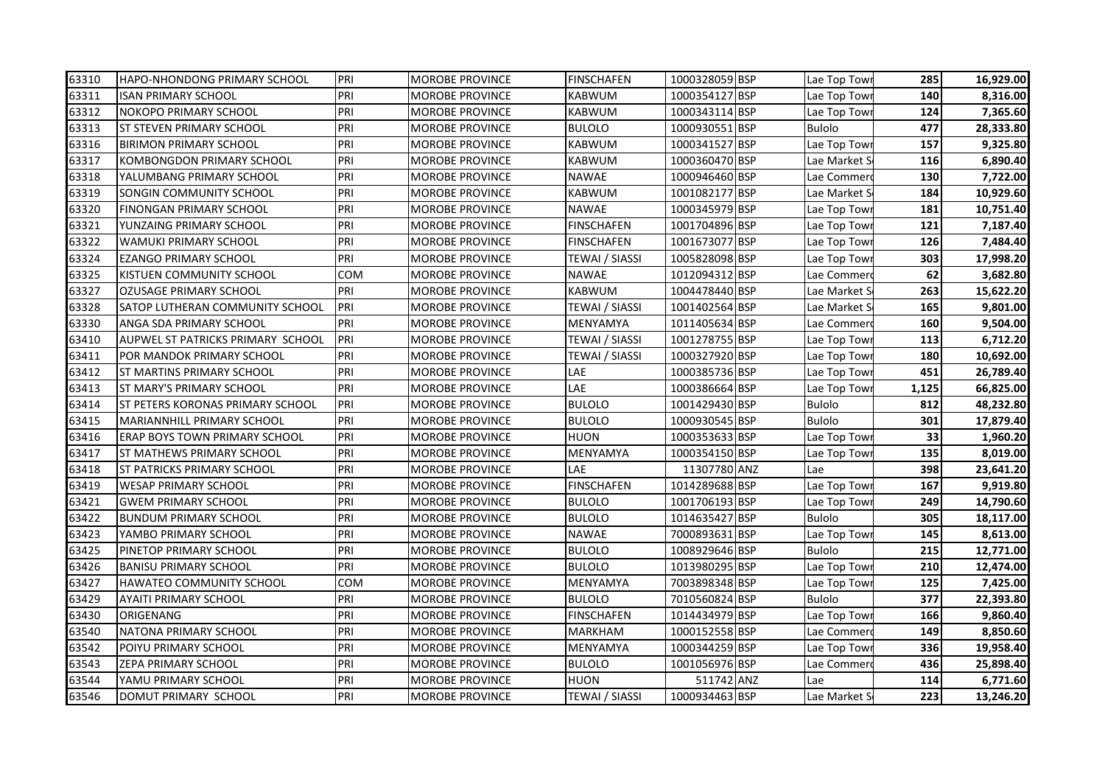| 63310 | HAPO-NHONDONG PRIMARY SCHOOL            | PRI | <b>MOROBE PROVINCE</b> | <b>FINSCHAFEN</b>     | 1000328059 BSP | Lae Top Town  | 285   | 16,929.00 |
|-------|-----------------------------------------|-----|------------------------|-----------------------|----------------|---------------|-------|-----------|
| 63311 | ISAN PRIMARY SCHOOL                     | PRI | <b>MOROBE PROVINCE</b> | <b>KABWUM</b>         | 1000354127 BSP | Lae Top Towr  | 140   | 8,316.00  |
| 63312 | NOKOPO PRIMARY SCHOOL                   | PRI | <b>MOROBE PROVINCE</b> | <b>KABWUM</b>         | 1000343114 BSP | Lae Top Towi  | 124   | 7,365.60  |
| 63313 | <b>ST STEVEN PRIMARY SCHOOL</b>         | PRI | <b>MOROBE PROVINCE</b> | <b>BULOLO</b>         | 1000930551 BSP | <b>Bulolo</b> | 477   | 28,333.80 |
| 63316 | <b>BIRIMON PRIMARY SCHOOL</b>           | PRI | <b>MOROBE PROVINCE</b> | <b>KABWUM</b>         | 1000341527 BSP | Lae Top Tow   | 157   | 9,325.80  |
| 63317 | KOMBONGDON PRIMARY SCHOOL               | PRI | <b>MOROBE PROVINCE</b> | <b>KABWUM</b>         | 1000360470 BSP | Lae Market S  | 116   | 6,890.40  |
| 63318 | YALUMBANG PRIMARY SCHOOL                | PRI | <b>MOROBE PROVINCE</b> | <b>NAWAE</b>          | 1000946460 BSP | Lae Commer    | 130   | 7,722.00  |
| 63319 | SONGIN COMMUNITY SCHOOL                 | PRI | <b>MOROBE PROVINCE</b> | <b>KABWUM</b>         | 1001082177 BSP | Lae Market S  | 184   | 10,929.60 |
| 63320 | <b>FINONGAN PRIMARY SCHOOL</b>          | PRI | <b>MOROBE PROVINCE</b> | <b>NAWAE</b>          | 1000345979 BSP | Lae Top Tow   | 181   | 10,751.40 |
| 63321 | YUNZAING PRIMARY SCHOOL                 | PRI | MOROBE PROVINCE        | <b>FINSCHAFEN</b>     | 1001704896 BSP | Lae Top Tow   | 121   | 7,187.40  |
| 63322 | WAMUKI PRIMARY SCHOOL                   | PRI | MOROBE PROVINCE        | <b>FINSCHAFEN</b>     | 1001673077 BSP | Lae Top Towi  | 126   | 7,484.40  |
| 63324 | EZANGO PRIMARY SCHOOL                   | PRI | MOROBE PROVINCE        | TEWAI / SIASSI        | 1005828098 BSP | Lae Top Towi  | 303   | 17,998.20 |
| 63325 | KISTUEN COMMUNITY SCHOOL                | COM | MOROBE PROVINCE        | <b>NAWAE</b>          | 1012094312 BSP | Lae Commero   | 62    | 3,682.80  |
| 63327 | OZUSAGE PRIMARY SCHOOL                  | PRI | MOROBE PROVINCE        | KABWUM                | 1004478440 BSP | Lae Market S  | 263   | 15,622.20 |
| 63328 | SATOP LUTHERAN COMMUNITY SCHOOL         | PRI | <b>MOROBE PROVINCE</b> | TEWAI / SIASSI        | 1001402564 BSP | Lae Market S  | 165   | 9,801.00  |
| 63330 | ANGA SDA PRIMARY SCHOOL                 | PRI | <b>MOROBE PROVINCE</b> | <b>MENYAMYA</b>       | 1011405634 BSP | Lae Commer    | 160   | 9,504.00  |
| 63410 | AUPWEL ST PATRICKS PRIMARY SCHOOL       | PRI | MOROBE PROVINCE        | TEWAI / SIASSI        | 1001278755 BSP | Lae Top Tow   | 113   | 6,712.20  |
| 63411 | POR MANDOK PRIMARY SCHOOL               | PRI | <b>MOROBE PROVINCE</b> | TEWAI / SIASSI        | 1000327920 BSP | Lae Top Towr  | 180   | 10,692.00 |
| 63412 | <b>ST MARTINS PRIMARY SCHOOL</b>        | PRI | <b>MOROBE PROVINCE</b> | LAE                   | 1000385736 BSP | Lae Top Towr  | 451   | 26,789.40 |
| 63413 | ST MARY'S PRIMARY SCHOOL                | PRI | MOROBE PROVINCE        | LAE                   | 1000386664 BSP | Lae Top Towi  | 1,125 | 66,825.00 |
| 63414 | <b>ST PETERS KORONAS PRIMARY SCHOOL</b> | PRI | <b>MOROBE PROVINCE</b> | <b>BULOLO</b>         | 1001429430 BSP | <b>Bulolo</b> | 812   | 48,232.80 |
| 63415 | MARIANNHILL PRIMARY SCHOOL              | PRI | <b>MOROBE PROVINCE</b> | <b>BULOLO</b>         | 1000930545 BSP | <b>Bulolo</b> | 301   | 17,879.40 |
| 63416 | ERAP BOYS TOWN PRIMARY SCHOOL           | PRI | <b>MOROBE PROVINCE</b> | HUON                  | 1000353633 BSP | Lae Top Towr  | 33    | 1,960.20  |
| 63417 | ST MATHEWS PRIMARY SCHOOL               | PRI | MOROBE PROVINCE        | MENYAMYA              | 1000354150 BSP | Lae Top Towi  | 135   | 8,019.00  |
| 63418 | ST PATRICKS PRIMARY SCHOOL              | PRI | MOROBE PROVINCE        | LAE                   | 11307780 ANZ   | Lae           | 398   | 23,641.20 |
| 63419 | <b>WESAP PRIMARY SCHOOL</b>             | PRI | <b>MOROBE PROVINCE</b> | <b>FINSCHAFEN</b>     | 1014289688 BSP | Lae Top Tow   | 167   | 9,919.80  |
| 63421 | <b>GWEM PRIMARY SCHOOL</b>              | PRI | <b>MOROBE PROVINCE</b> | <b>BULOLO</b>         | 1001706193 BSP | Lae Top Tow   | 249   | 14,790.60 |
| 63422 | <b>BUNDUM PRIMARY SCHOOL</b>            | PRI | <b>MOROBE PROVINCE</b> | <b>BULOLO</b>         | 1014635427 BSP | <b>Bulolo</b> | 305   | 18,117.00 |
| 63423 | YAMBO PRIMARY SCHOOL                    | PRI | <b>MOROBE PROVINCE</b> | <b>NAWAE</b>          | 7000893631 BSP | Lae Top Tow   | 145   | 8,613.00  |
| 63425 | PINETOP PRIMARY SCHOOL                  | PRI | MOROBE PROVINCE        | <b>BULOLO</b>         | 1008929646 BSP | <b>Bulolo</b> | 215   | 12,771.00 |
| 63426 | <b>BANISU PRIMARY SCHOOL</b>            | PRI | MOROBE PROVINCE        | <b>BULOLO</b>         | 1013980295 BSP | Lae Top Towi  | 210   | 12,474.00 |
| 63427 | <b>HAWATEO COMMUNITY SCHOOL</b>         | COM | <b>MOROBE PROVINCE</b> | <b>MENYAMYA</b>       | 7003898348 BSP | Lae Top Tow   | 125   | 7,425.00  |
| 63429 | AYAITI PRIMARY SCHOOL                   | PRI | MOROBE PROVINCE        | <b>BULOLO</b>         | 7010560824 BSP | <b>Bulolo</b> | 377   | 22,393.80 |
| 63430 | ORIGENANG                               | PRI | MOROBE PROVINCE        | <b>FINSCHAFEN</b>     | 1014434979 BSP | Lae Top Towi  | 166   | 9,860.40  |
| 63540 | NATONA PRIMARY SCHOOL                   | PRI | MOROBE PROVINCE        | <b>MARKHAM</b>        | 1000152558 BSP | Lae Commero   | 149   | 8,850.60  |
| 63542 | POIYU PRIMARY SCHOOL                    | PRI | MOROBE PROVINCE        | <b>MENYAMYA</b>       | 1000344259 BSP | Lae Top Towr  | 336   | 19,958.40 |
| 63543 | ZEPA PRIMARY SCHOOL                     | PRI | <b>MOROBE PROVINCE</b> | <b>BULOLO</b>         | 1001056976 BSP | Lae Commer    | 436   | 25,898.40 |
| 63544 | YAMU PRIMARY SCHOOL                     | PRI | MOROBE PROVINCE        | <b>HUON</b>           | 511742 ANZ     | Lae           | 114   | 6,771.60  |
| 63546 | DOMUT PRIMARY SCHOOL                    | PRI | <b>MOROBE PROVINCE</b> | <b>TEWAI / SIASSI</b> | 1000934463 BSP | Lae Market S  | 223   | 13,246.20 |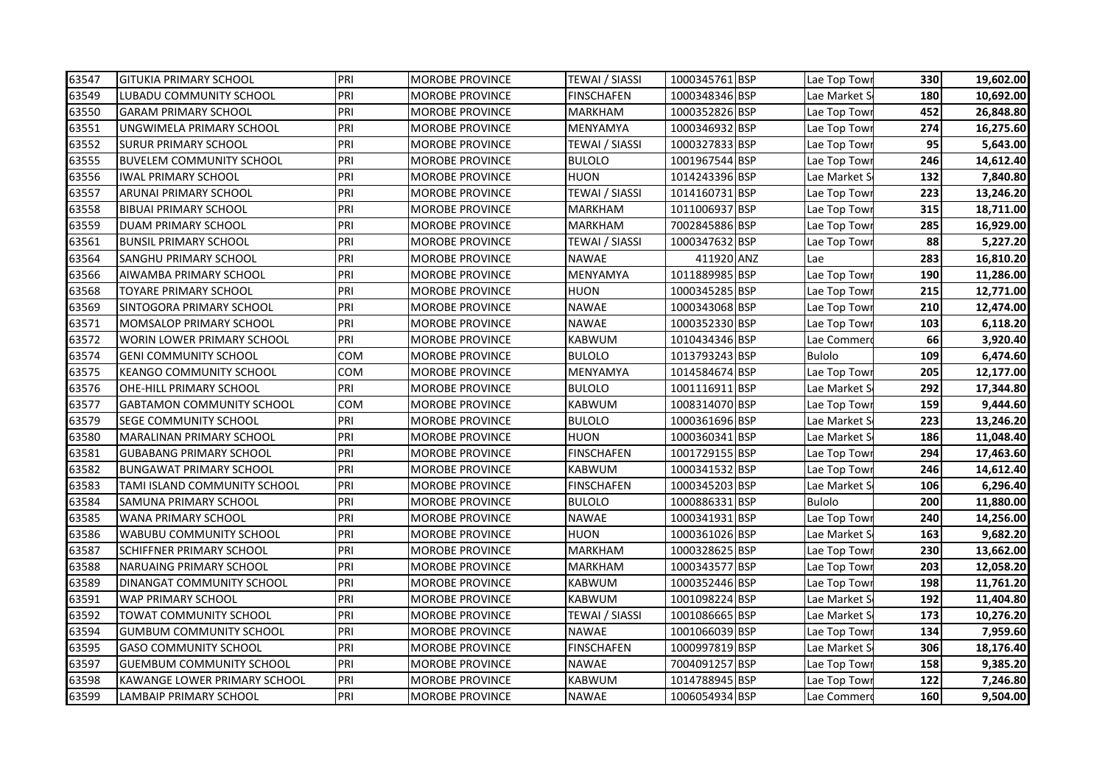| 63547 | <b>GITUKIA PRIMARY SCHOOL</b>     | PRI | <b>MOROBE PROVINCE</b> | <b>TEWAI / SIASSI</b> | 1000345761 BSP | Lae Top Towr  | 330 | 19,602.00 |
|-------|-----------------------------------|-----|------------------------|-----------------------|----------------|---------------|-----|-----------|
| 63549 | LUBADU COMMUNITY SCHOOL           | PRI | MOROBE PROVINCE        | FINSCHAFEN            | 1000348346 BSP | Lae Market S  | 180 | 10,692.00 |
| 63550 | <b>GARAM PRIMARY SCHOOL</b>       | PRI | MOROBE PROVINCE        | MARKHAM               | 1000352826 BSP | Lae Top Towi  | 452 | 26,848.80 |
| 63551 | UNGWIMELA PRIMARY SCHOOL          | PRI | <b>MOROBE PROVINCE</b> | MENYAMYA              | 1000346932 BSP | Lae Top Tow   | 274 | 16,275.60 |
| 63552 | <b>SURUR PRIMARY SCHOOL</b>       | PRI | <b>MOROBE PROVINCE</b> | TEWAI / SIASSI        | 1000327833 BSP | Lae Top Towi  | 95  | 5,643.00  |
| 63555 | <b>BUVELEM COMMUNITY SCHOOL</b>   | PRI | <b>MOROBE PROVINCE</b> | <b>BULOLO</b>         | 1001967544 BSP | Lae Top Towi  | 246 | 14,612.40 |
| 63556 | <b>IWAL PRIMARY SCHOOL</b>        | PRI | <b>MOROBE PROVINCE</b> | <b>HUON</b>           | 1014243396 BSP | Lae Market S  | 132 | 7,840.80  |
| 63557 | <b>ARUNAI PRIMARY SCHOOL</b>      | PRI | MOROBE PROVINCE        | TEWAI / SIASSI        | 1014160731 BSP | Lae Top Tow   | 223 | 13,246.20 |
| 63558 | <b>BIBUAI PRIMARY SCHOOL</b>      | PRI | MOROBE PROVINCE        | MARKHAM               | 1011006937 BSP | Lae Top Tow   | 315 | 18,711.00 |
| 63559 | DUAM PRIMARY SCHOOL               | PRI | MOROBE PROVINCE        | MARKHAM               | 7002845886 BSP | Lae Top Towi  | 285 | 16,929.00 |
| 63561 | <b>BUNSIL PRIMARY SCHOOL</b>      | PRI | MOROBE PROVINCE        | TEWAI / SIASSI        | 1000347632 BSP | Lae Top Towi  | 88  | 5,227.20  |
| 63564 | SANGHU PRIMARY SCHOOL             | PRI | MOROBE PROVINCE        | NAWAE                 | 411920 ANZ     | Lae           | 283 | 16,810.20 |
| 63566 | AIWAMBA PRIMARY SCHOOL            | PRI | MOROBE PROVINCE        | MENYAMYA              | 1011889985 BSP | Lae Top Towi  | 190 | 11,286.00 |
| 63568 | TOYARE PRIMARY SCHOOL             | PRI | MOROBE PROVINCE        | HUON                  | 1000345285 BSP | Lae Top Towi  | 215 | 12,771.00 |
| 63569 | SINTOGORA PRIMARY SCHOOL          | PRI | MOROBE PROVINCE        | <b>NAWAE</b>          | 1000343068 BSP | Lae Top Tow   | 210 | 12,474.00 |
| 63571 | MOMSALOP PRIMARY SCHOOL           | PRI | <b>MOROBE PROVINCE</b> | <b>NAWAE</b>          | 1000352330 BSP | Lae Top Tow   | 103 | 6,118.20  |
| 63572 | <b>WORIN LOWER PRIMARY SCHOOL</b> | PRI | <b>MOROBE PROVINCE</b> | KABWUM                | 1010434346 BSP | Lae Commero   | 66  | 3,920.40  |
| 63574 | <b>GENI COMMUNITY SCHOOL</b>      | COM | <b>MOROBE PROVINCE</b> | <b>BULOLO</b>         | 1013793243 BSP | <b>Bulolo</b> | 109 | 6,474.60  |
| 63575 | <b>KEANGO COMMUNITY SCHOOL</b>    | COM | MOROBE PROVINCE        | MENYAMYA              | 1014584674 BSP | Lae Top Tow   | 205 | 12,177.00 |
| 63576 | OHE-HILL PRIMARY SCHOOL           | PRI | MOROBE PROVINCE        | <b>BULOLO</b>         | 1001116911 BSP | Lae Market S  | 292 | 17,344.80 |
| 63577 | <b>GABTAMON COMMUNITY SCHOOL</b>  | COM | MOROBE PROVINCE        | KABWUM                | 1008314070 BSP | Lae Top Tow   | 159 | 9,444.60  |
| 63579 | <b>SEGE COMMUNITY SCHOOL</b>      | PRI | MOROBE PROVINCE        | <b>BULOLO</b>         | 1000361696 BSP | Lae Market S  | 223 | 13,246.20 |
| 63580 | <b>MARALINAN PRIMARY SCHOOL</b>   | PRI | MOROBE PROVINCE        | HUON                  | 1000360341 BSP | Lae Market S  | 186 | 11,048.40 |
| 63581 | <b>GUBABANG PRIMARY SCHOOL</b>    | PRI | MOROBE PROVINCE        | <b>FINSCHAFEN</b>     | 1001729155 BSP | Lae Top Tow   | 294 | 17,463.60 |
| 63582 | <b>BUNGAWAT PRIMARY SCHOOL</b>    | PRI | MOROBE PROVINCE        | KABWUM                | 1000341532 BSP | Lae Top Towi  | 246 | 14,612.40 |
| 63583 | TAMI ISLAND COMMUNITY SCHOOL      | PRI | MOROBE PROVINCE        | <b>FINSCHAFEN</b>     | 1000345203 BSP | Lae Market S  | 106 | 6,296.40  |
| 63584 | <b>SAMUNA PRIMARY SCHOOL</b>      | PRI | <b>MOROBE PROVINCE</b> | <b>BULOLO</b>         | 1000886331 BSP | <b>Bulolo</b> | 200 | 11,880.00 |
| 63585 | <b>WANA PRIMARY SCHOOL</b>        | PRI | <b>MOROBE PROVINCE</b> | NAWAE                 | 1000341931 BSP | Lae Top Tow   | 240 | 14,256.00 |
| 63586 | <b>WABUBU COMMUNITY SCHOOL</b>    | PRI | <b>MOROBE PROVINCE</b> | <b>HUON</b>           | 1000361026 BSP | Lae Market S  | 163 | 9,682.20  |
| 63587 | <b>SCHIFFNER PRIMARY SCHOOL</b>   | PRI | MOROBE PROVINCE        | MARKHAM               | 1000328625 BSP | Lae Top Tow   | 230 | 13,662.00 |
| 63588 | <b>NARUAING PRIMARY SCHOOL</b>    | PRI | MOROBE PROVINCE        | MARKHAM               | 1000343577 BSP | Lae Top Tow   | 203 | 12,058.20 |
| 63589 | DINANGAT COMMUNITY SCHOOL         | PRI | MOROBE PROVINCE        | KABWUM                | 1000352446 BSP | Lae Top Tow   | 198 | 11,761.20 |
| 63591 | <b>WAP PRIMARY SCHOOL</b>         | PRI | MOROBE PROVINCE        | KABWUM                | 1001098224 BSP | Lae Market S  | 192 | 11,404.80 |
| 63592 | TOWAT COMMUNITY SCHOOL            | PRI | MOROBE PROVINCE        | TEWAI / SIASSI        | 1001086665 BSP | Lae Market S  | 173 | 10,276.20 |
| 63594 | <b>GUMBUM COMMUNITY SCHOOL</b>    | PRI | MOROBE PROVINCE        | NAWAE                 | 1001066039 BSP | Lae Top Towi  | 134 | 7,959.60  |
| 63595 | <b>GASO COMMUNITY SCHOOL</b>      | PRI | MOROBE PROVINCE        | <b>FINSCHAFEN</b>     | 1000997819 BSP | Lae Market S  | 306 | 18,176.40 |
| 63597 | GUEMBUM COMMUNITY SCHOOL          | PRI | MOROBE PROVINCE        | NAWAE                 | 7004091257 BSP | Lae Top Tow   | 158 | 9,385.20  |
| 63598 | KAWANGE LOWER PRIMARY SCHOOL      | PRI | MOROBE PROVINCE        | KABWUM                | 1014788945 BSP | Lae Top Tow   | 122 | 7,246.80  |
| 63599 | <b>LAMBAIP PRIMARY SCHOOL</b>     | PRI | <b>MOROBE PROVINCE</b> | NAWAE                 | 1006054934 BSP | Lae Commerd   | 160 | 9,504.00  |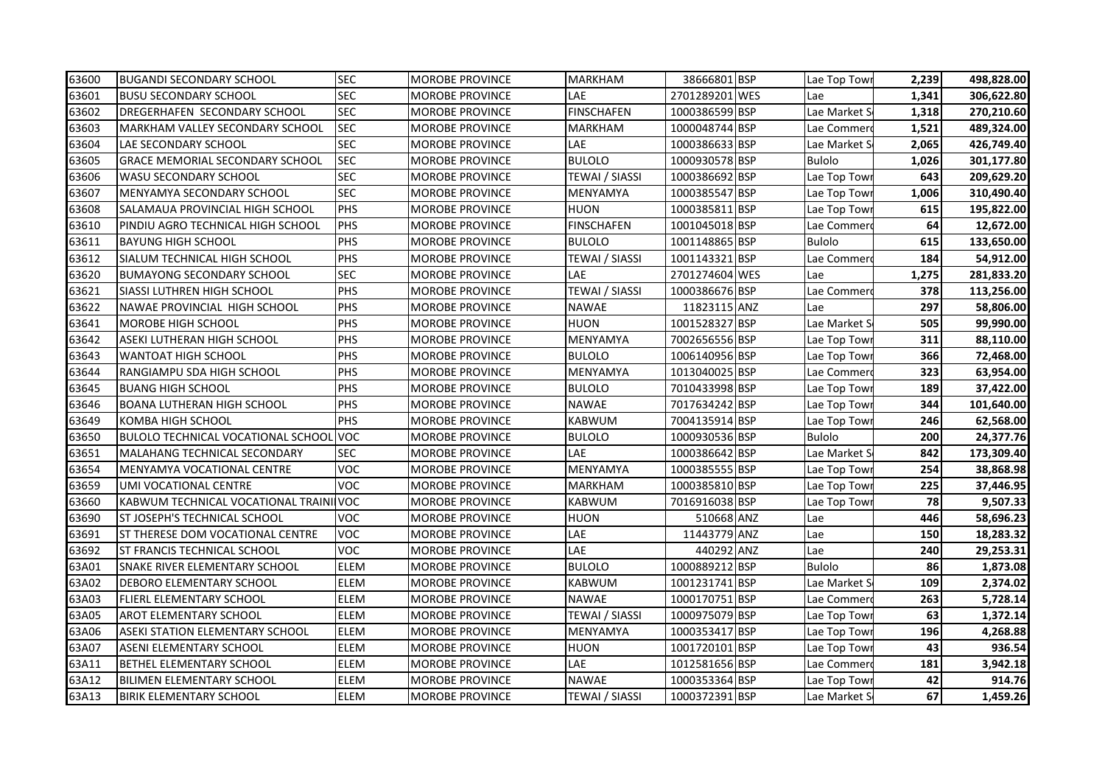| 63600 | <b>BUGANDI SECONDARY SCHOOL</b>               | <b>SEC</b>  | <b>MOROBE PROVINCE</b> | <b>MARKHAM</b>        | 38666801 BSP   | Lae Top Towi  | 2,239 | 498,828.00 |
|-------|-----------------------------------------------|-------------|------------------------|-----------------------|----------------|---------------|-------|------------|
| 63601 | <b>BUSU SECONDARY SCHOOL</b>                  | <b>SEC</b>  | <b>MOROBE PROVINCE</b> | LAE                   | 2701289201 WES | Lae           | 1,341 | 306,622.80 |
| 63602 | <b>DREGERHAFEN SECONDARY SCHOOL</b>           | <b>SEC</b>  | <b>MOROBE PROVINCE</b> | <b>FINSCHAFEN</b>     | 1000386599 BSP | Lae Market S  | 1,318 | 270,210.60 |
| 63603 | MARKHAM VALLEY SECONDARY SCHOOL               | <b>SEC</b>  | <b>MOROBE PROVINCE</b> | <b>MARKHAM</b>        | 1000048744 BSP | Lae Commer    | 1,521 | 489,324.00 |
| 63604 | LAE SECONDARY SCHOOL                          | <b>SEC</b>  | <b>MOROBE PROVINCE</b> | LAE                   | 1000386633 BSP | Lae Market S  | 2,065 | 426,749.40 |
| 63605 | <b>GRACE MEMORIAL SECONDARY SCHOOL</b>        | <b>SEC</b>  | <b>MOROBE PROVINCE</b> | <b>BULOLO</b>         | 1000930578 BSP | <b>Bulolo</b> | 1,026 | 301,177.80 |
| 63606 | <b>WASU SECONDARY SCHOOL</b>                  | <b>SEC</b>  | <b>MOROBE PROVINCE</b> | <b>TEWAI / SIASSI</b> | 1000386692 BSP | Lae Top Tow   | 643   | 209,629.20 |
| 63607 | MENYAMYA SECONDARY SCHOOL                     | <b>SEC</b>  | <b>MOROBE PROVINCE</b> | MENYAMYA              | 1000385547 BSP | Lae Top Tow   | 1,006 | 310,490.40 |
| 63608 | SALAMAUA PROVINCIAL HIGH SCHOOL               | PHS         | <b>MOROBE PROVINCE</b> | HUON                  | 1000385811 BSP | Lae Top Tow   | 615   | 195,822.00 |
| 63610 | PINDIU AGRO TECHNICAL HIGH SCHOOL             | PHS         | <b>MOROBE PROVINCE</b> | <b>FINSCHAFEN</b>     | 1001045018 BSP | Lae Commer    | 64    | 12,672.00  |
| 63611 | <b>BAYUNG HIGH SCHOOL</b>                     | PHS         | <b>MOROBE PROVINCE</b> | <b>BULOLO</b>         | 1001148865 BSP | Bulolo        | 615   | 133,650.00 |
| 63612 | SIALUM TECHNICAL HIGH SCHOOL                  | PHS         | <b>MOROBE PROVINCE</b> | TEWAI / SIASSI        | 1001143321 BSP | Lae Commer    | 184   | 54,912.00  |
| 63620 | <b>BUMAYONG SECONDARY SCHOOL</b>              | <b>SEC</b>  | <b>MOROBE PROVINCE</b> | LAE                   | 2701274604 WES | Lae           | 1,275 | 281,833.20 |
| 63621 | <b>SIASSI LUTHREN HIGH SCHOOL</b>             | PHS         | MOROBE PROVINCE        | TEWAI / SIASSI        | 1000386676 BSP | Lae Commer    | 378   | 113,256.00 |
| 63622 | NAWAE PROVINCIAL HIGH SCHOOL                  | PHS         | <b>MOROBE PROVINCE</b> | <b>NAWAE</b>          | 11823115 ANZ   | Lae           | 297   | 58,806.00  |
| 63641 | <b>MOROBE HIGH SCHOOL</b>                     | PHS         | <b>MOROBE PROVINCE</b> | <b>HUON</b>           | 1001528327 BSP | Lae Market S  | 505   | 99,990.00  |
| 63642 | ASEKI LUTHERAN HIGH SCHOOL                    | PHS         | <b>MOROBE PROVINCE</b> | MENYAMYA              | 7002656556 BSP | Lae Top Tow   | 311   | 88,110.00  |
| 63643 | <b>WANTOAT HIGH SCHOOL</b>                    | PHS         | <b>MOROBE PROVINCE</b> | <b>BULOLO</b>         | 1006140956 BSP | Lae Top Tow   | 366   | 72,468.00  |
| 63644 | RANGIAMPU SDA HIGH SCHOOL                     | PHS         | <b>MOROBE PROVINCE</b> | MENYAMYA              | 1013040025 BSP | Lae Commer    | 323   | 63,954.00  |
| 63645 | <b>BUANG HIGH SCHOOL</b>                      | PHS         | <b>MOROBE PROVINCE</b> | <b>BULOLO</b>         | 7010433998 BSP | Lae Top Tow   | 189   | 37,422.00  |
| 63646 | <b>BOANA LUTHERAN HIGH SCHOOL</b>             | PHS         | <b>MOROBE PROVINCE</b> | <b>NAWAE</b>          | 7017634242 BSP | Lae Top Tow   | 344   | 101,640.00 |
| 63649 | <b>KOMBA HIGH SCHOOL</b>                      | PHS         | <b>MOROBE PROVINCE</b> | <b>KABWUM</b>         | 7004135914 BSP | Lae Top Tow   | 246   | 62,568.00  |
| 63650 | <b>BULOLO TECHNICAL VOCATIONAL SCHOOL VOC</b> |             | <b>MOROBE PROVINCE</b> | <b>BULOLO</b>         | 1000930536 BSP | Bulolo        | 200   | 24,377.76  |
| 63651 | MALAHANG TECHNICAL SECONDARY                  | <b>SEC</b>  | <b>MOROBE PROVINCE</b> | LAE                   | 1000386642 BSP | Lae Market S  | 842   | 173,309.40 |
| 63654 | MENYAMYA VOCATIONAL CENTRE                    | <b>VOC</b>  | MOROBE PROVINCE        | MENYAMYA              | 1000385555 BSP | Lae Top Tow   | 254   | 38,868.98  |
| 63659 | UMI VOCATIONAL CENTRE                         | <b>VOC</b>  | <b>MOROBE PROVINCE</b> | <b>MARKHAM</b>        | 1000385810 BSP | Lae Top Tow   | 225   | 37,446.95  |
| 63660 | KABWUM TECHNICAL VOCATIONAL TRAINI VOC        |             | <b>MOROBE PROVINCE</b> | <b>KABWUM</b>         | 7016916038 BSP | Lae Top Tow   | 78    | 9,507.33   |
| 63690 | <b>ST JOSEPH'S TECHNICAL SCHOOL</b>           | <b>VOC</b>  | <b>MOROBE PROVINCE</b> | HUON                  | 510668 ANZ     | Lae           | 446   | 58,696.23  |
| 63691 | <b>ST THERESE DOM VOCATIONAL CENTRE</b>       | <b>VOC</b>  | <b>MOROBE PROVINCE</b> | LAE                   | 11443779 ANZ   | Lae           | 150   | 18,283.32  |
| 63692 | ST FRANCIS TECHNICAL SCHOOL                   | <b>VOC</b>  | <b>MOROBE PROVINCE</b> | LAE                   | 440292 ANZ     | Lae           | 240   | 29,253.31  |
| 63A01 | <b>SNAKE RIVER ELEMENTARY SCHOOL</b>          | ELEM        | <b>MOROBE PROVINCE</b> | <b>BULOLO</b>         | 1000889212 BSP | <b>Bulolo</b> | 86    | 1,873.08   |
| 63A02 | <b>DEBORO ELEMENTARY SCHOOL</b>               | ELEM        | <b>MOROBE PROVINCE</b> | <b>KABWUM</b>         | 1001231741 BSP | Lae Market S  | 109   | 2,374.02   |
| 63A03 | <b>FLIERL ELEMENTARY SCHOOL</b>               | ELEM        | <b>MOROBE PROVINCE</b> | <b>NAWAE</b>          | 1000170751 BSP | Lae Commer    | 263   | 5,728.14   |
| 63A05 | <b>AROT ELEMENTARY SCHOOL</b>                 | ELEM        | <b>MOROBE PROVINCE</b> | TEWAI / SIASSI        | 1000975079 BSP | Lae Top Towi  | 63    | 1,372.14   |
| 63A06 | ASEKI STATION ELEMENTARY SCHOOL               | <b>ELEM</b> | <b>MOROBE PROVINCE</b> | MENYAMYA              | 1000353417 BSP | Lae Top Tow   | 196   | 4,268.88   |
| 63A07 | <b>ASENI ELEMENTARY SCHOOL</b>                | <b>ELEM</b> | <b>MOROBE PROVINCE</b> | HUON                  | 1001720101 BSP | Lae Top Towi  | 43    | 936.54     |
| 63A11 | <b>BETHEL ELEMENTARY SCHOOL</b>               | ELEM        | <b>MOROBE PROVINCE</b> | LAE                   | 1012581656 BSP | Lae Commer    | 181   | 3,942.18   |
| 63A12 | <b>BILIMEN ELEMENTARY SCHOOL</b>              | ELEM        | MOROBE PROVINCE        | <b>NAWAE</b>          | 1000353364 BSP | Lae Top Tow   | 42    | 914.76     |
| 63A13 | BIRIK ELEMENTARY SCHOOL                       | ELEM        | <b>MOROBE PROVINCE</b> | TEWAI / SIASSI        | 1000372391 BSP | Lae Market S  | 67    | 1,459.26   |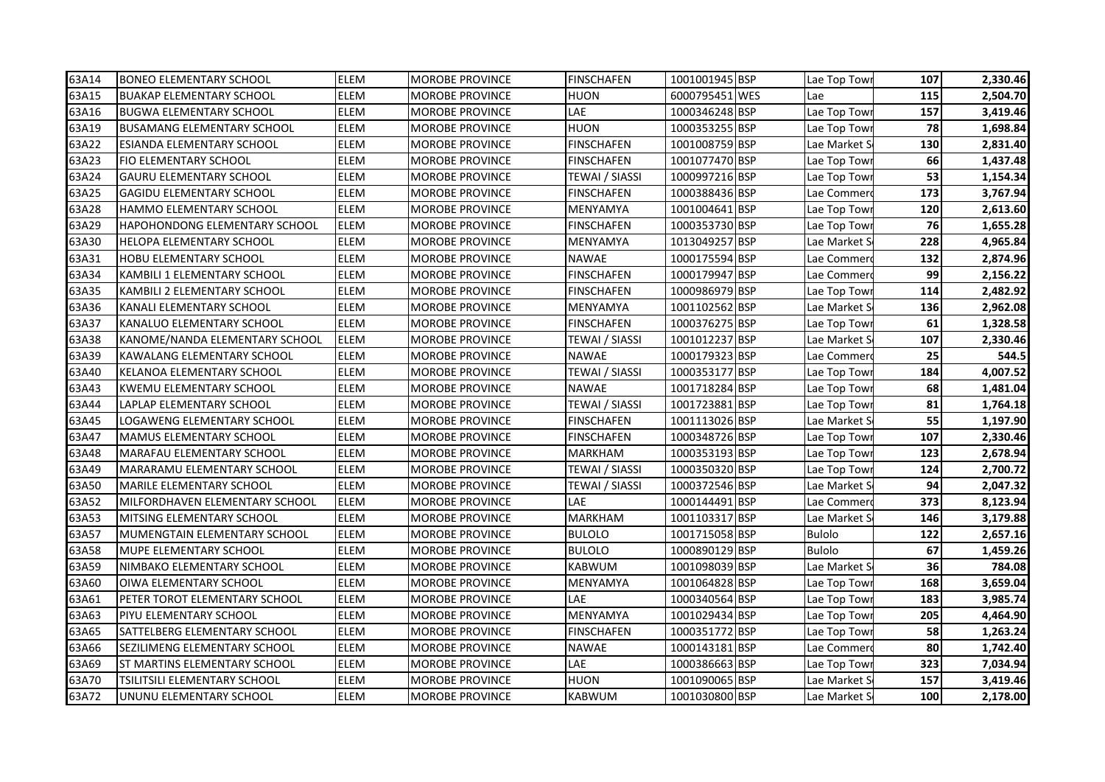| 63A14 | <b>BONEO ELEMENTARY SCHOOL</b>       | <b>ELEM</b> | <b>MOROBE PROVINCE</b> | <b>FINSCHAFEN</b>     | 1001001945 BSP | Lae Top Towi  | 107 | 2,330.46 |
|-------|--------------------------------------|-------------|------------------------|-----------------------|----------------|---------------|-----|----------|
| 63A15 | <b>BUAKAP ELEMENTARY SCHOOL</b>      | ELEM        | <b>MOROBE PROVINCE</b> | HUON                  | 6000795451 WES | Lae           | 115 | 2,504.70 |
| 63A16 | <b>BUGWA ELEMENTARY SCHOOL</b>       | <b>ELEM</b> | <b>MOROBE PROVINCE</b> | LAE                   | 1000346248 BSP | Lae Top Tow   | 157 | 3,419.46 |
| 63A19 | <b>BUSAMANG ELEMENTARY SCHOOL</b>    | <b>ELEM</b> | <b>MOROBE PROVINCE</b> | <b>HUON</b>           | 1000353255 BSP | Lae Top Tow   | 78  | 1,698.84 |
| 63A22 | <b>ESIANDA ELEMENTARY SCHOOL</b>     | ELEM        | <b>MOROBE PROVINCE</b> | <b>FINSCHAFEN</b>     | 1001008759 BSP | Lae Market S  | 130 | 2,831.40 |
| 63A23 | <b>FIO ELEMENTARY SCHOOL</b>         | <b>ELEM</b> | <b>MOROBE PROVINCE</b> | <b>FINSCHAFEN</b>     | 1001077470 BSP | Lae Top Tow   | 66  | 1,437.48 |
| 63A24 | <b>GAURU ELEMENTARY SCHOOL</b>       | ELEM        | <b>MOROBE PROVINCE</b> | <b>TEWAI / SIASSI</b> | 1000997216 BSP | Lae Top Towi  | 53  | 1,154.34 |
| 63A25 | <b>GAGIDU ELEMENTARY SCHOOL</b>      | ELEM        | <b>MOROBE PROVINCE</b> | <b>FINSCHAFEN</b>     | 1000388436 BSP | Lae Commer    | 173 | 3,767.94 |
| 63A28 | HAMMO ELEMENTARY SCHOOL              | <b>ELEM</b> | <b>MOROBE PROVINCE</b> | MENYAMYA              | 1001004641 BSP | Lae Top Tow   | 120 | 2,613.60 |
| 63A29 | <b>HAPOHONDONG ELEMENTARY SCHOOL</b> | ELEM        | <b>MOROBE PROVINCE</b> | <b>FINSCHAFEN</b>     | 1000353730 BSP | Lae Top Tow   | 76  | 1,655.28 |
| 63A30 | HELOPA ELEMENTARY SCHOOL             | ELEM        | <b>MOROBE PROVINCE</b> | MENYAMYA              | 1013049257 BSP | Lae Market S  | 228 | 4,965.84 |
| 63A31 | <b>HOBU ELEMENTARY SCHOOL</b>        | ELEM        | <b>MOROBE PROVINCE</b> | NAWAE                 | 1000175594 BSP | Lae Commer    | 132 | 2,874.96 |
| 63A34 | KAMBILI 1 ELEMENTARY SCHOOL          | ELEM        | <b>MOROBE PROVINCE</b> | <b>FINSCHAFEN</b>     | 1000179947 BSP | Lae Commer    | 99  | 2,156.22 |
| 63A35 | KAMBILI 2 ELEMENTARY SCHOOL          | ELEM        | MOROBE PROVINCE        | FINSCHAFEN            | 1000986979 BSP | Lae Top Towi  | 114 | 2,482.92 |
| 63A36 | KANALI ELEMENTARY SCHOOL             | <b>ELEM</b> | <b>MOROBE PROVINCE</b> | MENYAMYA              | 1001102562 BSP | Lae Market S  | 136 | 2,962.08 |
| 63A37 | KANALUO ELEMENTARY SCHOOL            | <b>ELEM</b> | <b>MOROBE PROVINCE</b> | <b>FINSCHAFEN</b>     | 1000376275 BSP | Lae Top Tow   | 61  | 1,328.58 |
| 63A38 | KANOME/NANDA ELEMENTARY SCHOOL       | <b>ELEM</b> | <b>MOROBE PROVINCE</b> | TEWAI / SIASSI        | 1001012237 BSP | Lae Market S  | 107 | 2,330.46 |
| 63A39 | <b>KAWALANG ELEMENTARY SCHOOL</b>    | <b>ELEM</b> | <b>MOROBE PROVINCE</b> | <b>NAWAE</b>          | 1000179323 BSP | Lae Commer    | 25  | 544.5    |
| 63A40 | KELANOA ELEMENTARY SCHOOL            | ELEM        | <b>MOROBE PROVINCE</b> | <b>TEWAI / SIASSI</b> | 1000353177 BSP | Lae Top Tow   | 184 | 4,007.52 |
| 63A43 | KWEMU ELEMENTARY SCHOOL              | <b>ELEM</b> | <b>MOROBE PROVINCE</b> | <b>NAWAE</b>          | 1001718284 BSP | Lae Top Towi  | 68  | 1,481.04 |
| 63A44 | LAPLAP ELEMENTARY SCHOOL             | ELEM        | <b>MOROBE PROVINCE</b> | <b>TEWAI / SIASSI</b> | 1001723881 BSP | Lae Top Tow   | 81  | 1,764.18 |
| 63A45 | LOGAWENG ELEMENTARY SCHOOL           | ELEM        | <b>MOROBE PROVINCE</b> | <b>FINSCHAFEN</b>     | 1001113026 BSP | Lae Market S  | 55  | 1,197.90 |
| 63A47 | <b>MAMUS ELEMENTARY SCHOOL</b>       | ELEM        | <b>MOROBE PROVINCE</b> | FINSCHAFEN            | 1000348726 BSP | Lae Top Towi  | 107 | 2,330.46 |
| 63A48 | MARAFAU ELEMENTARY SCHOOL            | ELEM        | <b>MOROBE PROVINCE</b> | MARKHAM               | 1000353193 BSP | Lae Top Tow   | 123 | 2,678.94 |
| 63A49 | MARARAMU ELEMENTARY SCHOOL           | ELEM        | MOROBE PROVINCE        | TEWAI / SIASSI        | 1000350320 BSP | Lae Top Tow   | 124 | 2,700.72 |
| 63A50 | <b>MARILE ELEMENTARY SCHOOL</b>      | ELEM        | <b>MOROBE PROVINCE</b> | TEWAI / SIASSI        | 1000372546 BSP | Lae Market S  | 94  | 2,047.32 |
| 63A52 | MILFORDHAVEN ELEMENTARY SCHOOL       | <b>ELEM</b> | <b>MOROBE PROVINCE</b> | LAE                   | 1000144491 BSP | Lae Commer    | 373 | 8,123.94 |
| 63A53 | <b>IMITSING ELEMENTARY SCHOOL</b>    | <b>ELEM</b> | <b>MOROBE PROVINCE</b> | <b>MARKHAM</b>        | 1001103317 BSP | Lae Market S  | 146 | 3,179.88 |
| 63A57 | MUMENGTAIN ELEMENTARY SCHOOL         | ELEM        | <b>MOROBE PROVINCE</b> | <b>BULOLO</b>         | 1001715058 BSP | <b>Bulolo</b> | 122 | 2,657.16 |
| 63A58 | MUPE ELEMENTARY SCHOOL               | ELEM        | <b>MOROBE PROVINCE</b> | <b>BULOLO</b>         | 1000890129 BSP | <b>Bulolo</b> | 67  | 1,459.26 |
| 63A59 | NIMBAKO ELEMENTARY SCHOOL            | ELEM        | MOROBE PROVINCE        | <b>KABWUM</b>         | 1001098039 BSP | Lae Market S  | 36  | 784.08   |
| 63A60 | OIWA ELEMENTARY SCHOOL               | ELEM        | <b>MOROBE PROVINCE</b> | MENYAMYA              | 1001064828 BSP | Lae Top Tow   | 168 | 3,659.04 |
| 63A61 | PETER TOROT ELEMENTARY SCHOOL        | ELEM        | <b>MOROBE PROVINCE</b> | LAE                   | 1000340564 BSP | Lae Top Tow   | 183 | 3,985.74 |
| 63A63 | PIYU ELEMENTARY SCHOOL               | ELEM        | <b>MOROBE PROVINCE</b> | MENYAMYA              | 1001029434 BSP | Lae Top Tow   | 205 | 4,464.90 |
| 63A65 | SATTELBERG ELEMENTARY SCHOOL         | <b>ELEM</b> | MOROBE PROVINCE        | FINSCHAFEN            | 1000351772 BSP | Lae Top Tow   | 58  | 1,263.24 |
| 63A66 | SEZILIMENG ELEMENTARY SCHOOL         | ELEM        | <b>MOROBE PROVINCE</b> | NAWAE                 | 1000143181 BSP | Lae Commer    | 80  | 1,742.40 |
| 63A69 | <b>ST MARTINS ELEMENTARY SCHOOL</b>  | ELEM        | MOROBE PROVINCE        | LAE                   | 1000386663 BSP | Lae Top Towi  | 323 | 7,034.94 |
| 63A70 | TSILITSILI ELEMENTARY SCHOOL         | ELEM        | MOROBE PROVINCE        | HUON                  | 1001090065 BSP | Lae Market S  | 157 | 3,419.46 |
| 63A72 | JUNUNU ELEMENTARY SCHOOL             | <b>ELEM</b> | <b>MOROBE PROVINCE</b> | <b>KABWUM</b>         | 1001030800 BSP | Lae Market S  | 100 | 2,178.00 |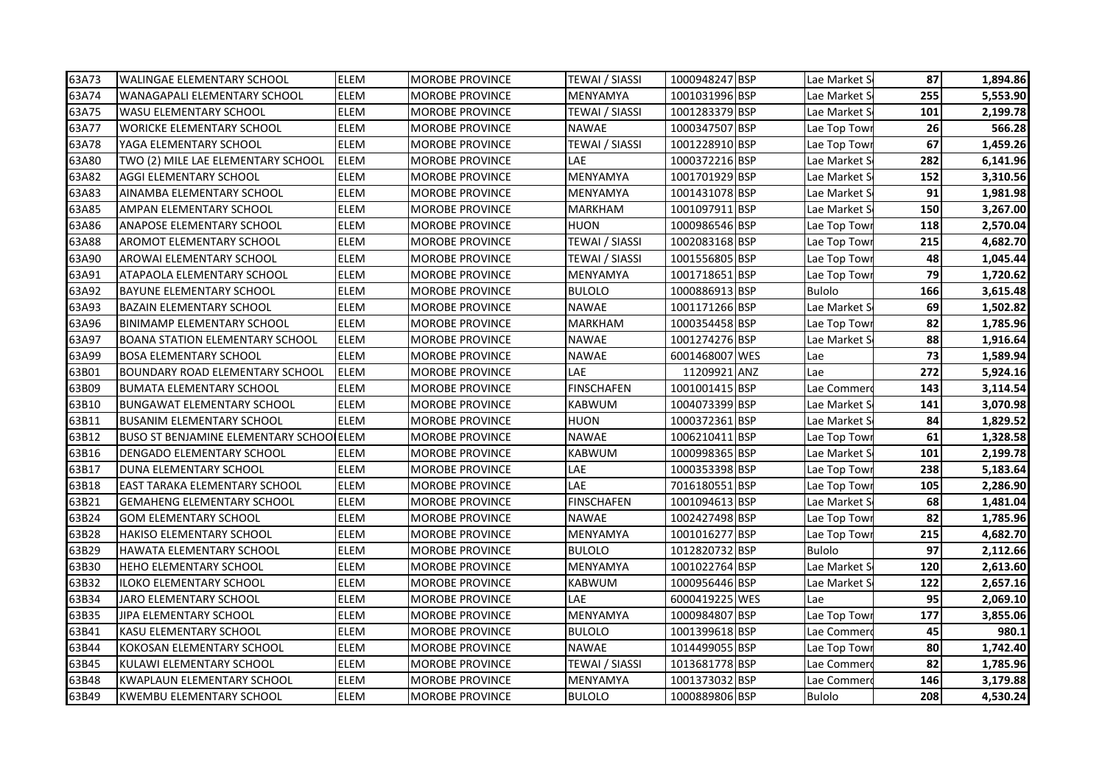| 63A73 | <b>WALINGAE ELEMENTARY SCHOOL</b>              | <b>ELEM</b> | <b>MOROBE PROVINCE</b> | <b>TEWAI / SIASSI</b> | 1000948247 BSP | Lae Market S  | 87  | 1,894.86 |
|-------|------------------------------------------------|-------------|------------------------|-----------------------|----------------|---------------|-----|----------|
| 63A74 | WANAGAPALI ELEMENTARY SCHOOL                   | ELEM        | <b>MOROBE PROVINCE</b> | MENYAMYA              | 1001031996 BSP | Lae Market S  | 255 | 5,553.90 |
| 63A75 | <b>WASU ELEMENTARY SCHOOL</b>                  | ELEM        | <b>MOROBE PROVINCE</b> | TEWAI / SIASSI        | 1001283379 BSP | Lae Market S  | 101 | 2,199.78 |
| 63A77 | <b>WORICKE ELEMENTARY SCHOOL</b>               | <b>ELEM</b> | <b>MOROBE PROVINCE</b> | <b>NAWAE</b>          | 1000347507 BSP | Lae Top Tow   | 26  | 566.28   |
| 63A78 | YAGA ELEMENTARY SCHOOL                         | ELEM        | <b>MOROBE PROVINCE</b> | <b>TEWAI / SIASSI</b> | 1001228910 BSP | Lae Top Tow   | 67  | 1,459.26 |
| 63A80 | TWO (2) MILE LAE ELEMENTARY SCHOOL             | <b>ELEM</b> | <b>MOROBE PROVINCE</b> | LAE                   | 1000372216 BSP | Lae Market S  | 282 | 6,141.96 |
| 63A82 | AGGI ELEMENTARY SCHOOL                         | <b>ELEM</b> | <b>MOROBE PROVINCE</b> | MENYAMYA              | 1001701929 BSP | Lae Market S  | 152 | 3,310.56 |
| 63A83 | AINAMBA ELEMENTARY SCHOOL                      | ELEM        | <b>MOROBE PROVINCE</b> | MENYAMYA              | 1001431078 BSP | Lae Market S  | 91  | 1,981.98 |
| 63A85 | AMPAN ELEMENTARY SCHOOL                        | <b>ELEM</b> | <b>MOROBE PROVINCE</b> | <b>MARKHAM</b>        | 1001097911 BSP | Lae Market S  | 150 | 3,267.00 |
| 63A86 | <b>ANAPOSE ELEMENTARY SCHOOL</b>               | ELEM        | <b>MOROBE PROVINCE</b> | HUON                  | 1000986546 BSP | Lae Top Tow   | 118 | 2,570.04 |
| 63A88 | AROMOT ELEMENTARY SCHOOL                       | ELEM        | <b>MOROBE PROVINCE</b> | TEWAI / SIASSI        | 1002083168 BSP | Lae Top Tow   | 215 | 4,682.70 |
| 63A90 | AROWAI ELEMENTARY SCHOOL                       | ELEM        | <b>MOROBE PROVINCE</b> | TEWAI / SIASSI        | 1001556805 BSP | Lae Top Towi  | 48  | 1,045.44 |
| 63A91 | ATAPAOLA ELEMENTARY SCHOOL                     | ELEM        | <b>MOROBE PROVINCE</b> | MENYAMYA              | 1001718651 BSP | Lae Top Tow   | 79  | 1,720.62 |
| 63A92 | <b>BAYUNE ELEMENTARY SCHOOL</b>                | ELEM        | MOROBE PROVINCE        | <b>BULOLO</b>         | 1000886913 BSP | <b>Bulolo</b> | 166 | 3,615.48 |
| 63A93 | <b>BAZAIN ELEMENTARY SCHOOL</b>                | ELEM        | <b>MOROBE PROVINCE</b> | NAWAE                 | 1001171266 BSP | Lae Market S  | 69  | 1,502.82 |
| 63A96 | <b>BINIMAMP ELEMENTARY SCHOOL</b>              | <b>ELEM</b> | <b>MOROBE PROVINCE</b> | <b>MARKHAM</b>        | 1000354458 BSP | Lae Top Tow   | 82  | 1,785.96 |
| 63A97 | <b>BOANA STATION ELEMENTARY SCHOOL</b>         | <b>ELEM</b> | <b>MOROBE PROVINCE</b> | <b>NAWAE</b>          | 1001274276 BSP | Lae Market S  | 88  | 1,916.64 |
| 63A99 | <b>BOSA ELEMENTARY SCHOOL</b>                  | <b>ELEM</b> | <b>MOROBE PROVINCE</b> | <b>NAWAE</b>          | 6001468007 WES | Lae           | 73  | 1,589.94 |
| 63B01 | <b>BOUNDARY ROAD ELEMENTARY SCHOOL</b>         | <b>ELEM</b> | <b>MOROBE PROVINCE</b> | LAE                   | 11209921 ANZ   | Lae           | 272 | 5,924.16 |
| 63B09 | <b>BUMATA ELEMENTARY SCHOOL</b>                | <b>ELEM</b> | <b>MOROBE PROVINCE</b> | <b>FINSCHAFEN</b>     | 1001001415 BSP | Lae Commer    | 143 | 3,114.54 |
| 63B10 | <b>BUNGAWAT ELEMENTARY SCHOOL</b>              | ELEM        | <b>MOROBE PROVINCE</b> | KABWUM                | 1004073399 BSP | Lae Market S  | 141 | 3,070.98 |
| 63B11 | <b>BUSANIM ELEMENTARY SCHOOL</b>               | <b>ELEM</b> | <b>MOROBE PROVINCE</b> | HUON                  | 1000372361 BSP | Lae Market S  | 84  | 1,829.52 |
| 63B12 | <b>BUSO ST BENJAMINE ELEMENTARY SCHOOLELEM</b> |             | <b>MOROBE PROVINCE</b> | <b>NAWAE</b>          | 1006210411 BSP | Lae Top Towi  | 61  | 1,328.58 |
| 63B16 | DENGADO ELEMENTARY SCHOOL                      | ELEM        | <b>MOROBE PROVINCE</b> | KABWUM                | 1000998365 BSP | Lae Market S  | 101 | 2,199.78 |
| 63B17 | DUNA ELEMENTARY SCHOOL                         | ELEM        | MOROBE PROVINCE        | LAE                   | 1000353398 BSP | Lae Top Tow   | 238 | 5,183.64 |
| 63B18 | <b>EAST TARAKA ELEMENTARY SCHOOL</b>           | ELEM        | <b>MOROBE PROVINCE</b> | LAE                   | 7016180551 BSP | Lae Top Tow   | 105 | 2,286.90 |
| 63B21 | <b>GEMAHENG ELEMENTARY SCHOOL</b>              | <b>ELEM</b> | <b>MOROBE PROVINCE</b> | <b>FINSCHAFEN</b>     | 1001094613 BSP | Lae Market S  | 68  | 1,481.04 |
| 63B24 | <b>GOM ELEMENTARY SCHOOL</b>                   | <b>ELEM</b> | <b>MOROBE PROVINCE</b> | <b>NAWAE</b>          | 1002427498 BSP | Lae Top Tow   | 82  | 1,785.96 |
| 63B28 | <b>HAKISO ELEMENTARY SCHOOL</b>                | ELEM        | <b>MOROBE PROVINCE</b> | MENYAMYA              | 1001016277 BSP | Lae Top Towi  | 215 | 4,682.70 |
| 63B29 | HAWATA ELEMENTARY SCHOOL                       | ELEM        | <b>MOROBE PROVINCE</b> | <b>BULOLO</b>         | 1012820732 BSP | <b>Bulolo</b> | 97  | 2,112.66 |
| 63B30 | <b>HEHO ELEMENTARY SCHOOL</b>                  | ELEM        | MOROBE PROVINCE        | MENYAMYA              | 1001022764 BSP | Lae Market S  | 120 | 2,613.60 |
| 63B32 | ILOKO ELEMENTARY SCHOOL                        | ELEM        | <b>MOROBE PROVINCE</b> | KABWUM                | 1000956446 BSP | Lae Market S  | 122 | 2,657.16 |
| 63B34 | JARO ELEMENTARY SCHOOL                         | ELEM        | <b>MOROBE PROVINCE</b> | LAE                   | 6000419225 WES | Lae           | 95  | 2,069.10 |
| 63B35 | JIPA ELEMENTARY SCHOOL                         | ELEM        | <b>MOROBE PROVINCE</b> | MENYAMYA              | 1000984807 BSP | Lae Top Tow   | 177 | 3,855.06 |
| 63B41 | KASU ELEMENTARY SCHOOL                         | <b>ELEM</b> | <b>MOROBE PROVINCE</b> | BULOLO                | 1001399618 BSP | Lae Commer    | 45  | 980.1    |
| 63B44 | KOKOSAN ELEMENTARY SCHOOL                      | ELEM        | <b>MOROBE PROVINCE</b> | NAWAE                 | 1014499055 BSP | Lae Top Towi  | 80  | 1,742.40 |
| 63B45 | KULAWI ELEMENTARY SCHOOL                       | ELEM        | <b>MOROBE PROVINCE</b> | TEWAI / SIASSI        | 1013681778 BSP | Lae Commer    | 82  | 1,785.96 |
| 63B48 | <b>KWAPLAUN ELEMENTARY SCHOOL</b>              | ELEM        | MOROBE PROVINCE        | MENYAMYA              | 1001373032 BSP | Lae Commer    | 146 | 3,179.88 |
| 63B49 | KWEMBU ELEMENTARY SCHOOL                       | ELEM        | <b>MOROBE PROVINCE</b> | <b>BULOLO</b>         | 1000889806 BSP | <b>Bulolo</b> | 208 | 4,530.24 |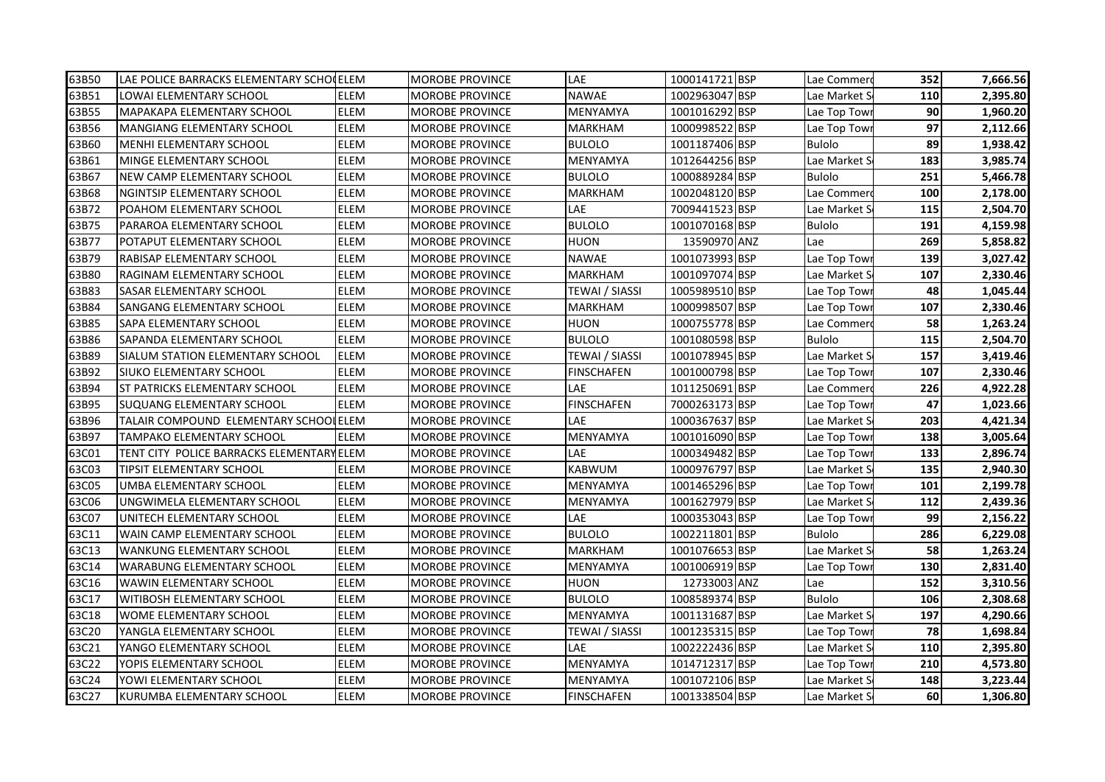| 63B50 | LAE POLICE BARRACKS ELEMENTARY SCHOCELEM  |             | <b>MOROBE PROVINCE</b> | LAE                   | 1000141721 BSP | Lae Commero   | 352 | 7,666.56 |
|-------|-------------------------------------------|-------------|------------------------|-----------------------|----------------|---------------|-----|----------|
| 63B51 | LOWAI ELEMENTARY SCHOOL                   | <b>ELEM</b> | <b>MOROBE PROVINCE</b> | <b>NAWAE</b>          | 1002963047 BSP | Lae Market S  | 110 | 2,395.80 |
| 63B55 | <b>MAPAKAPA ELEMENTARY SCHOOL</b>         | <b>ELEM</b> | <b>MOROBE PROVINCE</b> | MENYAMYA              | 1001016292 BSP | Lae Top Tow   | 90  | 1,960.20 |
| 63B56 | <b>MANGIANG ELEMENTARY SCHOOL</b>         | <b>ELEM</b> | <b>MOROBE PROVINCE</b> | <b>MARKHAM</b>        | 1000998522 BSP | Lae Top Towi  | 97  | 2,112.66 |
| 63B60 | MENHI ELEMENTARY SCHOOL                   | ELEM        | <b>MOROBE PROVINCE</b> | <b>BULOLO</b>         | 1001187406 BSP | <b>Bulolo</b> | 89  | 1,938.42 |
| 63B61 | MINGE ELEMENTARY SCHOOL                   | <b>ELEM</b> | <b>MOROBE PROVINCE</b> | MENYAMYA              | 1012644256 BSP | Lae Market S  | 183 | 3,985.74 |
| 63B67 | <b>NEW CAMP ELEMENTARY SCHOOL</b>         | <b>ELEM</b> | <b>MOROBE PROVINCE</b> | <b>BULOLO</b>         | 1000889284 BSP | <b>Bulolo</b> | 251 | 5,466.78 |
| 63B68 | NGINTSIP ELEMENTARY SCHOOL                | ELEM        | <b>MOROBE PROVINCE</b> | <b>MARKHAM</b>        | 1002048120 BSP | Lae Commer    | 100 | 2,178.00 |
| 63B72 | POAHOM ELEMENTARY SCHOOL                  | ELEM        | <b>MOROBE PROVINCE</b> | LAE                   | 7009441523 BSP | Lae Market S  | 115 | 2,504.70 |
| 63B75 | PARAROA ELEMENTARY SCHOOL                 | ELEM        | <b>MOROBE PROVINCE</b> | <b>BULOLO</b>         | 1001070168 BSP | Bulolo        | 191 | 4,159.98 |
| 63B77 | POTAPUT ELEMENTARY SCHOOL                 | ELEM        | <b>MOROBE PROVINCE</b> | HUON                  | 13590970 ANZ   | Lae           | 269 | 5,858.82 |
| 63B79 | RABISAP ELEMENTARY SCHOOL                 | ELEM        | <b>MOROBE PROVINCE</b> | NAWAE                 | 1001073993 BSP | Lae Top Tow   | 139 | 3,027.42 |
| 63B80 | RAGINAM ELEMENTARY SCHOOL                 | <b>ELEM</b> | MOROBE PROVINCE        | MARKHAM               | 1001097074 BSP | Lae Market S  | 107 | 2,330.46 |
| 63B83 | <b>SASAR ELEMENTARY SCHOOL</b>            | ELEM        | <b>MOROBE PROVINCE</b> | TEWAI / SIASSI        | 1005989510 BSP | Lae Top Towi  | 48  | 1,045.44 |
| 63B84 | SANGANG ELEMENTARY SCHOOL                 | ELEM        | MOROBE PROVINCE        | <b>MARKHAM</b>        | 1000998507 BSP | Lae Top Tow   | 107 | 2,330.46 |
| 63B85 | SAPA ELEMENTARY SCHOOL                    | ELEM        | <b>MOROBE PROVINCE</b> | HUON                  | 1000755778 BSP | Lae Commer    | 58  | 1,263.24 |
| 63B86 | SAPANDA ELEMENTARY SCHOOL                 | <b>ELEM</b> | <b>MOROBE PROVINCE</b> | <b>BULOLO</b>         | 1001080598 BSP | <b>Bulolo</b> | 115 | 2,504.70 |
| 63B89 | SIALUM STATION ELEMENTARY SCHOOL          | <b>ELEM</b> | <b>MOROBE PROVINCE</b> | <b>TEWAI / SIASSI</b> | 1001078945 BSP | Lae Market S  | 157 | 3,419.46 |
| 63B92 | <b>SIUKO ELEMENTARY SCHOOL</b>            | <b>ELEM</b> | <b>MOROBE PROVINCE</b> | <b>FINSCHAFEN</b>     | 1001000798 BSP | Lae Top Tow   | 107 | 2,330.46 |
| 63B94 | <b>ST PATRICKS ELEMENTARY SCHOOL</b>      | <b>ELEM</b> | <b>MOROBE PROVINCE</b> | LAE                   | 1011250691 BSP | Lae Commer    | 226 | 4,922.28 |
| 63B95 | <b>SUQUANG ELEMENTARY SCHOOL</b>          | <b>ELEM</b> | <b>MOROBE PROVINCE</b> | <b>FINSCHAFEN</b>     | 7000263173 BSP | Lae Top Tow   | 47  | 1,023.66 |
| 63B96 | TALAIR COMPOUND ELEMENTARY SCHOOLELEM     |             | <b>MOROBE PROVINCE</b> | LAE                   | 1000367637 BSP | Lae Market S  | 203 | 4,421.34 |
| 63B97 | <b>TAMPAKO ELEMENTARY SCHOOL</b>          | <b>ELEM</b> | <b>MOROBE PROVINCE</b> | MENYAMYA              | 1001016090 BSP | Lae Top Towi  | 138 | 3,005.64 |
| 63C01 | TENT CITY POLICE BARRACKS ELEMENTARY ELEM |             | MOROBE PROVINCE        | LAE                   | 1000349482 BSP | Lae Top Towi  | 133 | 2,896.74 |
| 63C03 | TIPSIT ELEMENTARY SCHOOL                  | ELEM        | <b>MOROBE PROVINCE</b> | <b>KABWUM</b>         | 1000976797 BSP | Lae Market S  | 135 | 2,940.30 |
| 63C05 | UMBA ELEMENTARY SCHOOL                    | ELEM        | <b>MOROBE PROVINCE</b> | MENYAMYA              | 1001465296 BSP | Lae Top Tow   | 101 | 2,199.78 |
| 63C06 | UNGWIMELA ELEMENTARY SCHOOL               | ELEM        | <b>MOROBE PROVINCE</b> | MENYAMYA              | 1001627979 BSP | Lae Market S  | 112 | 2,439.36 |
| 63C07 | UNITECH ELEMENTARY SCHOOL                 | ELEM        | <b>MOROBE PROVINCE</b> | LAE                   | 1000353043 BSP | Lae Top Tow   | 99  | 2,156.22 |
| 63C11 | WAIN CAMP ELEMENTARY SCHOOL               | ELEM        | <b>MOROBE PROVINCE</b> | <b>BULOLO</b>         | 1002211801 BSP | <b>Bulolo</b> | 286 | 6,229.08 |
| 63C13 | <b>WANKUNG ELEMENTARY SCHOOL</b>          | <b>ELEM</b> | <b>MOROBE PROVINCE</b> | <b>MARKHAM</b>        | 1001076653 BSP | Lae Market S  | 58  | 1,263.24 |
| 63C14 | <b>WARABUNG ELEMENTARY SCHOOL</b>         | ELEM        | <b>MOROBE PROVINCE</b> | MENYAMYA              | 1001006919 BSP | Lae Top Tow   | 130 | 2,831.40 |
| 63C16 | WAWIN ELEMENTARY SCHOOL                   | ELEM        | <b>MOROBE PROVINCE</b> | HUON                  | 12733003 ANZ   | Lae           | 152 | 3,310.56 |
| 63C17 | WITIBOSH ELEMENTARY SCHOOL                | <b>ELEM</b> | <b>MOROBE PROVINCE</b> | <b>BULOLO</b>         | 1008589374 BSP | <b>Bulolo</b> | 106 | 2,308.68 |
| 63C18 | WOME ELEMENTARY SCHOOL                    | ELEM        | <b>MOROBE PROVINCE</b> | MENYAMYA              | 1001131687 BSP | Lae Market S  | 197 | 4,290.66 |
| 63C20 | YANGLA ELEMENTARY SCHOOL                  | ELEM        | <b>MOROBE PROVINCE</b> | TEWAI / SIASSI        | 1001235315 BSP | Lae Top Towi  | 78  | 1,698.84 |
| 63C21 | YANGO ELEMENTARY SCHOOL                   | <b>ELEM</b> | <b>MOROBE PROVINCE</b> | LAE                   | 1002222436 BSP | Lae Market S  | 110 | 2,395.80 |
| 63C22 | YOPIS ELEMENTARY SCHOOL                   | ELEM        | <b>MOROBE PROVINCE</b> | MENYAMYA              | 1014712317 BSP | Lae Top Towi  | 210 | 4,573.80 |
| 63C24 | YOWI ELEMENTARY SCHOOL                    | ELEM        | MOROBE PROVINCE        | MENYAMYA              | 1001072106 BSP | Lae Market S  | 148 | 3,223.44 |
| 63C27 | IKURUMBA ELEMENTARY SCHOOL                | <b>ELEM</b> | <b>MOROBE PROVINCE</b> | <b>FINSCHAFEN</b>     | 1001338504 BSP | Lae Market S  | 60  | 1,306.80 |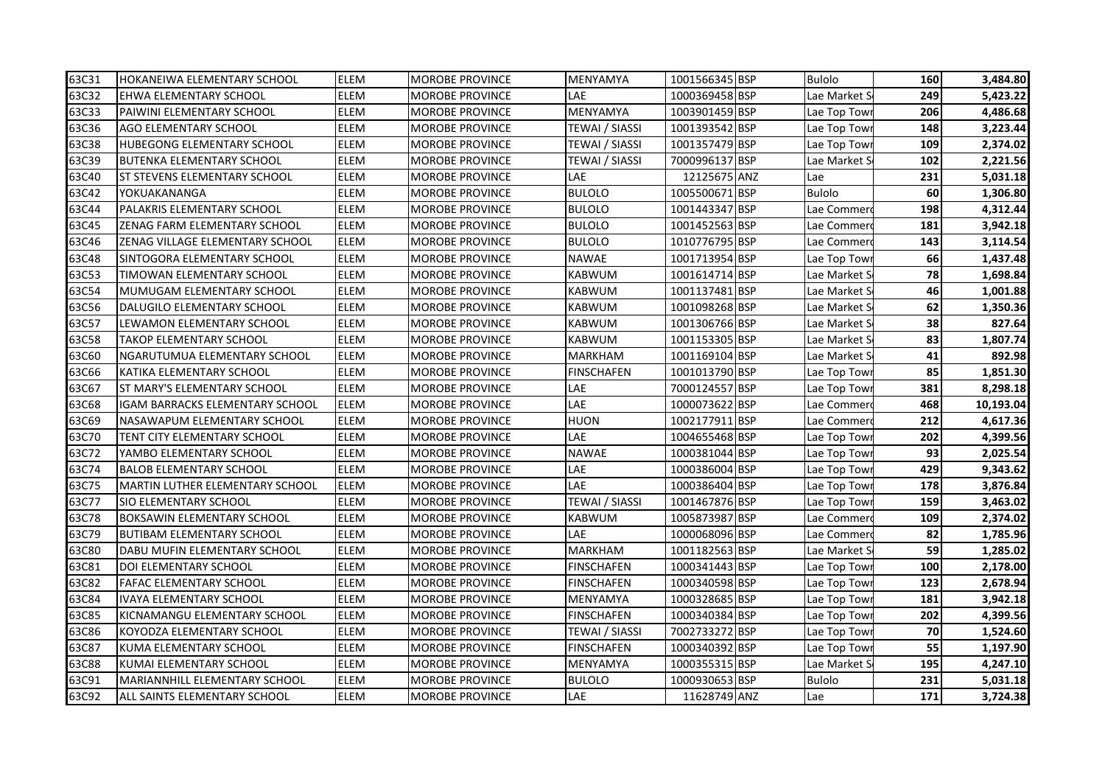| 63C31 | <b>HOKANEIWA ELEMENTARY SCHOOL</b>     | <b>ELEM</b> | <b>MOROBE PROVINCE</b> | MENYAMYA              | 1001566345 BSP | Bulolo        | 160 | 3,484.80  |
|-------|----------------------------------------|-------------|------------------------|-----------------------|----------------|---------------|-----|-----------|
| 63C32 | EHWA ELEMENTARY SCHOOL                 | ELEM        | <b>MOROBE PROVINCE</b> | LAE                   | 1000369458 BSP | Lae Market S  | 249 | 5,423.22  |
| 63C33 | PAIWINI ELEMENTARY SCHOOL              | <b>ELEM</b> | <b>MOROBE PROVINCE</b> | MENYAMYA              | 1003901459 BSP | Lae Top Towi  | 206 | 4,486.68  |
| 63C36 | <b>AGO ELEMENTARY SCHOOL</b>           | <b>ELEM</b> | <b>MOROBE PROVINCE</b> | <b>TEWAI / SIASSI</b> | 1001393542 BSP | Lae Top Tow   | 148 | 3,223.44  |
| 63C38 | <b>HUBEGONG ELEMENTARY SCHOOL</b>      | ELEM        | <b>MOROBE PROVINCE</b> | <b>TEWAI / SIASSI</b> | 1001357479 BSP | Lae Top Tow   | 109 | 2,374.02  |
| 63C39 | <b>BUTENKA ELEMENTARY SCHOOL</b>       | ELEM        | <b>MOROBE PROVINCE</b> | <b>TEWAI / SIASSI</b> | 7000996137 BSP | Lae Market S  | 102 | 2,221.56  |
| 63C40 | <b>ST STEVENS ELEMENTARY SCHOOL</b>    | ELEM        | <b>MOROBE PROVINCE</b> | LAE                   | 12125675 ANZ   | Lae           | 231 | 5,031.18  |
| 63C42 | YOKUAKANANGA                           | ELEM        | <b>MOROBE PROVINCE</b> | <b>BULOLO</b>         | 1005500671 BSP | <b>Bulolo</b> | 60  | 1,306.80  |
| 63C44 | PALAKRIS ELEMENTARY SCHOOL             | <b>ELEM</b> | <b>MOROBE PROVINCE</b> | <b>BULOLO</b>         | 1001443347 BSP | Lae Commer    | 198 | 4,312.44  |
| 63C45 | <b>ZENAG FARM ELEMENTARY SCHOOL</b>    | ELEM        | <b>MOROBE PROVINCE</b> | <b>BULOLO</b>         | 1001452563 BSP | Lae Commer    | 181 | 3,942.18  |
| 63C46 | ZENAG VILLAGE ELEMENTARY SCHOOL        | ELEM        | <b>MOROBE PROVINCE</b> | <b>BULOLO</b>         | 1010776795 BSP | Lae Commer    | 143 | 3,114.54  |
| 63C48 | SINTOGORA ELEMENTARY SCHOOL            | ELEM        | <b>MOROBE PROVINCE</b> | NAWAE                 | 1001713954 BSP | Lae Top Tow   | 66  | 1,437.48  |
| 63C53 | TIMOWAN ELEMENTARY SCHOOL              | ELEM        | <b>MOROBE PROVINCE</b> | KABWUM                | 1001614714 BSP | Lae Market S  | 78  | 1,698.84  |
| 63C54 | MUMUGAM ELEMENTARY SCHOOL              | ELEM        | <b>MOROBE PROVINCE</b> | KABWUM                | 1001137481 BSP | Lae Market S  | 46  | 1,001.88  |
| 63C56 | DALUGILO ELEMENTARY SCHOOL             | <b>ELEM</b> | <b>MOROBE PROVINCE</b> | KABWUM                | 1001098268 BSP | Lae Market S  | 62  | 1,350.36  |
| 63C57 | LEWAMON ELEMENTARY SCHOOL              | ELEM        | <b>MOROBE PROVINCE</b> | <b>KABWUM</b>         | 1001306766 BSP | Lae Market S  | 38  | 827.64    |
| 63C58 | <b>TAKOP ELEMENTARY SCHOOL</b>         | <b>ELEM</b> | <b>MOROBE PROVINCE</b> | <b>KABWUM</b>         | 1001153305 BSP | Lae Market S  | 83  | 1,807.74  |
| 63C60 | NGARUTUMUA ELEMENTARY SCHOOL           | <b>ELEM</b> | <b>MOROBE PROVINCE</b> | <b>MARKHAM</b>        | 1001169104 BSP | Lae Market S  | 41  | 892.98    |
| 63C66 | KATIKA ELEMENTARY SCHOOL               | <b>ELEM</b> | <b>MOROBE PROVINCE</b> | <b>FINSCHAFEN</b>     | 1001013790 BSP | Lae Top Towi  | 85  | 1,851.30  |
| 63C67 | <b>ST MARY'S ELEMENTARY SCHOOL</b>     | <b>ELEM</b> | <b>MOROBE PROVINCE</b> | LAE                   | 7000124557 BSP | Lae Top Towi  | 381 | 8,298.18  |
| 63C68 | <b>IGAM BARRACKS ELEMENTARY SCHOOL</b> | ELEM        | <b>MOROBE PROVINCE</b> | LAE                   | 1000073622 BSP | Lae Commer    | 468 | 10,193.04 |
| 63C69 | NASAWAPUM ELEMENTARY SCHOOL            | ELEM        | <b>MOROBE PROVINCE</b> | HUON                  | 1002177911 BSP | Lae Commer    | 212 | 4,617.36  |
| 63C70 | <b>TENT CITY ELEMENTARY SCHOOL</b>     | ELEM        | <b>MOROBE PROVINCE</b> | LAE                   | 1004655468 BSP | Lae Top Towi  | 202 | 4,399.56  |
| 63C72 | YAMBO ELEMENTARY SCHOOL                | ELEM        | <b>MOROBE PROVINCE</b> | <b>NAWAE</b>          | 1000381044 BSP | Lae Top Towi  | 93  | 2,025.54  |
| 63C74 | <b>BALOB ELEMENTARY SCHOOL</b>         | ELEM        | <b>MOROBE PROVINCE</b> | LAE                   | 1000386004 BSP | Lae Top Tow   | 429 | 9,343.62  |
| 63C75 | <b>MARTIN LUTHER ELEMENTARY SCHOOL</b> | <b>ELEM</b> | <b>MOROBE PROVINCE</b> | LAE                   | 1000386404 BSP | Lae Top Tow   | 178 | 3,876.84  |
| 63C77 | <b>SIO ELEMENTARY SCHOOL</b>           | <b>ELEM</b> | <b>MOROBE PROVINCE</b> | <b>TEWAI / SIASSI</b> | 1001467876 BSP | Lae Top Tow   | 159 | 3,463.02  |
| 63C78 | BOKSAWIN ELEMENTARY SCHOOL             | <b>ELEM</b> | <b>MOROBE PROVINCE</b> | <b>KABWUM</b>         | 1005873987 BSP | Lae Commer    | 109 | 2,374.02  |
| 63C79 | <b>BUTIBAM ELEMENTARY SCHOOL</b>       | ELEM        | <b>MOROBE PROVINCE</b> | LAE                   | 1000068096 BSP | Lae Commer    | 82  | 1,785.96  |
| 63C80 | DABU MUFIN ELEMENTARY SCHOOL           | ELEM        | <b>MOROBE PROVINCE</b> | <b>MARKHAM</b>        | 1001182563 BSP | Lae Market S  | 59  | 1,285.02  |
| 63C81 | <b>DOI ELEMENTARY SCHOOL</b>           | ELEM        | <b>MOROBE PROVINCE</b> | <b>FINSCHAFEN</b>     | 1000341443 BSP | Lae Top Tow   | 100 | 2,178.00  |
| 63C82 | <b>FAFAC ELEMENTARY SCHOOL</b>         | ELEM        | <b>MOROBE PROVINCE</b> | <b>FINSCHAFEN</b>     | 1000340598 BSP | Lae Top Tow   | 123 | 2,678.94  |
| 63C84 | <b>IVAYA ELEMENTARY SCHOOL</b>         | ELEM        | <b>MOROBE PROVINCE</b> | MENYAMYA              | 1000328685 BSP | Lae Top Tow   | 181 | 3,942.18  |
| 63C85 | KICNAMANGU ELEMENTARY SCHOOL           | ELEM        | <b>MOROBE PROVINCE</b> | FINSCHAFEN            | 1000340384 BSP | Lae Top Tow   | 202 | 4,399.56  |
| 63C86 | KOYODZA ELEMENTARY SCHOOL              | ELEM        | <b>MOROBE PROVINCE</b> | TEWAI / SIASSI        | 7002733272 BSP | Lae Top Towi  | 70  | 1,524.60  |
| 63C87 | KUMA ELEMENTARY SCHOOL                 | <b>ELEM</b> | <b>MOROBE PROVINCE</b> | FINSCHAFEN            | 1000340392 BSP | Lae Top Towi  | 55  | 1,197.90  |
| 63C88 | KUMAI ELEMENTARY SCHOOL                | ELEM        | <b>MOROBE PROVINCE</b> | MENYAMYA              | 1000355315 BSP | Lae Market S  | 195 | 4,247.10  |
| 63C91 | MARIANNHILL ELEMENTARY SCHOOL          | ELEM        | MOROBE PROVINCE        | <b>BULOLO</b>         | 1000930653 BSP | <b>Bulolo</b> | 231 | 5,031.18  |
| 63C92 | IALL SAINTS ELEMENTARY SCHOOL          | <b>ELEM</b> | <b>MOROBE PROVINCE</b> | LAE                   | 11628749 ANZ   | Lae           | 171 | 3,724.38  |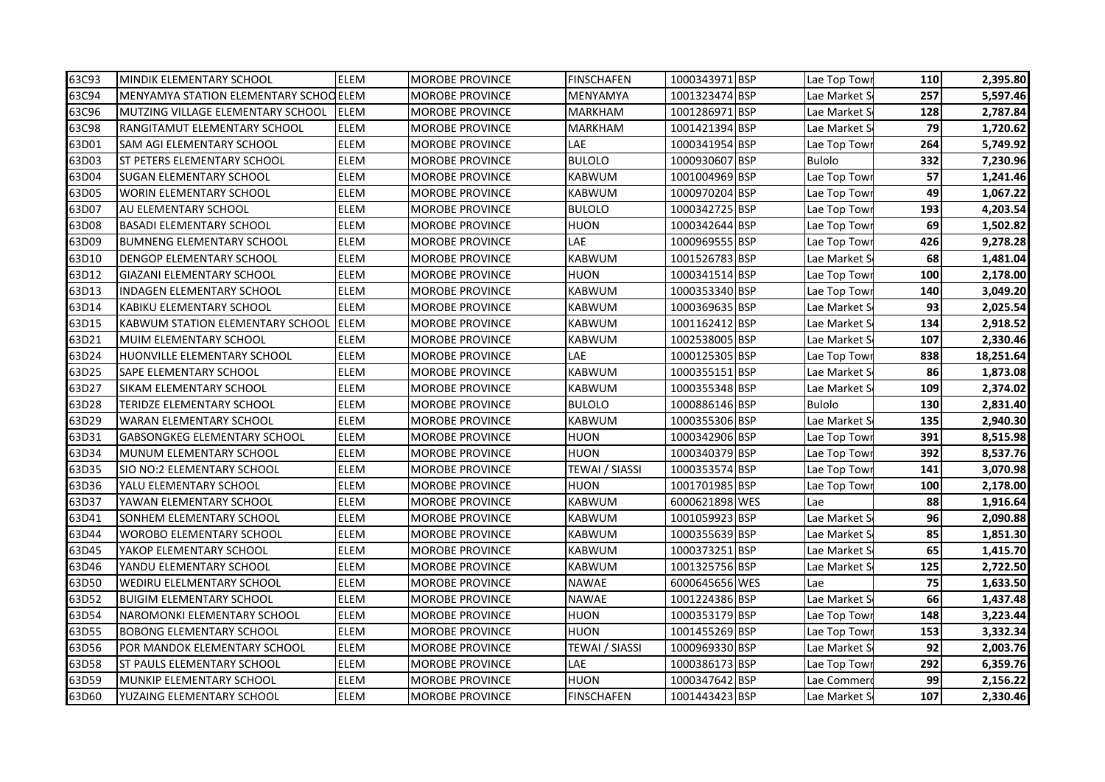| 63C93 | MINDIK ELEMENTARY SCHOOL                | <b>ELEM</b> | <b>MOROBE PROVINCE</b> | <b>FINSCHAFEN</b> | 1000343971 BSP | Lae Top Towi  | 110 | 2,395.80  |
|-------|-----------------------------------------|-------------|------------------------|-------------------|----------------|---------------|-----|-----------|
| 63C94 | MENYAMYA STATION ELEMENTARY SCHOO ELEM  |             | <b>MOROBE PROVINCE</b> | MENYAMYA          | 1001323474 BSP | Lae Market S  | 257 | 5,597.46  |
| 63C96 | MUTZING VILLAGE ELEMENTARY SCHOOL       | <b>ELEM</b> | <b>MOROBE PROVINCE</b> | <b>MARKHAM</b>    | 1001286971 BSP | Lae Market S  | 128 | 2,787.84  |
| 63C98 | <b>RANGITAMUT ELEMENTARY SCHOOL</b>     | <b>ELEM</b> | <b>MOROBE PROVINCE</b> | <b>MARKHAM</b>    | 1001421394 BSP | Lae Market S  | 79  | 1,720.62  |
| 63D01 | <b>SAM AGI ELEMENTARY SCHOOL</b>        | ELEM        | <b>MOROBE PROVINCE</b> | LAE               | 1000341954 BSP | Lae Top Tow   | 264 | 5,749.92  |
| 63D03 | <b>ST PETERS ELEMENTARY SCHOOL</b>      | <b>ELEM</b> | <b>MOROBE PROVINCE</b> | <b>BULOLO</b>     | 1000930607 BSP | <b>Bulolo</b> | 332 | 7,230.96  |
| 63D04 | <b>SUGAN ELEMENTARY SCHOOL</b>          | ELEM        | <b>MOROBE PROVINCE</b> | <b>KABWUM</b>     | 1001004969 BSP | Lae Top Tow   | 57  | 1,241.46  |
| 63D05 | <b>WORIN ELEMENTARY SCHOOL</b>          | ELEM        | <b>MOROBE PROVINCE</b> | <b>KABWUM</b>     | 1000970204 BSP | Lae Top Towi  | 49  | 1,067.22  |
| 63D07 | AU ELEMENTARY SCHOOL                    | ELEM        | <b>MOROBE PROVINCE</b> | <b>BULOLO</b>     | 1000342725 BSP | Lae Top Tow   | 193 | 4,203.54  |
| 63D08 | <b>BASADI ELEMENTARY SCHOOL</b>         | ELEM        | <b>MOROBE PROVINCE</b> | HUON              | 1000342644 BSP | Lae Top Tow   | 69  | 1,502.82  |
| 63D09 | <b>BUMNENG ELEMENTARY SCHOOL</b>        | ELEM        | <b>MOROBE PROVINCE</b> | LAE               | 1000969555 BSP | Lae Top Tow   | 426 | 9,278.28  |
| 63D10 | DENGOP ELEMENTARY SCHOOL                | ELEM        | <b>MOROBE PROVINCE</b> | <b>KABWUM</b>     | 1001526783 BSP | Lae Market S  | 68  | 1,481.04  |
| 63D12 | GIAZANI ELEMENTARY SCHOOL               | ELEM        | <b>MOROBE PROVINCE</b> | HUON              | 1000341514 BSP | Lae Top Tow   | 100 | 2,178.00  |
| 63D13 | <b>INDAGEN ELEMENTARY SCHOOL</b>        | ELEM        | MOROBE PROVINCE        | <b>KABWUM</b>     | 1000353340 BSP | Lae Top Towi  | 140 | 3,049.20  |
| 63D14 | KABIKU ELEMENTARY SCHOOL                | <b>ELEM</b> | <b>MOROBE PROVINCE</b> | <b>KABWUM</b>     | 1000369635 BSP | Lae Market S  | 93  | 2,025.54  |
| 63D15 | <b>KABWUM STATION ELEMENTARY SCHOOL</b> | <b>ELEM</b> | <b>MOROBE PROVINCE</b> | <b>KABWUM</b>     | 1001162412 BSP | Lae Market S  | 134 | 2,918.52  |
| 63D21 | MUIM ELEMENTARY SCHOOL                  | <b>ELEM</b> | <b>MOROBE PROVINCE</b> | <b>KABWUM</b>     | 1002538005 BSP | Lae Market S  | 107 | 2,330.46  |
| 63D24 | <b>HUONVILLE ELEMENTARY SCHOOL</b>      | <b>ELEM</b> | <b>MOROBE PROVINCE</b> | LAE               | 1000125305 BSP | Lae Top Tow   | 838 | 18,251.64 |
| 63D25 | <b>SAPE ELEMENTARY SCHOOL</b>           | <b>ELEM</b> | <b>MOROBE PROVINCE</b> | <b>KABWUM</b>     | 1000355151 BSP | Lae Market S  | 86  | 1,873.08  |
| 63D27 | <b>SIKAM ELEMENTARY SCHOOL</b>          | <b>ELEM</b> | <b>MOROBE PROVINCE</b> | <b>KABWUM</b>     | 1000355348 BSP | Lae Market S  | 109 | 2,374.02  |
| 63D28 | TERIDZE ELEMENTARY SCHOOL               | ELEM        | <b>MOROBE PROVINCE</b> | <b>BULOLO</b>     | 1000886146 BSP | <b>Bulolo</b> | 130 | 2,831.40  |
| 63D29 | <b>WARAN ELEMENTARY SCHOOL</b>          | <b>ELEM</b> | <b>MOROBE PROVINCE</b> | <b>KABWUM</b>     | 1000355306 BSP | Lae Market S  | 135 | 2,940.30  |
| 63D31 | <b>GABSONGKEG ELEMENTARY SCHOOL</b>     | ELEM        | <b>MOROBE PROVINCE</b> | HUON              | 1000342906 BSP | Lae Top Tow   | 391 | 8,515.98  |
| 63D34 | MUNUM ELEMENTARY SCHOOL                 | <b>ELEM</b> | <b>MOROBE PROVINCE</b> | <b>HUON</b>       | 1000340379 BSP | Lae Top Tow   | 392 | 8,537.76  |
| 63D35 | SIO NO:2 ELEMENTARY SCHOOL              | ELEM        | MOROBE PROVINCE        | TEWAI / SIASSI    | 1000353574 BSP | Lae Top Tow   | 141 | 3,070.98  |
| 63D36 | YALU ELEMENTARY SCHOOL                  | ELEM        | <b>MOROBE PROVINCE</b> | HUON              | 1001701985 BSP | Lae Top Tow   | 100 | 2,178.00  |
| 63D37 | YAWAN ELEMENTARY SCHOOL                 | ELEM        | <b>MOROBE PROVINCE</b> | <b>KABWUM</b>     | 6000621898 WES | Lae           | 88  | 1,916.64  |
| 63D41 | SONHEM ELEMENTARY SCHOOL                | <b>ELEM</b> | <b>MOROBE PROVINCE</b> | KABWUM            | 1001059923 BSP | Lae Market S  | 96  | 2,090.88  |
| 63D44 | <b>WOROBO ELEMENTARY SCHOOL</b>         | ELEM        | <b>MOROBE PROVINCE</b> | <b>KABWUM</b>     | 1000355639 BSP | Lae Market S  | 85  | 1,851.30  |
| 63D45 | YAKOP ELEMENTARY SCHOOL                 | ELEM        | <b>MOROBE PROVINCE</b> | <b>KABWUM</b>     | 1000373251BSP  | Lae Market S  | 65  | 1,415.70  |
| 63D46 | YANDU ELEMENTARY SCHOOL                 | ELEM        | MOROBE PROVINCE        | <b>KABWUM</b>     | 1001325756 BSP | Lae Market S  | 125 | 2,722.50  |
| 63D50 | WEDIRU ELELMENTARY SCHOOL               | ELEM        | <b>MOROBE PROVINCE</b> | <b>NAWAE</b>      | 6000645656 WES | Lae           | 75  | 1,633.50  |
| 63D52 | <b>BUIGIM ELEMENTARY SCHOOL</b>         | ELEM        | <b>MOROBE PROVINCE</b> | <b>NAWAE</b>      | 1001224386 BSP | Lae Market S  | 66  | 1,437.48  |
| 63D54 | NAROMONKI ELEMENTARY SCHOOL             | ELEM        | <b>MOROBE PROVINCE</b> | HUON              | 1000353179 BSP | Lae Top Towi  | 148 | 3,223.44  |
| 63D55 | <b>BOBONG ELEMENTARY SCHOOL</b>         | ELEM        | <b>MOROBE PROVINCE</b> | HUON              | 1001455269 BSP | Lae Top Tow   | 153 | 3,332.34  |
| 63D56 | POR MANDOK ELEMENTARY SCHOOL            | <b>ELEM</b> | MOROBE PROVINCE        | TEWAI / SIASSI    | 1000969330 BSP | Lae Market S  | 92  | 2,003.76  |
| 63D58 | <b>ST PAULS ELEMENTARY SCHOOL</b>       | ELEM        | <b>MOROBE PROVINCE</b> | LAE               | 1000386173 BSP | Lae Top Tow   | 292 | 6,359.76  |
| 63D59 | MUNKIP ELEMENTARY SCHOOL                | ELEM        | MOROBE PROVINCE        | HUON              | 1000347642 BSP | Lae Commer    | 99  | 2,156.22  |
| 63D60 | <b>YUZAING ELEMENTARY SCHOOL</b>        | <b>ELEM</b> | <b>MOROBE PROVINCE</b> | <b>FINSCHAFEN</b> | 1001443423 BSP | Lae Market S  | 107 | 2,330.46  |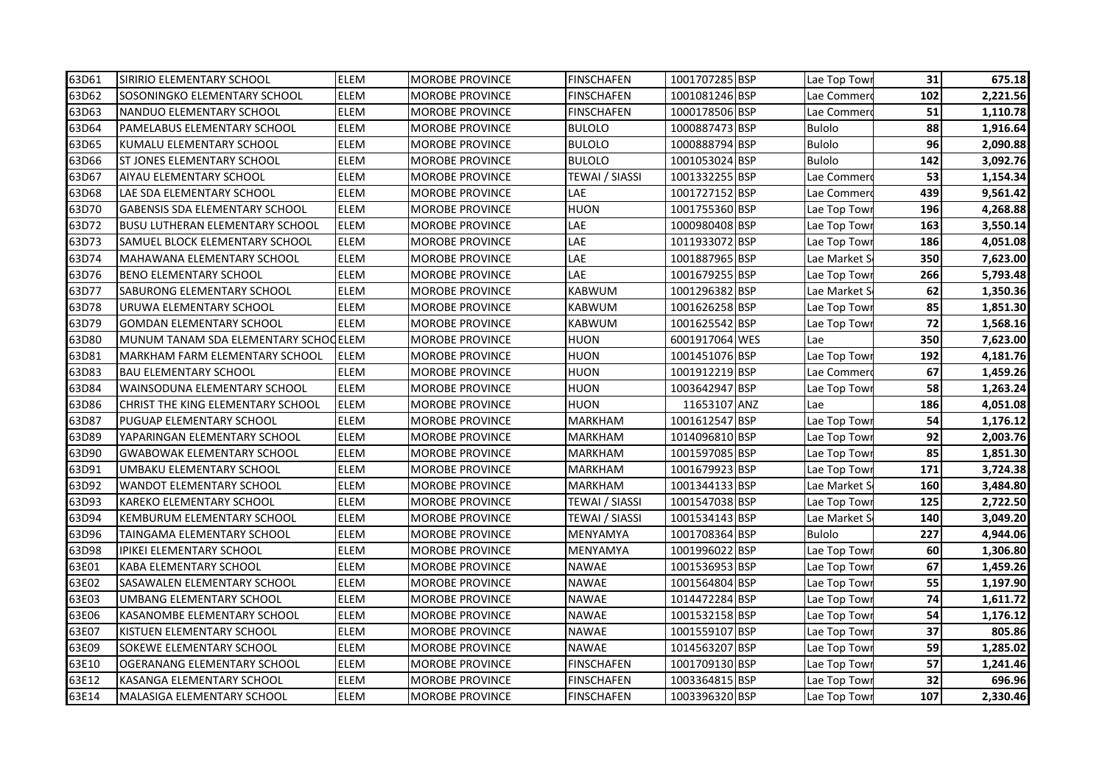| 63D61 | SIRIRIO ELEMENTARY SCHOOL              | <b>ELEM</b> | <b>MOROBE PROVINCE</b> | <b>FINSCHAFEN</b>     | 1001707285 BSP | Lae Top Towi  | 31  | 675.18   |
|-------|----------------------------------------|-------------|------------------------|-----------------------|----------------|---------------|-----|----------|
| 63D62 | SOSONINGKO ELEMENTARY SCHOOL           | <b>ELEM</b> | <b>MOROBE PROVINCE</b> | FINSCHAFEN            | 1001081246 BSP | Lae Commer    | 102 | 2,221.56 |
| 63D63 | NANDUO ELEMENTARY SCHOOL               | ELEM        | <b>MOROBE PROVINCE</b> | <b>FINSCHAFEN</b>     | 1000178506 BSP | Lae Commer    | 51  | 1,110.78 |
| 63D64 | PAMELABUS ELEMENTARY SCHOOL            | <b>ELEM</b> | <b>MOROBE PROVINCE</b> | <b>BULOLO</b>         | 1000887473 BSP | <b>Bulolo</b> | 88  | 1,916.64 |
| 63D65 | KUMALU ELEMENTARY SCHOOL               | ELEM        | <b>MOROBE PROVINCE</b> | <b>BULOLO</b>         | 1000888794 BSP | <b>Bulolo</b> | 96  | 2,090.88 |
| 63D66 | <b>ST JONES ELEMENTARY SCHOOL</b>      | <b>ELEM</b> | <b>MOROBE PROVINCE</b> | <b>BULOLO</b>         | 1001053024 BSP | <b>Bulolo</b> | 142 | 3,092.76 |
| 63D67 | AIYAU ELEMENTARY SCHOOL                | ELEM        | <b>MOROBE PROVINCE</b> | <b>TEWAI / SIASSI</b> | 1001332255 BSP | Lae Commer    | 53  | 1,154.34 |
| 63D68 | LAE SDA ELEMENTARY SCHOOL              | ELEM        | <b>MOROBE PROVINCE</b> | LAE                   | 1001727152 BSP | Lae Commer    | 439 | 9,561.42 |
| 63D70 | <b>GABENSIS SDA ELEMENTARY SCHOOL</b>  | <b>ELEM</b> | <b>MOROBE PROVINCE</b> | HUON                  | 1001755360 BSP | Lae Top Tow   | 196 | 4,268.88 |
| 63D72 | <b>BUSU LUTHERAN ELEMENTARY SCHOOL</b> | <b>ELEM</b> | <b>MOROBE PROVINCE</b> | LAE                   | 1000980408 BSP | Lae Top Tow   | 163 | 3,550.14 |
| 63D73 | SAMUEL BLOCK ELEMENTARY SCHOOL         | ELEM        | <b>MOROBE PROVINCE</b> | LAE                   | 1011933072 BSP | Lae Top Tow   | 186 | 4,051.08 |
| 63D74 | MAHAWANA ELEMENTARY SCHOOL             | ELEM        | <b>MOROBE PROVINCE</b> | LAE                   | 1001887965 BSP | Lae Market S  | 350 | 7,623.00 |
| 63D76 | <b>BENO ELEMENTARY SCHOOL</b>          | <b>ELEM</b> | <b>MOROBE PROVINCE</b> | LAE                   | 1001679255 BSP | Lae Top Tow   | 266 | 5,793.48 |
| 63D77 | <b>SABURONG ELEMENTARY SCHOOL</b>      | ELEM        | MOROBE PROVINCE        | <b>KABWUM</b>         | 1001296382 BSP | Lae Market S  | 62  | 1,350.36 |
| 63D78 | URUWA ELEMENTARY SCHOOL                | <b>ELEM</b> | <b>MOROBE PROVINCE</b> | <b>KABWUM</b>         | 1001626258 BSP | Lae Top Tow   | 85  | 1,851.30 |
| 63D79 | <b>GOMDAN ELEMENTARY SCHOOL</b>        | <b>ELEM</b> | <b>MOROBE PROVINCE</b> | <b>KABWUM</b>         | 1001625542 BSP | Lae Top Tow   | 72  | 1,568.16 |
| 63D80 | MUNUM TANAM SDA ELEMENTARY SCHOCELEM   |             | <b>MOROBE PROVINCE</b> | <b>HUON</b>           | 6001917064 WES | Lae           | 350 | 7,623.00 |
| 63D81 | <b>MARKHAM FARM ELEMENTARY SCHOOL</b>  | <b>ELEM</b> | <b>MOROBE PROVINCE</b> | <b>HUON</b>           | 1001451076 BSP | Lae Top Tow   | 192 | 4,181.76 |
| 63D83 | <b>BAU ELEMENTARY SCHOOL</b>           | <b>ELEM</b> | <b>MOROBE PROVINCE</b> | <b>HUON</b>           | 1001912219 BSP | Lae Commer    | 67  | 1,459.26 |
| 63D84 | WAINSODUNA ELEMENTARY SCHOOL           | <b>ELEM</b> | <b>MOROBE PROVINCE</b> | HUON                  | 1003642947 BSP | Lae Top Tow   | 58  | 1,263.24 |
| 63D86 | CHRIST THE KING ELEMENTARY SCHOOL      | <b>ELEM</b> | <b>MOROBE PROVINCE</b> | HUON                  | 11653107 ANZ   | Lae           | 186 | 4,051.08 |
| 63D87 | PUGUAP ELEMENTARY SCHOOL               | ELEM        | <b>MOROBE PROVINCE</b> | MARKHAM               | 1001612547 BSP | Lae Top Tow   | 54  | 1,176.12 |
| 63D89 | YAPARINGAN ELEMENTARY SCHOOL           | ELEM        | <b>MOROBE PROVINCE</b> | MARKHAM               | 1014096810 BSP | Lae Top Tow   | 92  | 2,003.76 |
| 63D90 | <b>GWABOWAK ELEMENTARY SCHOOL</b>      | <b>ELEM</b> | MOROBE PROVINCE        | MARKHAM               | 1001597085 BSP | Lae Top Tow   | 85  | 1,851.30 |
| 63D91 | UMBAKU ELEMENTARY SCHOOL               | ELEM        | MOROBE PROVINCE        | MARKHAM               | 1001679923 BSP | Lae Top Tow   | 171 | 3,724.38 |
| 63D92 | <b>WANDOT ELEMENTARY SCHOOL</b>        | <b>ELEM</b> | <b>MOROBE PROVINCE</b> | <b>MARKHAM</b>        | 1001344133 BSP | Lae Market S  | 160 | 3,484.80 |
| 63D93 | <b>KAREKO ELEMENTARY SCHOOL</b>        | ELEM        | <b>MOROBE PROVINCE</b> | <b>TEWAI / SIASSI</b> | 1001547038 BSP | Lae Top Tow   | 125 | 2,722.50 |
| 63D94 | KEMBURUM ELEMENTARY SCHOOL             | <b>ELEM</b> | <b>MOROBE PROVINCE</b> | <b>TEWAI / SIASSI</b> | 1001534143 BSP | Lae Market S  | 140 | 3,049.20 |
| 63D96 | TAINGAMA ELEMENTARY SCHOOL             | ELEM        | <b>MOROBE PROVINCE</b> | MENYAMYA              | 1001708364 BSP | <b>Bulolo</b> | 227 | 4,944.06 |
| 63D98 | <b>IPIKEI ELEMENTARY SCHOOL</b>        | ELEM        | <b>MOROBE PROVINCE</b> | MENYAMYA              | 1001996022 BSP | Lae Top Tow   | 60  | 1,306.80 |
| 63E01 | <b>KABA ELEMENTARY SCHOOL</b>          | ELEM        | MOROBE PROVINCE        | <b>NAWAE</b>          | 1001536953 BSP | Lae Top Tow   | 67  | 1,459.26 |
| 63E02 | SASAWALEN ELEMENTARY SCHOOL            | ELEM        | <b>MOROBE PROVINCE</b> | <b>NAWAE</b>          | 1001564804 BSP | Lae Top Tow   | 55  | 1,197.90 |
| 63E03 | UMBANG ELEMENTARY SCHOOL               | ELEM        | <b>MOROBE PROVINCE</b> | <b>NAWAE</b>          | 1014472284 BSP | Lae Top Tow   | 74  | 1,611.72 |
| 63E06 | KASANOMBE ELEMENTARY SCHOOL            | ELEM        | <b>MOROBE PROVINCE</b> | <b>NAWAE</b>          | 1001532158 BSP | Lae Top Tow   | 54  | 1,176.12 |
| 63E07 | KISTUEN ELEMENTARY SCHOOL              | ELEM        | <b>MOROBE PROVINCE</b> | NAWAE                 | 1001559107 BSP | Lae Top Tow   | 37  | 805.86   |
| 63E09 | <b>SOKEWE ELEMENTARY SCHOOL</b>        | <b>ELEM</b> | MOROBE PROVINCE        | <b>NAWAE</b>          | 1014563207 BSP | Lae Top Towi  | 59  | 1,285.02 |
| 63E10 | OGERANANG ELEMENTARY SCHOOL            | ELEM        | <b>MOROBE PROVINCE</b> | <b>FINSCHAFEN</b>     | 1001709130 BSP | Lae Top Tow   | 57  | 1,241.46 |
| 63E12 | KASANGA ELEMENTARY SCHOOL              | ELEM        | MOROBE PROVINCE        | FINSCHAFEN            | 1003364815 BSP | Lae Top Towi  | 32  | 696.96   |
| 63E14 | MALASIGA ELEMENTARY SCHOOL             | <b>ELEM</b> | <b>MOROBE PROVINCE</b> | <b>FINSCHAFEN</b>     | 1003396320 BSP | Lae Top Towi  | 107 | 2,330.46 |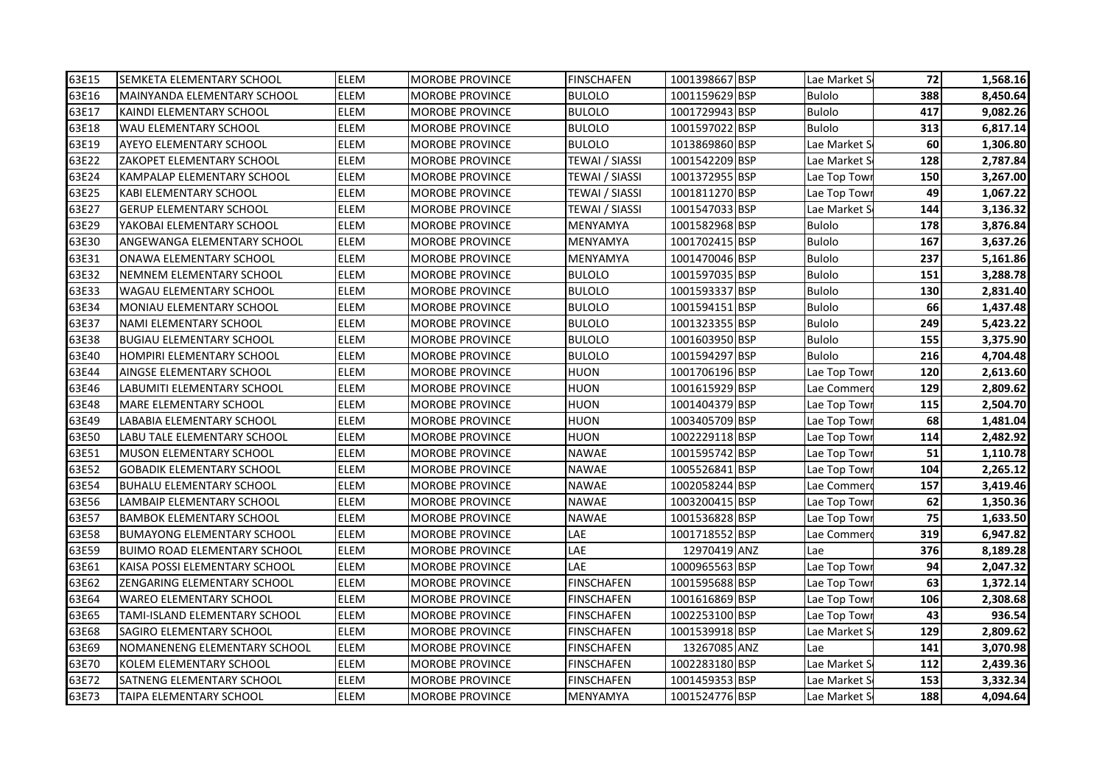| 63E15 | <b>SEMKETA ELEMENTARY SCHOOL</b>    | <b>ELEM</b> | <b>MOROBE PROVINCE</b> | <b>FINSCHAFEN</b>     | 1001398667 BSP | Lae Market S  | 72  | 1,568.16 |
|-------|-------------------------------------|-------------|------------------------|-----------------------|----------------|---------------|-----|----------|
| 63E16 | lMAINYANDA ELEMENTARY SCHOOL        | ELEM        | <b>MOROBE PROVINCE</b> | <b>BULOLO</b>         | 1001159629 BSP | <b>Bulolo</b> | 388 | 8,450.64 |
| 63E17 | KAINDI ELEMENTARY SCHOOL            | <b>ELEM</b> | <b>MOROBE PROVINCE</b> | <b>BULOLO</b>         | 1001729943 BSP | <b>Bulolo</b> | 417 | 9,082.26 |
| 63E18 | <b>WAU ELEMENTARY SCHOOL</b>        | <b>ELEM</b> | <b>MOROBE PROVINCE</b> | <b>BULOLO</b>         | 1001597022 BSP | <b>Bulolo</b> | 313 | 6,817.14 |
| 63E19 | <b>AYEYO ELEMENTARY SCHOOL</b>      | ELEM        | <b>MOROBE PROVINCE</b> | <b>BULOLO</b>         | 1013869860 BSP | Lae Market S  | 60  | 1,306.80 |
| 63E22 | ZAKOPET ELEMENTARY SCHOOL           | <b>ELEM</b> | <b>MOROBE PROVINCE</b> | <b>TEWAI / SIASSI</b> | 1001542209 BSP | Lae Market S  | 128 | 2,787.84 |
| 63E24 | <b>KAMPALAP ELEMENTARY SCHOOL</b>   | ELEM        | <b>MOROBE PROVINCE</b> | <b>TEWAI / SIASSI</b> | 1001372955 BSP | Lae Top Tow   | 150 | 3,267.00 |
| 63E25 | <b>KABI ELEMENTARY SCHOOL</b>       | ELEM        | <b>MOROBE PROVINCE</b> | <b>TEWAI / SIASSI</b> | 1001811270 BSP | Lae Top Towi  | 49  | 1,067.22 |
| 63E27 | <b>GERUP ELEMENTARY SCHOOL</b>      | <b>ELEM</b> | <b>MOROBE PROVINCE</b> | TEWAI / SIASSI        | 1001547033 BSP | Lae Market S  | 144 | 3,136.32 |
| 63E29 | YAKOBAI ELEMENTARY SCHOOL           | ELEM        | <b>MOROBE PROVINCE</b> | MENYAMYA              | 1001582968 BSP | Bulolo        | 178 | 3,876.84 |
| 63E30 | ANGEWANGA ELEMENTARY SCHOOL         | ELEM        | <b>MOROBE PROVINCE</b> | MENYAMYA              | 1001702415 BSP | Bulolo        | 167 | 3,637.26 |
| 63E31 | <b>ONAWA ELEMENTARY SCHOOL</b>      | <b>ELEM</b> | <b>MOROBE PROVINCE</b> | MENYAMYA              | 1001470046 BSP | Bulolo        | 237 | 5,161.86 |
| 63E32 | NEMNEM ELEMENTARY SCHOOL            | ELEM        | <b>MOROBE PROVINCE</b> | <b>BULOLO</b>         | 1001597035 BSP | Bulolo        | 151 | 3,288.78 |
| 63E33 | WAGAU ELEMENTARY SCHOOL             | ELEM        | MOROBE PROVINCE        | <b>BULOLO</b>         | 1001593337 BSP | Bulolo        | 130 | 2,831.40 |
| 63E34 | MONIAU ELEMENTARY SCHOOL            | ELEM        | <b>MOROBE PROVINCE</b> | <b>BULOLO</b>         | 1001594151 BSP | <b>Bulolo</b> | 66  | 1,437.48 |
| 63E37 | NAMI ELEMENTARY SCHOOL              | ELEM        | <b>MOROBE PROVINCE</b> | <b>BULOLO</b>         | 1001323355 BSP | <b>Bulolo</b> | 249 | 5,423.22 |
| 63E38 | <b>BUGIAU ELEMENTARY SCHOOL</b>     | ELEM        | <b>MOROBE PROVINCE</b> | <b>BULOLO</b>         | 1001603950 BSP | <b>Bulolo</b> | 155 | 3,375.90 |
| 63E40 | <b>HOMPIRI ELEMENTARY SCHOOL</b>    | ELEM        | <b>MOROBE PROVINCE</b> | <b>BULOLO</b>         | 1001594297 BSP | <b>Bulolo</b> | 216 | 4,704.48 |
| 63E44 | AINGSE ELEMENTARY SCHOOL            | ELEM        | <b>MOROBE PROVINCE</b> | HUON                  | 1001706196 BSP | Lae Top Tow   | 120 | 2,613.60 |
| 63E46 | LABUMITI ELEMENTARY SCHOOL          | <b>ELEM</b> | <b>MOROBE PROVINCE</b> | HUON                  | 1001615929 BSP | Lae Commer    | 129 | 2,809.62 |
| 63E48 | <b>MARE ELEMENTARY SCHOOL</b>       | ELEM        | <b>MOROBE PROVINCE</b> | HUON                  | 1001404379 BSP | Lae Top Tow   | 115 | 2,504.70 |
| 63E49 | LABABIA ELEMENTARY SCHOOL           | ELEM        | <b>MOROBE PROVINCE</b> | HUON                  | 1003405709 BSP | Lae Top Towi  | 68  | 1,481.04 |
| 63E50 | LABU TALE ELEMENTARY SCHOOL         | ELEM        | <b>MOROBE PROVINCE</b> | HUON                  | 1002229118 BSP | Lae Top Towi  | 114 | 2,482.92 |
| 63E51 | MUSON ELEMENTARY SCHOOL             | ELEM        | <b>MOROBE PROVINCE</b> | <b>NAWAE</b>          | 1001595742 BSP | Lae Top Towi  | 51  | 1,110.78 |
| 63E52 | <b>GOBADIK ELEMENTARY SCHOOL</b>    | ELEM        | MOROBE PROVINCE        | <b>NAWAE</b>          | 1005526841 BSP | Lae Top Tow   | 104 | 2,265.12 |
| 63E54 | <b>BUHALU ELEMENTARY SCHOOL</b>     | ELEM        | <b>MOROBE PROVINCE</b> | <b>NAWAE</b>          | 1002058244 BSP | Lae Commer    | 157 | 3,419.46 |
| 63E56 | <b>LAMBAIP ELEMENTARY SCHOOL</b>    | ELEM        | <b>MOROBE PROVINCE</b> | <b>NAWAE</b>          | 1003200415 BSP | Lae Top Tow   | 62  | 1,350.36 |
| 63E57 | BAMBOK ELEMENTARY SCHOOL            | <b>ELEM</b> | <b>MOROBE PROVINCE</b> | <b>NAWAE</b>          | 1001536828 BSP | Lae Top Tow   | 75  | 1,633.50 |
| 63E58 | BUMAYONG ELEMENTARY SCHOOL          | ELEM        | <b>MOROBE PROVINCE</b> | LAE                   | 1001718552 BSP | Lae Commer    | 319 | 6,947.82 |
| 63E59 | <b>BUIMO ROAD ELEMENTARY SCHOOL</b> | <b>ELEM</b> | <b>MOROBE PROVINCE</b> | LAE                   | 12970419 ANZ   | Lae           | 376 | 8,189.28 |
| 63E61 | KAISA POSSI ELEMENTARY SCHOOL       | ELEM        | MOROBE PROVINCE        | LAE                   | 1000965563 BSP | Lae Top Tow   | 94  | 2,047.32 |
| 63E62 | ZENGARING ELEMENTARY SCHOOL         | ELEM        | <b>MOROBE PROVINCE</b> | <b>FINSCHAFEN</b>     | 1001595688 BSP | Lae Top Tow   | 63  | 1,372.14 |
| 63E64 | <b>WAREO ELEMENTARY SCHOOL</b>      | ELEM        | <b>MOROBE PROVINCE</b> | <b>FINSCHAFEN</b>     | 1001616869 BSP | Lae Top Tow   | 106 | 2,308.68 |
| 63E65 | TAMI-ISLAND ELEMENTARY SCHOOL       | ELEM        | <b>MOROBE PROVINCE</b> | FINSCHAFEN            | 1002253100 BSP | Lae Top Towi  | 43  | 936.54   |
| 63E68 | SAGIRO ELEMENTARY SCHOOL            | ELEM        | <b>MOROBE PROVINCE</b> | FINSCHAFEN            | 1001539918 BSP | Lae Market S  | 129 | 2,809.62 |
| 63E69 | NOMANENENG ELEMENTARY SCHOOL        | ELEM        | <b>MOROBE PROVINCE</b> | FINSCHAFEN            | 13267085 ANZ   | Lae           | 141 | 3,070.98 |
| 63E70 | KOLEM ELEMENTARY SCHOOL             | ELEM        | <b>MOROBE PROVINCE</b> | <b>FINSCHAFEN</b>     | 1002283180 BSP | Lae Market S  | 112 | 2,439.36 |
| 63E72 | <b>SATNENG ELEMENTARY SCHOOL</b>    | ELEM        | MOROBE PROVINCE        | FINSCHAFEN            | 1001459353 BSP | Lae Market S  | 153 | 3,332.34 |
| 63E73 | TAIPA ELEMENTARY SCHOOL             | ELEM        | <b>MOROBE PROVINCE</b> | MENYAMYA              | 1001524776 BSP | Lae Market S  | 188 | 4,094.64 |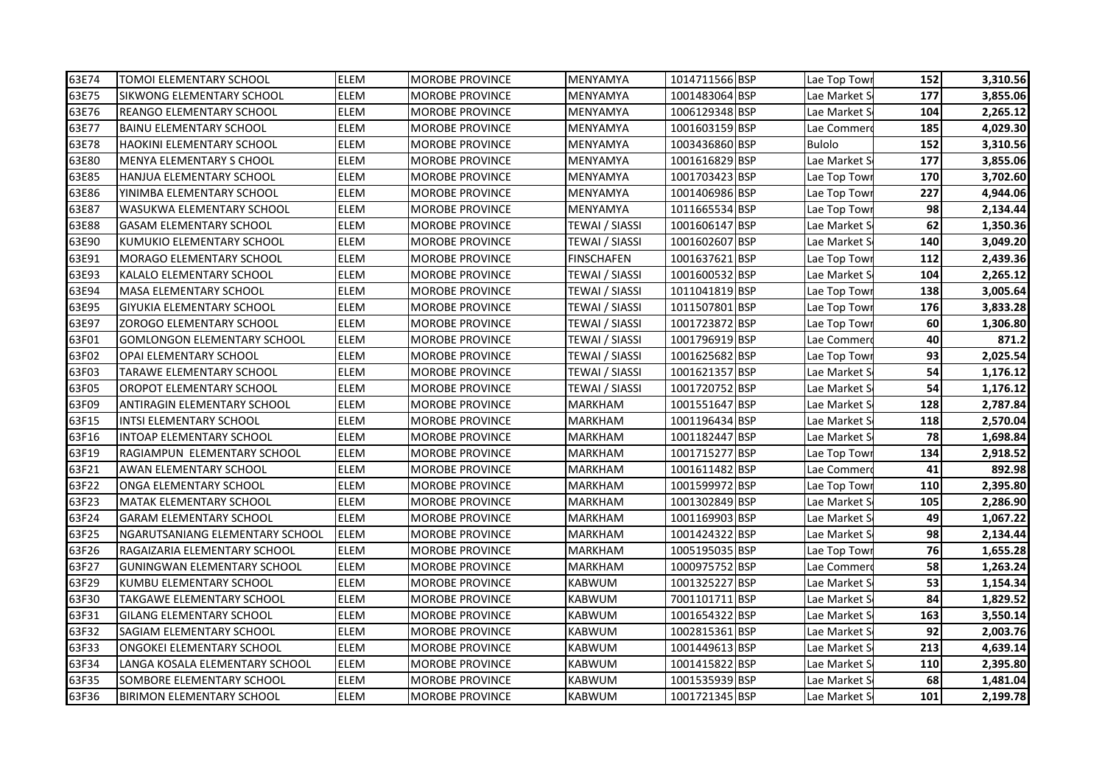| 63E74 | TOMOI ELEMENTARY SCHOOL            | <b>ELEM</b> | <b>MOROBE PROVINCE</b> | MENYAMYA              | 1014711566 BSP | Lae Top Towi  | 152 | 3,310.56 |
|-------|------------------------------------|-------------|------------------------|-----------------------|----------------|---------------|-----|----------|
| 63E75 | SIKWONG ELEMENTARY SCHOOL          | ELEM        | <b>MOROBE PROVINCE</b> | MENYAMYA              | 1001483064 BSP | Lae Market S  | 177 | 3,855.06 |
| 63E76 | <b>REANGO ELEMENTARY SCHOOL</b>    | ELEM        | MOROBE PROVINCE        | MENYAMYA              | 1006129348 BSP | Lae Market S  | 104 | 2,265.12 |
| 63E77 | <b>BAINU ELEMENTARY SCHOOL</b>     | ELEM        | <b>MOROBE PROVINCE</b> | MENYAMYA              | 1001603159 BSP | Lae Commer    | 185 | 4,029.30 |
| 63E78 | <b>HAOKINI ELEMENTARY SCHOOL</b>   | ELEM        | <b>MOROBE PROVINCE</b> | MENYAMYA              | 1003436860 BSP | <b>Bulolo</b> | 152 | 3,310.56 |
| 63E80 | <b>MENYA ELEMENTARY S CHOOL</b>    | ELEM        | <b>MOROBE PROVINCE</b> | MENYAMYA              | 1001616829 BSP | Lae Market S  | 177 | 3,855.06 |
| 63E85 | <b>HANJUA ELEMENTARY SCHOOL</b>    | ELEM        | <b>MOROBE PROVINCE</b> | MENYAMYA              | 1001703423 BSP | Lae Top Tow   | 170 | 3,702.60 |
| 63E86 | YINIMBA ELEMENTARY SCHOOL          | ELEM        | <b>MOROBE PROVINCE</b> | MENYAMYA              | 1001406986 BSP | Lae Top Tow   | 227 | 4,944.06 |
| 63E87 | <b>WASUKWA ELEMENTARY SCHOOL</b>   | ELEM        | <b>MOROBE PROVINCE</b> | MENYAMYA              | 1011665534 BSP | Lae Top Tow   | 98  | 2,134.44 |
| 63E88 | <b>GASAM ELEMENTARY SCHOOL</b>     | ELEM        | <b>MOROBE PROVINCE</b> | <b>TEWAI / SIASSI</b> | 1001606147 BSP | Lae Market S  | 62  | 1,350.36 |
| 63E90 | KUMUKIO ELEMENTARY SCHOOL          | ELEM        | <b>MOROBE PROVINCE</b> | TEWAI / SIASSI        | 1001602607 BSP | Lae Market S  | 140 | 3,049.20 |
| 63E91 | MORAGO ELEMENTARY SCHOOL           | ELEM        | <b>MOROBE PROVINCE</b> | FINSCHAFEN            | 1001637621 BSP | Lae Top Tow   | 112 | 2,439.36 |
| 63E93 | KALALO ELEMENTARY SCHOOL           | ELEM        | <b>MOROBE PROVINCE</b> | TEWAI / SIASSI        | 1001600532 BSP | Lae Market S  | 104 | 2,265.12 |
| 63E94 | <b>MASA ELEMENTARY SCHOOL</b>      | ELEM        | <b>MOROBE PROVINCE</b> | TEWAI / SIASSI        | 1011041819 BSP | Lae Top Tow   | 138 | 3,005.64 |
| 63E95 | <b>GIYUKIA ELEMENTARY SCHOOL</b>   | ELEM        | MOROBE PROVINCE        | TEWAI / SIASSI        | 1011507801 BSP | Lae Top Towi  | 176 | 3,833.28 |
| 63E97 | <b>ZOROGO ELEMENTARY SCHOOL</b>    | ELEM        | <b>MOROBE PROVINCE</b> | <b>TEWAI / SIASSI</b> | 1001723872 BSP | Lae Top Tow   | 60  | 1,306.80 |
| 63F01 | GOMLONGON ELEMENTARY SCHOOL        | ELEM        | <b>MOROBE PROVINCE</b> | <b>TEWAI / SIASSI</b> | 1001796919 BSP | Lae Commer    | 40  | 871.2    |
| 63F02 | <b>OPAI ELEMENTARY SCHOOL</b>      | ELEM        | <b>MOROBE PROVINCE</b> | TEWAI / SIASSI        | 1001625682 BSP | Lae Top Towi  | 93  | 2,025.54 |
| 63F03 | TARAWE ELEMENTARY SCHOOL           | <b>ELEM</b> | <b>MOROBE PROVINCE</b> | TEWAI / SIASSI        | 1001621357 BSP | Lae Market S  | 54  | 1,176.12 |
| 63F05 | <b>OROPOT ELEMENTARY SCHOOL</b>    | ELEM        | <b>MOROBE PROVINCE</b> | TEWAI / SIASSI        | 1001720752 BSP | Lae Market S  | 54  | 1,176.12 |
| 63F09 | <b>ANTIRAGIN ELEMENTARY SCHOOL</b> | ELEM        | <b>MOROBE PROVINCE</b> | <b>MARKHAM</b>        | 1001551647 BSP | Lae Market S  | 128 | 2,787.84 |
| 63F15 | <b>INTSI ELEMENTARY SCHOOL</b>     | ELEM        | <b>MOROBE PROVINCE</b> | <b>MARKHAM</b>        | 1001196434 BSP | Lae Market S  | 118 | 2,570.04 |
| 63F16 | INTOAP ELEMENTARY SCHOOL           | ELEM        | <b>MOROBE PROVINCE</b> | <b>MARKHAM</b>        | 1001182447 BSP | Lae Market S  | 78  | 1,698.84 |
| 63F19 | RAGIAMPUN ELEMENTARY SCHOOL        | ELEM        | <b>MOROBE PROVINCE</b> | MARKHAM               | 1001715277 BSP | Lae Top Tow   | 134 | 2,918.52 |
| 63F21 | AWAN ELEMENTARY SCHOOL             | ELEM        | <b>MOROBE PROVINCE</b> | MARKHAM               | 1001611482 BSP | Lae Commer    | 41  | 892.98   |
| 63F22 | ONGA ELEMENTARY SCHOOL             | ELEM        | MOROBE PROVINCE        | MARKHAM               | 1001599972 BSP | Lae Top Tow   | 110 | 2,395.80 |
| 63F23 | <b>MATAK ELEMENTARY SCHOOL</b>     | ELEM        | <b>MOROBE PROVINCE</b> | <b>MARKHAM</b>        | 1001302849 BSP | Lae Market S  | 105 | 2,286.90 |
| 63F24 | <b>GARAM ELEMENTARY SCHOOL</b>     | <b>ELEM</b> | <b>MOROBE PROVINCE</b> | <b>MARKHAM</b>        | 1001169903 BSP | Lae Market S  | 49  | 1,067.22 |
| 63F25 | NGARUTSANIANG ELEMENTARY SCHOOL    | <b>ELEM</b> | <b>MOROBE PROVINCE</b> | <b>MARKHAM</b>        | 1001424322 BSP | Lae Market S  | 98  | 2,134.44 |
| 63F26 | RAGAIZARIA ELEMENTARY SCHOOL       | ELEM        | <b>MOROBE PROVINCE</b> | <b>MARKHAM</b>        | 1005195035 BSP | Lae Top Tow   | 76  | 1,655.28 |
| 63F27 | <b>GUNINGWAN ELEMENTARY SCHOOL</b> | ELEM        | <b>MOROBE PROVINCE</b> | <b>MARKHAM</b>        | 1000975752 BSP | Lae Commer    | 58  | 1,263.24 |
| 63F29 | KUMBU ELEMENTARY SCHOOL            | ELEM        | <b>MOROBE PROVINCE</b> | <b>KABWUM</b>         | 1001325227 BSP | Lae Market S  | 53  | 1,154.34 |
| 63F30 | TAKGAWE ELEMENTARY SCHOOL          | ELEM        | <b>MOROBE PROVINCE</b> | <b>KABWUM</b>         | 7001101711 BSP | Lae Market S  | 84  | 1,829.52 |
| 63F31 | GILANG ELEMENTARY SCHOOL           | ELEM        | <b>MOROBE PROVINCE</b> | KABWUM                | 1001654322 BSP | Lae Market S  | 163 | 3,550.14 |
| 63F32 | SAGIAM ELEMENTARY SCHOOL           | ELEM        | <b>MOROBE PROVINCE</b> | KABWUM                | 1002815361 BSP | Lae Market S  | 92  | 2,003.76 |
| 63F33 | <b>ONGOKEI ELEMENTARY SCHOOL</b>   | ELEM        | <b>MOROBE PROVINCE</b> | KABWUM                | 1001449613 BSP | Lae Market S  | 213 | 4,639.14 |
| 63F34 | LANGA KOSALA ELEMENTARY SCHOOL     | ELEM        | <b>MOROBE PROVINCE</b> | KABWUM                | 1001415822 BSP | Lae Market S  | 110 | 2,395.80 |
| 63F35 | SOMBORE ELEMENTARY SCHOOL          | ELEM        | <b>MOROBE PROVINCE</b> | KABWUM                | 1001535939 BSP | Lae Market S  | 68  | 1,481.04 |
| 63F36 | <b>BIRIMON ELEMENTARY SCHOOL</b>   | ELEM        | <b>MOROBE PROVINCE</b> | <b>KABWUM</b>         | 1001721345 BSP | Lae Market S  | 101 | 2,199.78 |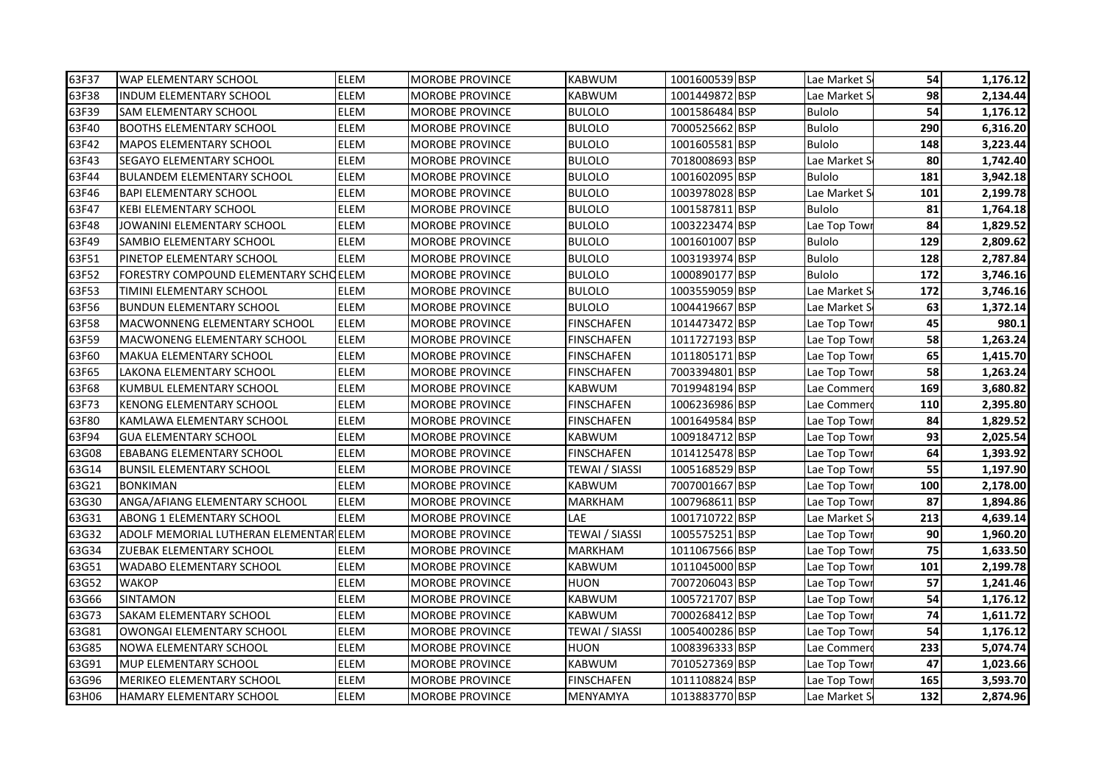| 63F37 | <b>WAP ELEMENTARY SCHOOL</b>           | <b>ELEM</b> | <b>MOROBE PROVINCE</b> | <b>KABWUM</b>         | 1001600539 BSP | Lae Market S  | 54  | 1,176.12 |
|-------|----------------------------------------|-------------|------------------------|-----------------------|----------------|---------------|-----|----------|
| 63F38 | <b>INDUM ELEMENTARY SCHOOL</b>         | ELEM        | <b>MOROBE PROVINCE</b> | <b>KABWUM</b>         | 1001449872 BSP | Lae Market S  | 98  | 2,134.44 |
| 63F39 | <b>SAM ELEMENTARY SCHOOL</b>           | <b>ELEM</b> | <b>MOROBE PROVINCE</b> | <b>BULOLO</b>         | 1001586484 BSP | <b>Bulolo</b> | 54  | 1,176.12 |
| 63F40 | <b>BOOTHS ELEMENTARY SCHOOL</b>        | <b>ELEM</b> | <b>MOROBE PROVINCE</b> | <b>BULOLO</b>         | 7000525662 BSP | <b>Bulolo</b> | 290 | 6,316.20 |
| 63F42 | <b>MAPOS ELEMENTARY SCHOOL</b>         | ELEM        | <b>MOROBE PROVINCE</b> | <b>BULOLO</b>         | 1001605581 BSP | Bulolo        | 148 | 3,223.44 |
| 63F43 | <b>SEGAYO ELEMENTARY SCHOOL</b>        | <b>ELEM</b> | <b>MOROBE PROVINCE</b> | <b>BULOLO</b>         | 7018008693 BSP | Lae Market S  | 80  | 1,742.40 |
| 63F44 | <b>BULANDEM ELEMENTARY SCHOOL</b>      | ELEM        | <b>MOROBE PROVINCE</b> | <b>BULOLO</b>         | 1001602095 BSP | Bulolo        | 181 | 3,942.18 |
| 63F46 | <b>BAPI ELEMENTARY SCHOOL</b>          | ELEM        | <b>MOROBE PROVINCE</b> | <b>BULOLO</b>         | 1003978028 BSP | Lae Market S  | 101 | 2,199.78 |
| 63F47 | <b>KEBI ELEMENTARY SCHOOL</b>          | <b>ELEM</b> | <b>MOROBE PROVINCE</b> | <b>BULOLO</b>         | 1001587811 BSP | <b>Bulolo</b> | 81  | 1,764.18 |
| 63F48 | JOWANINI ELEMENTARY SCHOOL             | ELEM        | <b>MOROBE PROVINCE</b> | <b>BULOLO</b>         | 1003223474 BSP | Lae Top Tow   | 84  | 1,829.52 |
| 63F49 | SAMBIO ELEMENTARY SCHOOL               | ELEM        | <b>MOROBE PROVINCE</b> | <b>BULOLO</b>         | 1001601007 BSP | Bulolo        | 129 | 2,809.62 |
| 63F51 | PINETOP ELEMENTARY SCHOOL              | <b>ELEM</b> | <b>MOROBE PROVINCE</b> | <b>BULOLO</b>         | 1003193974 BSP | Bulolo        | 128 | 2,787.84 |
| 63F52 | FORESTRY COMPOUND ELEMENTARY SCHOELEM  |             | <b>MOROBE PROVINCE</b> | <b>BULOLO</b>         | 1000890177 BSP | Bulolo        | 172 | 3,746.16 |
| 63F53 | TIMINI ELEMENTARY SCHOOL               | <b>ELEM</b> | MOROBE PROVINCE        | <b>BULOLO</b>         | 1003559059 BSP | Lae Market S  | 172 | 3,746.16 |
| 63F56 | <b>BUNDUN ELEMENTARY SCHOOL</b>        | <b>ELEM</b> | <b>MOROBE PROVINCE</b> | <b>BULOLO</b>         | 1004419667 BSP | Lae Market S  | 63  | 1,372.14 |
| 63F58 | MACWONNENG ELEMENTARY SCHOOL           | <b>ELEM</b> | <b>MOROBE PROVINCE</b> | <b>FINSCHAFEN</b>     | 1014473472 BSP | Lae Top Tow   | 45  | 980.1    |
| 63F59 | MACWONENG ELEMENTARY SCHOOL            | ELEM        | <b>MOROBE PROVINCE</b> | <b>FINSCHAFEN</b>     | 1011727193 BSP | Lae Top Towi  | 58  | 1,263.24 |
| 63F60 | <b>MAKUA ELEMENTARY SCHOOL</b>         | ELEM        | <b>MOROBE PROVINCE</b> | <b>FINSCHAFEN</b>     | 1011805171 BSP | Lae Top Towi  | 65  | 1,415.70 |
| 63F65 | LAKONA ELEMENTARY SCHOOL               | ELEM        | <b>MOROBE PROVINCE</b> | <b>FINSCHAFEN</b>     | 7003394801 BSP | Lae Top Towi  | 58  | 1,263.24 |
| 63F68 | KUMBUL ELEMENTARY SCHOOL               | <b>ELEM</b> | <b>MOROBE PROVINCE</b> | <b>KABWUM</b>         | 7019948194 BSP | Lae Commer    | 169 | 3,680.82 |
| 63F73 | <b>KENONG ELEMENTARY SCHOOL</b>        | ELEM        | <b>MOROBE PROVINCE</b> | <b>FINSCHAFEN</b>     | 1006236986 BSP | Lae Commer    | 110 | 2,395.80 |
| 63F80 | KAMLAWA ELEMENTARY SCHOOL              | ELEM        | <b>MOROBE PROVINCE</b> | <b>FINSCHAFEN</b>     | 1001649584 BSP | Lae Top Tow   | 84  | 1,829.52 |
| 63F94 | <b>GUA ELEMENTARY SCHOOL</b>           | ELEM        | <b>MOROBE PROVINCE</b> | KABWUM                | 1009184712 BSP | Lae Top Towi  | 93  | 2,025.54 |
| 63G08 | <b>EBABANG ELEMENTARY SCHOOL</b>       | ELEM        | <b>MOROBE PROVINCE</b> | FINSCHAFEN            | 1014125478 BSP | Lae Top Towi  | 64  | 1,393.92 |
| 63G14 | <b>BUNSIL ELEMENTARY SCHOOL</b>        | ELEM        | MOROBE PROVINCE        | TEWAI / SIASSI        | 1005168529 BSP | Lae Top Tow   | 55  | 1,197.90 |
| 63G21 | <b>BONKIMAN</b>                        | ELEM        | <b>MOROBE PROVINCE</b> | KABWUM                | 7007001667 BSP | Lae Top Tow   | 100 | 2,178.00 |
| 63G30 | ANGA/AFIANG ELEMENTARY SCHOOL          | <b>ELEM</b> | <b>MOROBE PROVINCE</b> | <b>MARKHAM</b>        | 1007968611 BSP | Lae Top Tow   | 87  | 1,894.86 |
| 63G31 | <b>ABONG 1 ELEMENTARY SCHOOL</b>       | <b>ELEM</b> | <b>MOROBE PROVINCE</b> | LAE                   | 1001710722 BSP | Lae Market S  | 213 | 4,639.14 |
| 63G32 | ADOLF MEMORIAL LUTHERAN ELEMENTAR ELEM |             | <b>MOROBE PROVINCE</b> | <b>TEWAI / SIASSI</b> | 1005575251 BSP | Lae Top Towi  | 90  | 1,960.20 |
| 63G34 | ZUEBAK ELEMENTARY SCHOOL               | ELEM        | <b>MOROBE PROVINCE</b> | <b>MARKHAM</b>        | 1011067566 BSP | Lae Top Towi  | 75  | 1,633.50 |
| 63G51 | WADABO ELEMENTARY SCHOOL               | ELEM        | MOROBE PROVINCE        | KABWUM                | 1011045000 BSP | Lae Top Towi  | 101 | 2,199.78 |
| 63G52 | <b>WAKOP</b>                           | ELEM        | <b>MOROBE PROVINCE</b> | HUON                  | 7007206043 BSP | Lae Top Tow   | 57  | 1,241.46 |
| 63G66 | <b>SINTAMON</b>                        | ELEM        | <b>MOROBE PROVINCE</b> | KABWUM                | 1005721707 BSP | Lae Top Tow   | 54  | 1,176.12 |
| 63G73 | <b>SAKAM ELEMENTARY SCHOOL</b>         | ELEM        | <b>MOROBE PROVINCE</b> | KABWUM                | 7000268412 BSP | Lae Top Towi  | 74  | 1,611.72 |
| 63G81 | OWONGAI ELEMENTARY SCHOOL              | <b>ELEM</b> | <b>MOROBE PROVINCE</b> | TEWAI / SIASSI        | 1005400286 BSP | Lae Top Towi  | 54  | 1,176.12 |
| 63G85 | <b>NOWA ELEMENTARY SCHOOL</b>          | ELEM        | <b>MOROBE PROVINCE</b> | HUON                  | 1008396333 BSP | Lae Commer    | 233 | 5,074.74 |
| 63G91 | <b>MUP ELEMENTARY SCHOOL</b>           | ELEM        | <b>MOROBE PROVINCE</b> | KABWUM                | 7010527369 BSP | Lae Top Towi  | 47  | 1,023.66 |
| 63G96 | MERIKEO ELEMENTARY SCHOOL              | ELEM        | MOROBE PROVINCE        | FINSCHAFEN            | 1011108824 BSP | Lae Top Tow   | 165 | 3,593.70 |
| 63H06 | HAMARY ELEMENTARY SCHOOL               | ELEM        | <b>MOROBE PROVINCE</b> | MENYAMYA              | 1013883770 BSP | Lae Market S  | 132 | 2,874.96 |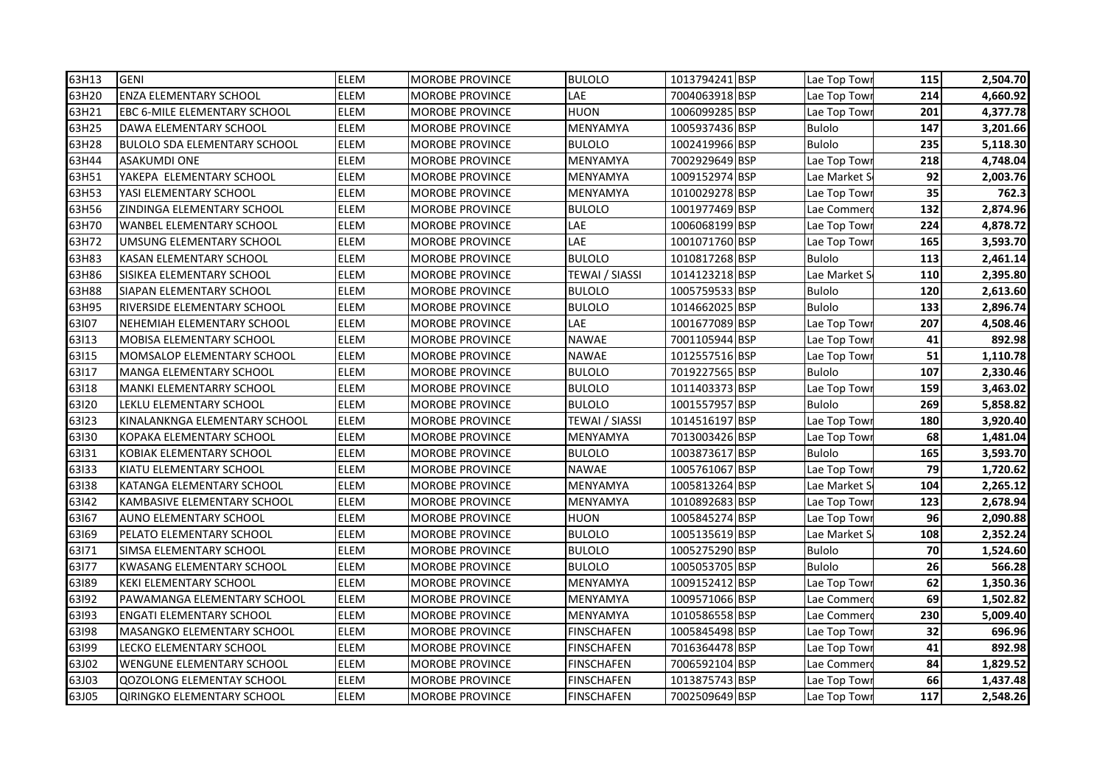| 63H13 | <b>GENI</b>                         | ELEM        | <b>MOROBE PROVINCE</b> | <b>BULOLO</b>     | 1013794241 BSP | Lae Top Towr  | 115 | 2,504.70 |
|-------|-------------------------------------|-------------|------------------------|-------------------|----------------|---------------|-----|----------|
| 63H20 | <b>ENZA ELEMENTARY SCHOOL</b>       | ELEM        | MOROBE PROVINCE        | LAE               | 7004063918 BSP | Lae Top Towi  | 214 | 4,660.92 |
| 63H21 | <b>EBC 6-MILE ELEMENTARY SCHOOL</b> | ELEM        | <b>MOROBE PROVINCE</b> | <b>HUON</b>       | 1006099285 BSP | Lae Top Towi  | 201 | 4,377.78 |
| 63H25 | DAWA ELEMENTARY SCHOOL              | ELEM        | <b>MOROBE PROVINCE</b> | MENYAMYA          | 1005937436 BSP | <b>Bulolo</b> | 147 | 3,201.66 |
| 63H28 | <b>BULOLO SDA ELEMENTARY SCHOOL</b> | ELEM        | <b>MOROBE PROVINCE</b> | <b>BULOLO</b>     | 1002419966 BSP | <b>Bulolo</b> | 235 | 5,118.30 |
| 63H44 | <b>ASAKUMDI ONE</b>                 | ELEM        | <b>MOROBE PROVINCE</b> | MENYAMYA          | 7002929649 BSP | Lae Top Tow   | 218 | 4,748.04 |
| 63H51 | YAKEPA ELEMENTARY SCHOOL            | ELEM        | <b>MOROBE PROVINCE</b> | MENYAMYA          | 1009152974 BSP | Lae Market S  | 92  | 2,003.76 |
| 63H53 | YASI ELEMENTARY SCHOOL              | ELEM        | <b>MOROBE PROVINCE</b> | MENYAMYA          | 1010029278 BSP | Lae Top Tow   | 35  | 762.3    |
| 63H56 | ZINDINGA ELEMENTARY SCHOOL          | ELEM        | MOROBE PROVINCE        | <b>BULOLO</b>     | 1001977469 BSP | Lae Commer    | 132 | 2,874.96 |
| 63H70 | <b>WANBEL ELEMENTARY SCHOOL</b>     | ELEM        | MOROBE PROVINCE        | LAE               | 1006068199 BSP | Lae Top Tow   | 224 | 4,878.72 |
| 63H72 | UMSUNG ELEMENTARY SCHOOL            | ELEM        | MOROBE PROVINCE        | LAE               | 1001071760 BSP | Lae Top Tow   | 165 | 3,593.70 |
| 63H83 | KASAN ELEMENTARY SCHOOL             | ELEM        | <b>MOROBE PROVINCE</b> | <b>BULOLO</b>     | 1010817268 BSP | <b>Bulolo</b> | 113 | 2,461.14 |
| 63H86 | SISIKEA ELEMENTARY SCHOOL           | ELEM        | MOROBE PROVINCE        | TEWAI / SIASSI    | 1014123218 BSP | Lae Market S  | 110 | 2,395.80 |
| 63H88 | SIAPAN ELEMENTARY SCHOOL            | ELEM        | MOROBE PROVINCE        | <b>BULOLO</b>     | 1005759533 BSP | <b>Bulolo</b> | 120 | 2,613.60 |
| 63H95 | <b>RIVERSIDE ELEMENTARY SCHOOL</b>  | ELEM        | MOROBE PROVINCE        | <b>BULOLO</b>     | 1014662025 BSP | <b>Bulolo</b> | 133 | 2,896.74 |
| 63107 | NEHEMIAH ELEMENTARY SCHOOL          | ELEM        | <b>MOROBE PROVINCE</b> | LAE               | 1001677089 BSP | Lae Top Tow   | 207 | 4,508.46 |
| 63113 | <b>MOBISA ELEMENTARY SCHOOL</b>     | <b>ELEM</b> | <b>MOROBE PROVINCE</b> | <b>NAWAE</b>      | 7001105944 BSP | Lae Top Towi  | 41  | 892.98   |
| 63115 | <b>MOMSALOP ELEMENTARY SCHOOL</b>   | ELEM        | <b>MOROBE PROVINCE</b> | <b>NAWAE</b>      | 1012557516 BSP | Lae Top Tow   | 51  | 1,110.78 |
| 63117 | <b>MANGA ELEMENTARY SCHOOL</b>      | ELEM        | <b>MOROBE PROVINCE</b> | <b>BULOLO</b>     | 7019227565 BSP | <b>Bulolo</b> | 107 | 2,330.46 |
| 63118 | <b>MANKI ELEMENTARRY SCHOOL</b>     | ELEM        | <b>MOROBE PROVINCE</b> | <b>BULOLO</b>     | 1011403373 BSP | Lae Top Tow   | 159 | 3,463.02 |
| 63120 | LEKLU ELEMENTARY SCHOOL             | ELEM        | MOROBE PROVINCE        | <b>BULOLO</b>     | 1001557957 BSP | <b>Bulolo</b> | 269 | 5,858.82 |
| 63123 | KINALANKNGA ELEMENTARY SCHOOL       | ELEM        | <b>MOROBE PROVINCE</b> | TEWAI / SIASSI    | 1014516197 BSP | Lae Top Tow   | 180 | 3,920.40 |
| 63130 | KOPAKA ELEMENTARY SCHOOL            | ELEM        | <b>MOROBE PROVINCE</b> | MENYAMYA          | 7013003426 BSP | Lae Top Tow   | 68  | 1,481.04 |
| 63131 | KOBIAK ELEMENTARY SCHOOL            | ELEM        | MOROBE PROVINCE        | <b>BULOLO</b>     | 1003873617 BSP | <b>Bulolo</b> | 165 | 3,593.70 |
| 63133 | KIATU ELEMENTARY SCHOOL             | ELEM        | MOROBE PROVINCE        | <b>NAWAE</b>      | 1005761067 BSP | Lae Top Towi  | 79  | 1,720.62 |
| 63138 | <b>KATANGA ELEMENTARY SCHOOL</b>    | ELEM        | MOROBE PROVINCE        | MENYAMYA          | 1005813264 BSP | Lae Market S  | 104 | 2,265.12 |
| 63142 | KAMBASIVE ELEMENTARY SCHOOL         | ELEM        | <b>MOROBE PROVINCE</b> | MENYAMYA          | 1010892683 BSP | Lae Top Tow   | 123 | 2,678.94 |
| 63167 | AUNO ELEMENTARY SCHOOL              | ELEM        | <b>MOROBE PROVINCE</b> | HUON              | 1005845274 BSP | Lae Top Tow   | 96  | 2,090.88 |
| 63169 | PELATO ELEMENTARY SCHOOL            | ELEM        | <b>MOROBE PROVINCE</b> | <b>BULOLO</b>     | 1005135619 BSP | Lae Market S  | 108 | 2,352.24 |
| 63171 | SIMSA ELEMENTARY SCHOOL             | ELEM        | <b>MOROBE PROVINCE</b> | <b>BULOLO</b>     | 1005275290 BSP | <b>Bulolo</b> | 70  | 1,524.60 |
| 63177 | <b>KWASANG ELEMENTARY SCHOOL</b>    | ELEM        | MOROBE PROVINCE        | <b>BULOLO</b>     | 1005053705 BSP | <b>Bulolo</b> | 26  | 566.28   |
| 63189 | <b>KEKI ELEMENTARY SCHOOL</b>       | ELEM        | MOROBE PROVINCE        | MENYAMYA          | 1009152412 BSP | Lae Top Tow   | 62  | 1,350.36 |
| 63192 | PAWAMANGA ELEMENTARY SCHOOL         | ELEM        | MOROBE PROVINCE        | MENYAMYA          | 1009571066 BSP | Lae Commer    | 69  | 1,502.82 |
| 63193 | <b>ENGATI ELEMENTARY SCHOOL</b>     | ELEM        | MOROBE PROVINCE        | MENYAMYA          | 1010586558 BSP | Lae Commer    | 230 | 5,009.40 |
| 63198 | MASANGKO ELEMENTARY SCHOOL          | ELEM        | MOROBE PROVINCE        | FINSCHAFEN        | 1005845498 BSP | Lae Top Towi  | 32  | 696.96   |
| 63199 | LECKO ELEMENTARY SCHOOL             | ELEM        | <b>MOROBE PROVINCE</b> | FINSCHAFEN        | 7016364478 BSP | Lae Top Towi  | 41  | 892.98   |
| 63J02 | <b>WENGUNE ELEMENTARY SCHOOL</b>    | ELEM        | MOROBE PROVINCE        | <b>FINSCHAFEN</b> | 7006592104 BSP | Lae Commer    | 84  | 1,829.52 |
| 63J03 | <b>QOZOLONG ELEMENTAY SCHOOL</b>    | ELEM        | MOROBE PROVINCE        | FINSCHAFEN        | 1013875743 BSP | Lae Top Tow   | 66  | 1,437.48 |
| 63J05 | QIRINGKO ELEMENTARY SCHOOL          | ELEM        | <b>MOROBE PROVINCE</b> | <b>FINSCHAFEN</b> | 7002509649 BSP | Lae Top Towr  | 117 | 2,548.26 |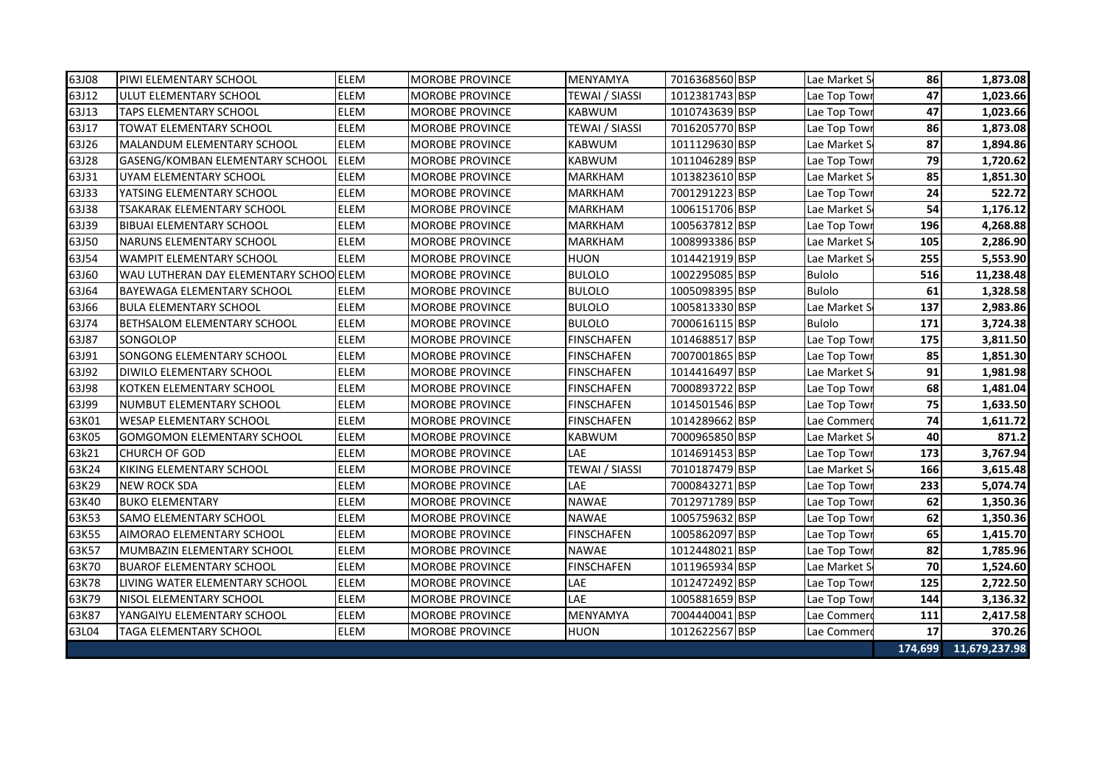| 63J08 | <b>PIWI ELEMENTARY SCHOOL</b>          | <b>ELEM</b> | <b>MOROBE PROVINCE</b> | <b>MENYAMYA</b>       | 7016368560 BSP | Lae Market S  | 86      | 1,873.08      |
|-------|----------------------------------------|-------------|------------------------|-----------------------|----------------|---------------|---------|---------------|
| 63J12 | ULUT ELEMENTARY SCHOOL                 | <b>ELEM</b> | <b>MOROBE PROVINCE</b> | TEWAI / SIASSI        | 1012381743 BSP | Lae Top Tow   | 47      | 1,023.66      |
| 63J13 | <b>TAPS ELEMENTARY SCHOOL</b>          | <b>ELEM</b> | <b>MOROBE PROVINCE</b> | <b>KABWUM</b>         | 1010743639 BSP | Lae Top Tow   | 47      | 1,023.66      |
| 63J17 | <b>TOWAT ELEMENTARY SCHOOL</b>         | ELEM        | <b>MOROBE PROVINCE</b> | <b>TEWAI / SIASSI</b> | 7016205770 BSP | Lae Top Tow   | 86      | 1,873.08      |
| 63J26 | MALANDUM ELEMENTARY SCHOOL             | <b>ELEM</b> | <b>MOROBE PROVINCE</b> | <b>KABWUM</b>         | 1011129630 BSP | Lae Market S  | 87      | 1,894.86      |
| 63J28 | GASENG/KOMBAN ELEMENTARY SCHOOL        | <b>ELEM</b> | <b>MOROBE PROVINCE</b> | <b>KABWUM</b>         | 1011046289 BSP | Lae Top Tow   | 79      | 1,720.62      |
| 63J31 | UYAM ELEMENTARY SCHOOL                 | <b>ELEM</b> | <b>MOROBE PROVINCE</b> | <b>MARKHAM</b>        | 1013823610 BSP | Lae Market S  | 85      | 1,851.30      |
| 63J33 | YATSING ELEMENTARY SCHOOL              | <b>ELEM</b> | <b>MOROBE PROVINCE</b> | <b>MARKHAM</b>        | 7001291223 BSP | Lae Top Towi  | 24      | 522.72        |
| 63J38 | TSAKARAK ELEMENTARY SCHOOL             | <b>ELEM</b> | <b>MOROBE PROVINCE</b> | <b>MARKHAM</b>        | 1006151706 BSP | Lae Market S  | 54      | 1,176.12      |
| 63J39 | <b>BIBUAI ELEMENTARY SCHOOL</b>        | ELEM        | <b>MOROBE PROVINCE</b> | <b>MARKHAM</b>        | 1005637812 BSP | Lae Top Tow   | 196     | 4,268.88      |
| 63J50 | NARUNS ELEMENTARY SCHOOL               | <b>ELEM</b> | <b>MOROBE PROVINCE</b> | <b>MARKHAM</b>        | 1008993386 BSP | Lae Market S  | 105     | 2,286.90      |
| 63J54 | <b>WAMPIT ELEMENTARY SCHOOL</b>        | <b>ELEM</b> | <b>MOROBE PROVINCE</b> | <b>HUON</b>           | 1014421919 BSP | Lae Market S  | 255     | 5,553.90      |
| 63J60 | WAU LUTHERAN DAY ELEMENTARY SCHOOLELEM |             | <b>MOROBE PROVINCE</b> | <b>BULOLO</b>         | 1002295085 BSP | <b>Bulolo</b> | 516     | 11,238.48     |
| 63J64 | <b>BAYEWAGA ELEMENTARY SCHOOL</b>      | ELEM        | <b>MOROBE PROVINCE</b> | <b>BULOLO</b>         | 1005098395 BSP | <b>Bulolo</b> | 61      | 1,328.58      |
| 63J66 | <b>BULA ELEMENTARY SCHOOL</b>          | ELEM        | <b>MOROBE PROVINCE</b> | <b>BULOLO</b>         | 1005813330 BSP | Lae Market S  | 137     | 2,983.86      |
| 63J74 | BETHSALOM ELEMENTARY SCHOOL            | ELEM        | <b>MOROBE PROVINCE</b> | <b>BULOLO</b>         | 7000616115 BSP | <b>Bulolo</b> | 171     | 3,724.38      |
| 63J87 | SONGOLOP                               | <b>ELEM</b> | <b>MOROBE PROVINCE</b> | <b>FINSCHAFEN</b>     | 1014688517 BSP | Lae Top Towi  | 175     | 3,811.50      |
| 63J91 | <b>SONGONG ELEMENTARY SCHOOL</b>       | <b>ELEM</b> | <b>MOROBE PROVINCE</b> | <b>FINSCHAFEN</b>     | 7007001865 BSP | Lae Top Tow   | 85      | 1,851.30      |
| 63J92 | <b>DIWILO ELEMENTARY SCHOOL</b>        | <b>ELEM</b> | <b>MOROBE PROVINCE</b> | <b>FINSCHAFEN</b>     | 1014416497 BSP | Lae Market S  | 91      | 1,981.98      |
| 63J98 | KOTKEN ELEMENTARY SCHOOL               | <b>ELEM</b> | <b>MOROBE PROVINCE</b> | <b>FINSCHAFEN</b>     | 7000893722 BSP | Lae Top Tow   | 68      | 1,481.04      |
| 63J99 | NUMBUT ELEMENTARY SCHOOL               | <b>ELEM</b> | <b>MOROBE PROVINCE</b> | <b>FINSCHAFEN</b>     | 1014501546 BSP | Lae Top Tow   | 75      | 1,633.50      |
| 63K01 | <b>WESAP ELEMENTARY SCHOOL</b>         | ELEM        | <b>MOROBE PROVINCE</b> | <b>FINSCHAFEN</b>     | 1014289662 BSP | Lae Commer    | 74      | 1,611.72      |
| 63K05 | <b>GOMGOMON ELEMENTARY SCHOOL</b>      | <b>ELEM</b> | <b>MOROBE PROVINCE</b> | <b>KABWUM</b>         | 7000965850 BSP | Lae Market S  | 40      | 871.2         |
| 63k21 | ICHURCH OF GOD                         | <b>ELEM</b> | <b>MOROBE PROVINCE</b> | LAE                   | 1014691453 BSP | Lae Top Tow   | 173     | 3,767.94      |
| 63K24 | KIKING ELEMENTARY SCHOOL               | <b>ELEM</b> | <b>MOROBE PROVINCE</b> | <b>TEWAI / SIASSI</b> | 7010187479 BSP | Lae Market S  | 166     | 3,615.48      |
| 63K29 | <b>NEW ROCK SDA</b>                    | <b>ELEM</b> | <b>MOROBE PROVINCE</b> | LAE                   | 7000843271 BSP | Lae Top Tow   | 233     | 5,074.74      |
| 63K40 | <b>BUKO ELEMENTARY</b>                 | <b>ELEM</b> | <b>MOROBE PROVINCE</b> | <b>NAWAE</b>          | 7012971789 BSP | Lae Top Tow   | 62      | 1,350.36      |
| 63K53 | <b>SAMO ELEMENTARY SCHOOL</b>          | ELEM        | <b>MOROBE PROVINCE</b> | <b>NAWAE</b>          | 1005759632 BSP | Lae Top Tow   | 62      | 1,350.36      |
| 63K55 | AIMORAO ELEMENTARY SCHOOL              | ELEM        | <b>MOROBE PROVINCE</b> | <b>FINSCHAFEN</b>     | 1005862097 BSP | Lae Top Tow   | 65      | 1,415.70      |
| 63K57 | MUMBAZIN ELEMENTARY SCHOOL             | ELEM        | MOROBE PROVINCE        | <b>NAWAE</b>          | 1012448021 BSP | Lae Top Tow   | 82      | 1,785.96      |
| 63K70 | <b>BUAROF ELEMENTARY SCHOOL</b>        | ELEM        | <b>MOROBE PROVINCE</b> | <b>FINSCHAFEN</b>     | 1011965934 BSP | Lae Market S  | 70      | 1,524.60      |
| 63K78 | LIVING WATER ELEMENTARY SCHOOL         | <b>ELEM</b> | <b>MOROBE PROVINCE</b> | LAE                   | 1012472492 BSP | Lae Top Towi  | 125     | 2,722.50      |
| 63K79 | NISOL ELEMENTARY SCHOOL                | <b>ELEM</b> | <b>MOROBE PROVINCE</b> | LAE                   | 1005881659 BSP | Lae Top Tow   | 144     | 3,136.32      |
| 63K87 | YANGAIYU ELEMENTARY SCHOOL             | ELEM        | <b>MOROBE PROVINCE</b> | MENYAMYA              | 7004440041 BSP | Lae Commer    | 111     | 2,417.58      |
| 63L04 | TAGA ELEMENTARY SCHOOL                 | <b>ELEM</b> | MOROBE PROVINCE        | <b>HUON</b>           | 1012622567 BSP | Lae Commer    | 17      | 370.26        |
|       |                                        |             |                        |                       |                |               | 174,699 | 11,679,237.98 |